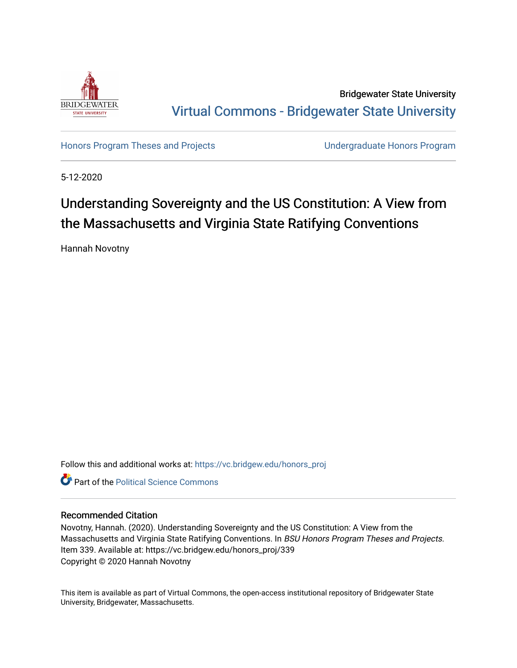

Bridgewater State University [Virtual Commons - Bridgewater State University](https://vc.bridgew.edu/) 

[Honors Program Theses and Projects](https://vc.bridgew.edu/honors_proj) [Undergraduate Honors Program](https://vc.bridgew.edu/honors) 

5-12-2020

### Understanding Sovereignty and the US Constitution: A View from the Massachusetts and Virginia State Ratifying Conventions

Hannah Novotny

Follow this and additional works at: [https://vc.bridgew.edu/honors\\_proj](https://vc.bridgew.edu/honors_proj?utm_source=vc.bridgew.edu%2Fhonors_proj%2F339&utm_medium=PDF&utm_campaign=PDFCoverPages)



#### Recommended Citation

Novotny, Hannah. (2020). Understanding Sovereignty and the US Constitution: A View from the Massachusetts and Virginia State Ratifying Conventions. In BSU Honors Program Theses and Projects. Item 339. Available at: https://vc.bridgew.edu/honors\_proj/339 Copyright © 2020 Hannah Novotny

This item is available as part of Virtual Commons, the open-access institutional repository of Bridgewater State University, Bridgewater, Massachusetts.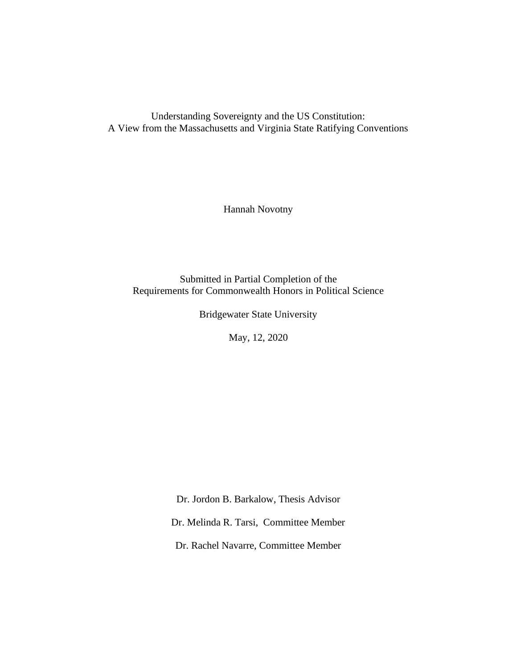Understanding Sovereignty and the US Constitution: A View from the Massachusetts and Virginia State Ratifying Conventions

Hannah Novotny

Submitted in Partial Completion of the Requirements for Commonwealth Honors in Political Science

Bridgewater State University

May, 12, 2020

Dr. Jordon B. Barkalow, Thesis Advisor

Dr. Melinda R. Tarsi, Committee Member

Dr. Rachel Navarre, Committee Member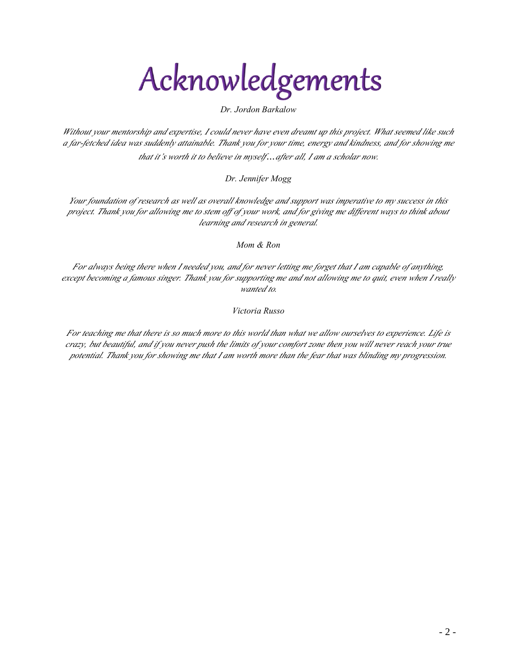## Acknowledgements

*Dr. Jordon Barkalow*

*Without your mentorship and expertise, I could never have even dreamt up this project. What seemed like such a far-fetched idea was suddenly attainable. Thank you for your time, energy and kindness, and for showing me that it's worth it to believe in myself…after all, I am a scholar now.* 

*Dr. Jennifer Mogg*

*Your foundation of research as well as overall knowledge and support was imperative to my success in this project. Thank you for allowing me to stem off of your work, and for giving me different ways to think about learning and research in general.* 

*Mom & Ron*

*For always being there when I needed you, and for never letting me forget that I am capable of anything, except becoming a famous singer. Thank you for supporting me and not allowing me to quit, even when I really wanted to.*

*Victoria Russo*

*For teaching me that there is so much more to this world than what we allow ourselves to experience. Life is crazy, but beautiful, and if you never push the limits of your comfort zone then you will never reach your true potential. Thank you for showing me that I am worth more than the fear that was blinding my progression.*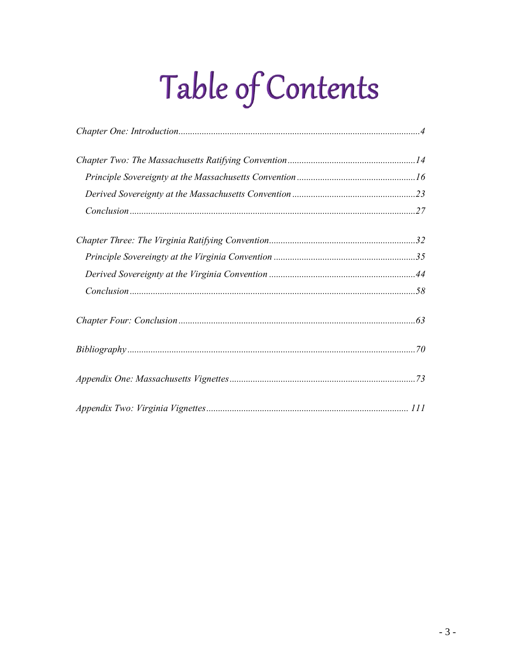# Table of Contents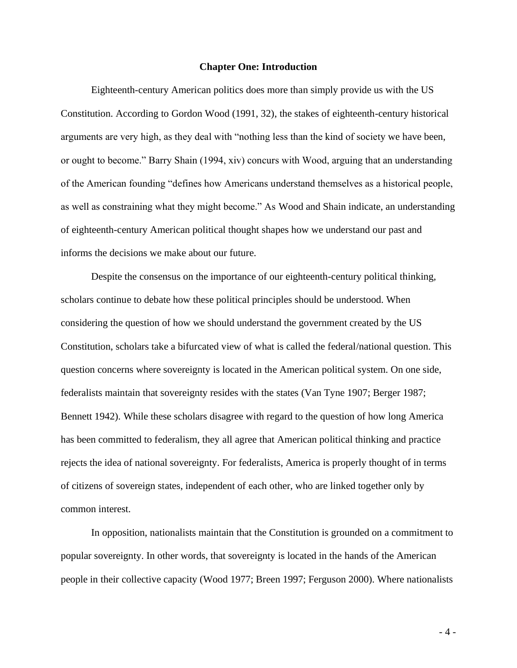#### **Chapter One: Introduction**

Eighteenth-century American politics does more than simply provide us with the US Constitution. According to Gordon Wood (1991, 32), the stakes of eighteenth-century historical arguments are very high, as they deal with "nothing less than the kind of society we have been, or ought to become." Barry Shain (1994, xiv) concurs with Wood, arguing that an understanding of the American founding "defines how Americans understand themselves as a historical people, as well as constraining what they might become." As Wood and Shain indicate, an understanding of eighteenth-century American political thought shapes how we understand our past and informs the decisions we make about our future.

Despite the consensus on the importance of our eighteenth-century political thinking, scholars continue to debate how these political principles should be understood. When considering the question of how we should understand the government created by the US Constitution, scholars take a bifurcated view of what is called the federal/national question. This question concerns where sovereignty is located in the American political system. On one side, federalists maintain that sovereignty resides with the states (Van Tyne 1907; Berger 1987; Bennett 1942). While these scholars disagree with regard to the question of how long America has been committed to federalism, they all agree that American political thinking and practice rejects the idea of national sovereignty. For federalists, America is properly thought of in terms of citizens of sovereign states, independent of each other, who are linked together only by common interest.

In opposition, nationalists maintain that the Constitution is grounded on a commitment to popular sovereignty. In other words, that sovereignty is located in the hands of the American people in their collective capacity (Wood 1977; Breen 1997; Ferguson 2000). Where nationalists

- 4 -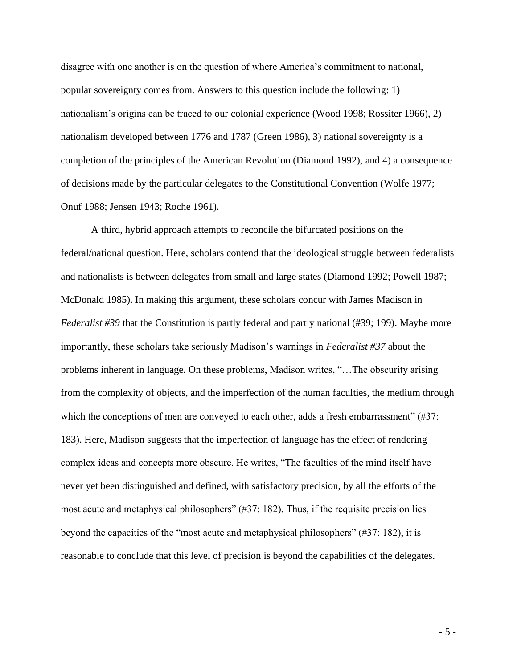disagree with one another is on the question of where America's commitment to national, popular sovereignty comes from. Answers to this question include the following: 1) nationalism's origins can be traced to our colonial experience (Wood 1998; Rossiter 1966), 2) nationalism developed between 1776 and 1787 (Green 1986), 3) national sovereignty is a completion of the principles of the American Revolution (Diamond 1992), and 4) a consequence of decisions made by the particular delegates to the Constitutional Convention (Wolfe 1977; Onuf 1988; Jensen 1943; Roche 1961).

A third, hybrid approach attempts to reconcile the bifurcated positions on the federal/national question. Here, scholars contend that the ideological struggle between federalists and nationalists is between delegates from small and large states (Diamond 1992; Powell 1987; McDonald 1985). In making this argument, these scholars concur with James Madison in *Federalist #39* that the Constitution is partly federal and partly national (#39; 199). Maybe more importantly, these scholars take seriously Madison's warnings in *Federalist #37* about the problems inherent in language. On these problems, Madison writes, "…The obscurity arising from the complexity of objects, and the imperfection of the human faculties, the medium through which the conceptions of men are conveyed to each other, adds a fresh embarrassment" (#37: 183). Here, Madison suggests that the imperfection of language has the effect of rendering complex ideas and concepts more obscure. He writes, "The faculties of the mind itself have never yet been distinguished and defined, with satisfactory precision, by all the efforts of the most acute and metaphysical philosophers" (#37: 182). Thus, if the requisite precision lies beyond the capacities of the "most acute and metaphysical philosophers" (#37: 182), it is reasonable to conclude that this level of precision is beyond the capabilities of the delegates.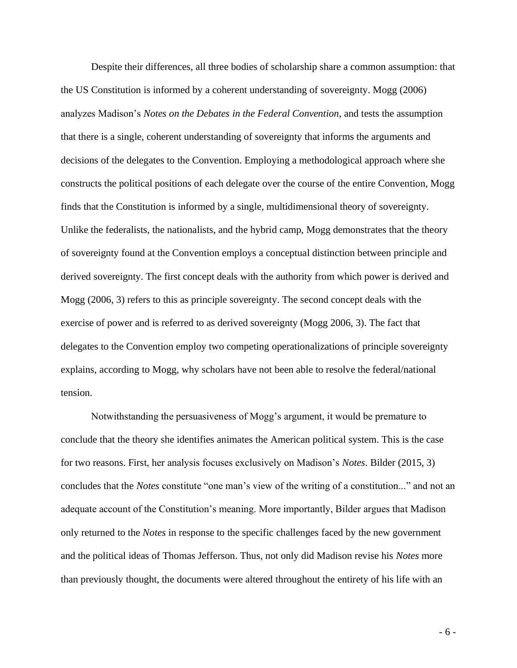Despite their differences, all three bodies of scholarship share a common assumption: that the US Constitution is informed by a coherent understanding of sovereignty. Mogg (2006) analyzes Madison's *Notes on the Debates in the Federal Convention*, and tests the assumption that there is a single, coherent understanding of sovereignty that informs the arguments and decisions of the delegates to the Convention. Employing a methodological approach where she constructs the political positions of each delegate over the course of the entire Convention, Mogg finds that the Constitution is informed by a single, multidimensional theory of sovereignty. Unlike the federalists, the nationalists, and the hybrid camp, Mogg demonstrates that the theory of sovereignty found at the Convention employs a conceptual distinction between principle and derived sovereignty. The first concept deals with the authority from which power is derived and Mogg (2006, 3) refers to this as principle sovereignty. The second concept deals with the exercise of power and is referred to as derived sovereignty (Mogg 2006, 3). The fact that delegates to the Convention employ two competing operationalizations of principle sovereignty explains, according to Mogg, why scholars have not been able to resolve the federal/national tension.

Notwithstanding the persuasiveness of Mogg's argument, it would be premature to conclude that the theory she identifies animates the American political system. This is the case for two reasons. First, her analysis focuses exclusively on Madison's *Notes*. Bilder (2015, 3) concludes that the *Notes* constitute "one man's view of the writing of a constitution..." and not an adequate account of the Constitution's meaning. More importantly, Bilder argues that Madison only returned to the *Notes* in response to the specific challenges faced by the new government and the political ideas of Thomas Jefferson. Thus, not only did Madison revise his *Notes* more than previously thought, the documents were altered throughout the entirety of his life with an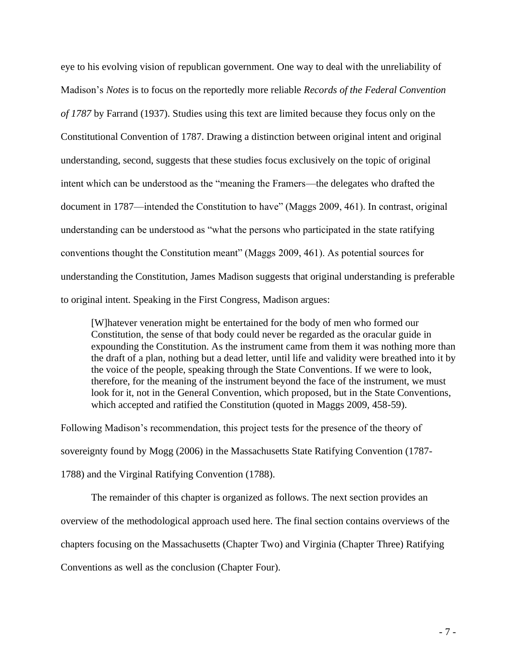eye to his evolving vision of republican government. One way to deal with the unreliability of Madison's *Notes* is to focus on the reportedly more reliable *Records of the Federal Convention of 1787* by Farrand (1937). Studies using this text are limited because they focus only on the Constitutional Convention of 1787. Drawing a distinction between original intent and original understanding, second, suggests that these studies focus exclusively on the topic of original intent which can be understood as the "meaning the Framers—the delegates who drafted the document in 1787—intended the Constitution to have" (Maggs 2009, 461). In contrast, original understanding can be understood as "what the persons who participated in the state ratifying conventions thought the Constitution meant" (Maggs 2009, 461). As potential sources for understanding the Constitution, James Madison suggests that original understanding is preferable to original intent. Speaking in the First Congress, Madison argues:

[W]hatever veneration might be entertained for the body of men who formed our Constitution, the sense of that body could never be regarded as the oracular guide in expounding the Constitution. As the instrument came from them it was nothing more than the draft of a plan, nothing but a dead letter, until life and validity were breathed into it by the voice of the people, speaking through the State Conventions. If we were to look, therefore, for the meaning of the instrument beyond the face of the instrument, we must look for it, not in the General Convention, which proposed, but in the State Conventions, which accepted and ratified the Constitution (quoted in Maggs 2009, 458-59).

Following Madison's recommendation, this project tests for the presence of the theory of sovereignty found by Mogg (2006) in the Massachusetts State Ratifying Convention (1787- 1788) and the Virginal Ratifying Convention (1788).

The remainder of this chapter is organized as follows. The next section provides an

overview of the methodological approach used here. The final section contains overviews of the

chapters focusing on the Massachusetts (Chapter Two) and Virginia (Chapter Three) Ratifying

Conventions as well as the conclusion (Chapter Four).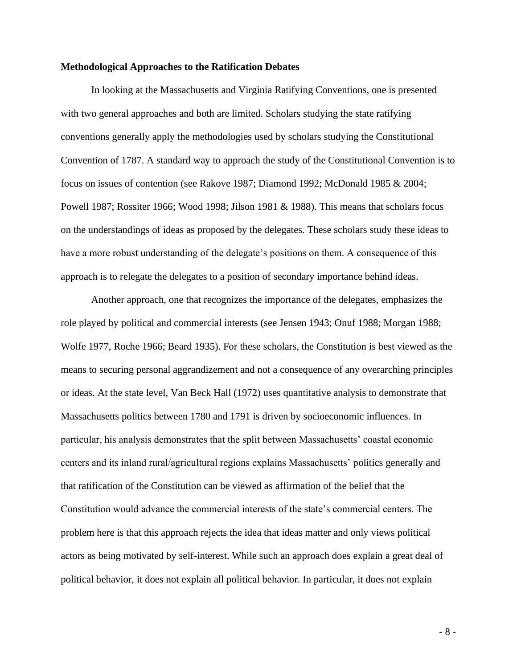#### **Methodological Approaches to the Ratification Debates**

In looking at the Massachusetts and Virginia Ratifying Conventions, one is presented with two general approaches and both are limited. Scholars studying the state ratifying conventions generally apply the methodologies used by scholars studying the Constitutional Convention of 1787. A standard way to approach the study of the Constitutional Convention is to focus on issues of contention (see Rakove 1987; Diamond 1992; McDonald 1985 & 2004; Powell 1987; Rossiter 1966; Wood 1998; Jilson 1981 & 1988). This means that scholars focus on the understandings of ideas as proposed by the delegates. These scholars study these ideas to have a more robust understanding of the delegate's positions on them. A consequence of this approach is to relegate the delegates to a position of secondary importance behind ideas.

Another approach, one that recognizes the importance of the delegates, emphasizes the role played by political and commercial interests (see Jensen 1943; Onuf 1988; Morgan 1988; Wolfe 1977, Roche 1966; Beard 1935). For these scholars, the Constitution is best viewed as the means to securing personal aggrandizement and not a consequence of any overarching principles or ideas. At the state level, Van Beck Hall (1972) uses quantitative analysis to demonstrate that Massachusetts politics between 1780 and 1791 is driven by socioeconomic influences. In particular, his analysis demonstrates that the split between Massachusetts' coastal economic centers and its inland rural/agricultural regions explains Massachusetts' politics generally and that ratification of the Constitution can be viewed as affirmation of the belief that the Constitution would advance the commercial interests of the state's commercial centers. The problem here is that this approach rejects the idea that ideas matter and only views political actors as being motivated by self-interest. While such an approach does explain a great deal of political behavior, it does not explain all political behavior. In particular, it does not explain

- 8 -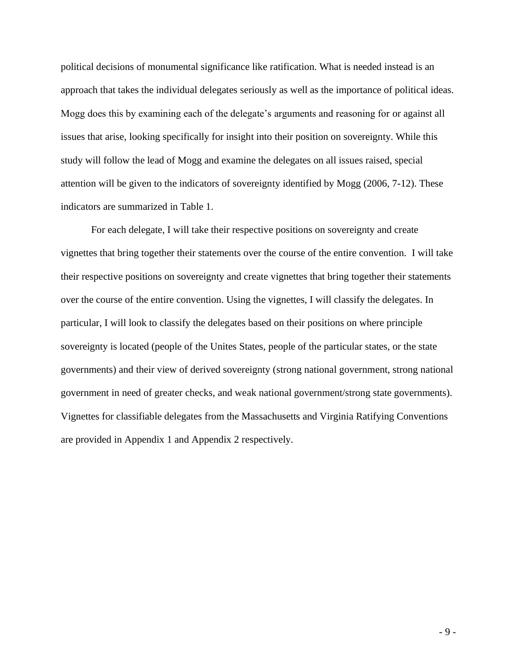political decisions of monumental significance like ratification. What is needed instead is an approach that takes the individual delegates seriously as well as the importance of political ideas. Mogg does this by examining each of the delegate's arguments and reasoning for or against all issues that arise, looking specifically for insight into their position on sovereignty. While this study will follow the lead of Mogg and examine the delegates on all issues raised, special attention will be given to the indicators of sovereignty identified by Mogg (2006, 7-12). These indicators are summarized in Table 1.

For each delegate, I will take their respective positions on sovereignty and create vignettes that bring together their statements over the course of the entire convention. I will take their respective positions on sovereignty and create vignettes that bring together their statements over the course of the entire convention. Using the vignettes, I will classify the delegates. In particular, I will look to classify the delegates based on their positions on where principle sovereignty is located (people of the Unites States, people of the particular states, or the state governments) and their view of derived sovereignty (strong national government, strong national government in need of greater checks, and weak national government/strong state governments). Vignettes for classifiable delegates from the Massachusetts and Virginia Ratifying Conventions are provided in Appendix 1 and Appendix 2 respectively.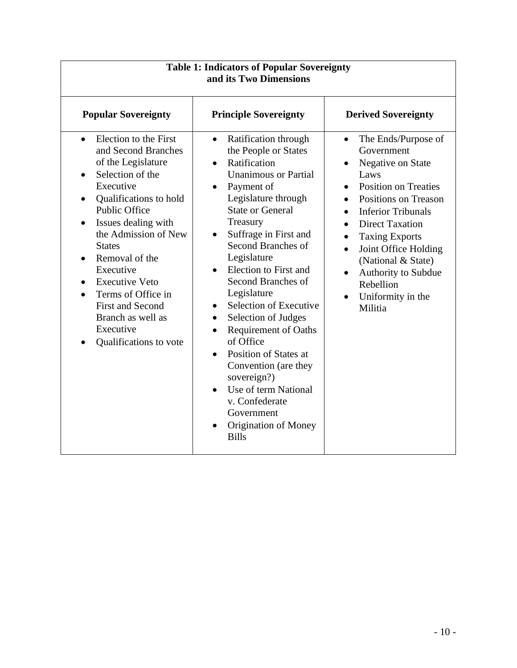| <b>Table 1: Indicators of Popular Sovereignty</b><br>and its Two Dimensions                                                                                                                                                                                                                                                                                                                                                            |                                                                                                                                                                                                                                                                                                                                                                                                                                                                                                                                                                                                                                                                    |                                                                                                                                                                                                                                                                                                                                                                                                                           |  |  |
|----------------------------------------------------------------------------------------------------------------------------------------------------------------------------------------------------------------------------------------------------------------------------------------------------------------------------------------------------------------------------------------------------------------------------------------|--------------------------------------------------------------------------------------------------------------------------------------------------------------------------------------------------------------------------------------------------------------------------------------------------------------------------------------------------------------------------------------------------------------------------------------------------------------------------------------------------------------------------------------------------------------------------------------------------------------------------------------------------------------------|---------------------------------------------------------------------------------------------------------------------------------------------------------------------------------------------------------------------------------------------------------------------------------------------------------------------------------------------------------------------------------------------------------------------------|--|--|
| <b>Popular Sovereignty</b>                                                                                                                                                                                                                                                                                                                                                                                                             | <b>Principle Sovereignty</b>                                                                                                                                                                                                                                                                                                                                                                                                                                                                                                                                                                                                                                       | <b>Derived Sovereignty</b>                                                                                                                                                                                                                                                                                                                                                                                                |  |  |
| Election to the First<br>$\bullet$<br>and Second Branches<br>of the Legislature<br>Selection of the<br>$\bullet$<br>Executive<br>Qualifications to hold<br>٠<br><b>Public Office</b><br>Issues dealing with<br>the Admission of New<br><b>States</b><br>Removal of the<br>Executive<br><b>Executive Veto</b><br>$\bullet$<br>Terms of Office in<br><b>First and Second</b><br>Branch as well as<br>Executive<br>Qualifications to vote | Ratification through<br>$\bullet$<br>the People or States<br>Ratification<br>$\bullet$<br><b>Unanimous or Partial</b><br>Payment of<br>$\bullet$<br>Legislature through<br><b>State or General</b><br>Treasury<br>Suffrage in First and<br>$\bullet$<br>Second Branches of<br>Legislature<br>Election to First and<br>Second Branches of<br>Legislature<br>Selection of Executive<br>$\bullet$<br>Selection of Judges<br>$\bullet$<br><b>Requirement of Oaths</b><br>$\bullet$<br>of Office<br>Position of States at<br>Convention (are they<br>sovereign?)<br>Use of term National<br>v. Confederate<br>Government<br><b>Origination of Money</b><br><b>Bills</b> | The Ends/Purpose of<br>$\bullet$<br>Government<br>Negative on State<br>$\bullet$<br>Laws<br><b>Position on Treaties</b><br>$\bullet$<br><b>Positions on Treason</b><br>$\bullet$<br><b>Inferior Tribunals</b><br><b>Direct Taxation</b><br><b>Taxing Exports</b><br>$\bullet$<br>Joint Office Holding<br>$\bullet$<br>(National & State)<br>Authority to Subdue<br>$\bullet$<br>Rebellion<br>Uniformity in the<br>Militia |  |  |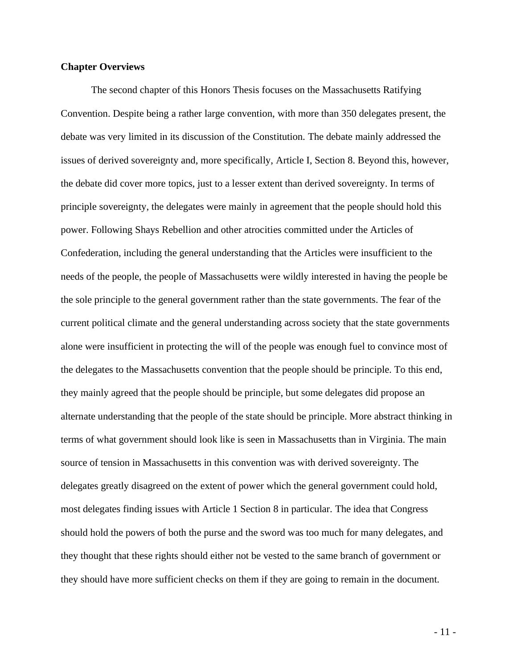#### **Chapter Overviews**

The second chapter of this Honors Thesis focuses on the Massachusetts Ratifying Convention. Despite being a rather large convention, with more than 350 delegates present, the debate was very limited in its discussion of the Constitution. The debate mainly addressed the issues of derived sovereignty and, more specifically, Article I, Section 8. Beyond this, however, the debate did cover more topics, just to a lesser extent than derived sovereignty. In terms of principle sovereignty, the delegates were mainly in agreement that the people should hold this power. Following Shays Rebellion and other atrocities committed under the Articles of Confederation, including the general understanding that the Articles were insufficient to the needs of the people, the people of Massachusetts were wildly interested in having the people be the sole principle to the general government rather than the state governments. The fear of the current political climate and the general understanding across society that the state governments alone were insufficient in protecting the will of the people was enough fuel to convince most of the delegates to the Massachusetts convention that the people should be principle. To this end, they mainly agreed that the people should be principle, but some delegates did propose an alternate understanding that the people of the state should be principle. More abstract thinking in terms of what government should look like is seen in Massachusetts than in Virginia. The main source of tension in Massachusetts in this convention was with derived sovereignty. The delegates greatly disagreed on the extent of power which the general government could hold, most delegates finding issues with Article 1 Section 8 in particular. The idea that Congress should hold the powers of both the purse and the sword was too much for many delegates, and they thought that these rights should either not be vested to the same branch of government or they should have more sufficient checks on them if they are going to remain in the document.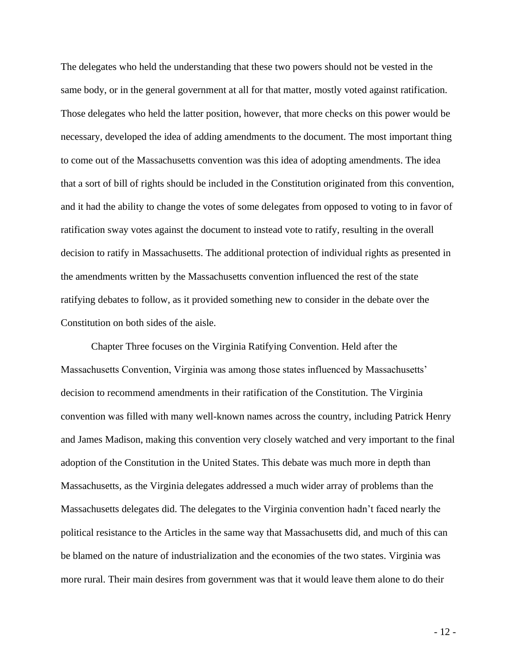The delegates who held the understanding that these two powers should not be vested in the same body, or in the general government at all for that matter, mostly voted against ratification. Those delegates who held the latter position, however, that more checks on this power would be necessary, developed the idea of adding amendments to the document. The most important thing to come out of the Massachusetts convention was this idea of adopting amendments. The idea that a sort of bill of rights should be included in the Constitution originated from this convention, and it had the ability to change the votes of some delegates from opposed to voting to in favor of ratification sway votes against the document to instead vote to ratify, resulting in the overall decision to ratify in Massachusetts. The additional protection of individual rights as presented in the amendments written by the Massachusetts convention influenced the rest of the state ratifying debates to follow, as it provided something new to consider in the debate over the Constitution on both sides of the aisle.

Chapter Three focuses on the Virginia Ratifying Convention. Held after the Massachusetts Convention, Virginia was among those states influenced by Massachusetts' decision to recommend amendments in their ratification of the Constitution. The Virginia convention was filled with many well-known names across the country, including Patrick Henry and James Madison, making this convention very closely watched and very important to the final adoption of the Constitution in the United States. This debate was much more in depth than Massachusetts, as the Virginia delegates addressed a much wider array of problems than the Massachusetts delegates did. The delegates to the Virginia convention hadn't faced nearly the political resistance to the Articles in the same way that Massachusetts did, and much of this can be blamed on the nature of industrialization and the economies of the two states. Virginia was more rural. Their main desires from government was that it would leave them alone to do their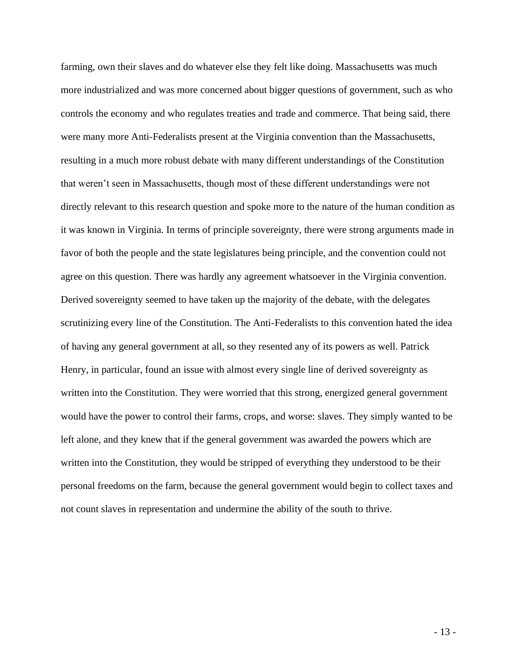farming, own their slaves and do whatever else they felt like doing. Massachusetts was much more industrialized and was more concerned about bigger questions of government, such as who controls the economy and who regulates treaties and trade and commerce. That being said, there were many more Anti-Federalists present at the Virginia convention than the Massachusetts, resulting in a much more robust debate with many different understandings of the Constitution that weren't seen in Massachusetts, though most of these different understandings were not directly relevant to this research question and spoke more to the nature of the human condition as it was known in Virginia. In terms of principle sovereignty, there were strong arguments made in favor of both the people and the state legislatures being principle, and the convention could not agree on this question. There was hardly any agreement whatsoever in the Virginia convention. Derived sovereignty seemed to have taken up the majority of the debate, with the delegates scrutinizing every line of the Constitution. The Anti-Federalists to this convention hated the idea of having any general government at all, so they resented any of its powers as well. Patrick Henry, in particular, found an issue with almost every single line of derived sovereignty as written into the Constitution. They were worried that this strong, energized general government would have the power to control their farms, crops, and worse: slaves. They simply wanted to be left alone, and they knew that if the general government was awarded the powers which are written into the Constitution, they would be stripped of everything they understood to be their personal freedoms on the farm, because the general government would begin to collect taxes and not count slaves in representation and undermine the ability of the south to thrive.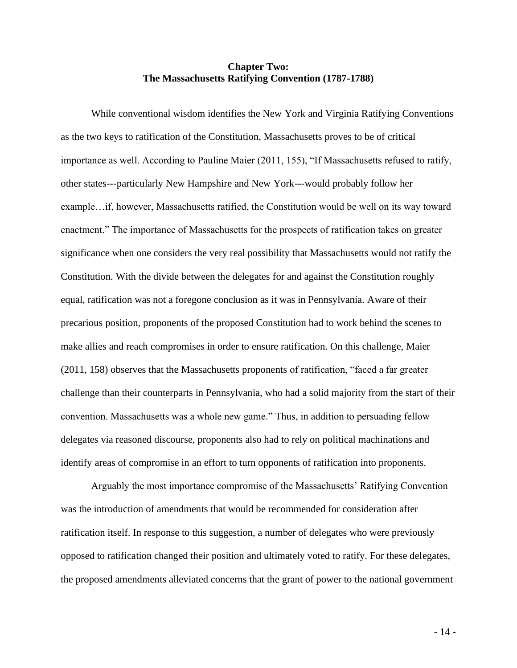#### **Chapter Two: The Massachusetts Ratifying Convention (1787-1788)**

While conventional wisdom identifies the New York and Virginia Ratifying Conventions as the two keys to ratification of the Constitution, Massachusetts proves to be of critical importance as well. According to Pauline Maier (2011, 155), "If Massachusetts refused to ratify, other states---particularly New Hampshire and New York---would probably follow her example…if, however, Massachusetts ratified, the Constitution would be well on its way toward enactment." The importance of Massachusetts for the prospects of ratification takes on greater significance when one considers the very real possibility that Massachusetts would not ratify the Constitution. With the divide between the delegates for and against the Constitution roughly equal, ratification was not a foregone conclusion as it was in Pennsylvania. Aware of their precarious position, proponents of the proposed Constitution had to work behind the scenes to make allies and reach compromises in order to ensure ratification. On this challenge, Maier (2011, 158) observes that the Massachusetts proponents of ratification, "faced a far greater challenge than their counterparts in Pennsylvania, who had a solid majority from the start of their convention. Massachusetts was a whole new game." Thus, in addition to persuading fellow delegates via reasoned discourse, proponents also had to rely on political machinations and identify areas of compromise in an effort to turn opponents of ratification into proponents.

Arguably the most importance compromise of the Massachusetts' Ratifying Convention was the introduction of amendments that would be recommended for consideration after ratification itself. In response to this suggestion, a number of delegates who were previously opposed to ratification changed their position and ultimately voted to ratify. For these delegates, the proposed amendments alleviated concerns that the grant of power to the national government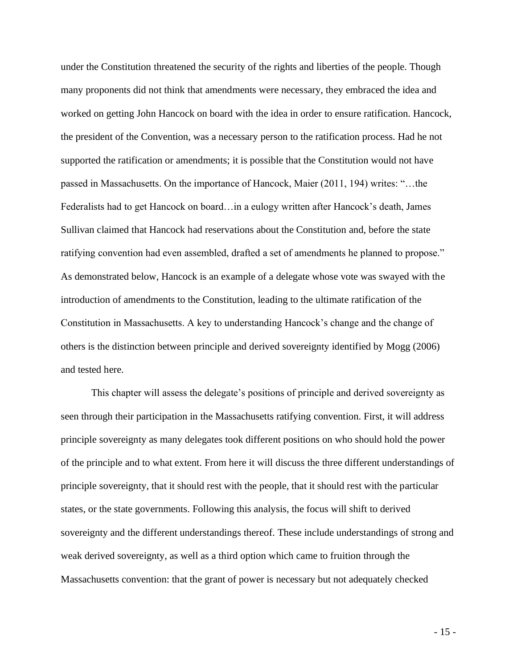under the Constitution threatened the security of the rights and liberties of the people. Though many proponents did not think that amendments were necessary, they embraced the idea and worked on getting John Hancock on board with the idea in order to ensure ratification. Hancock, the president of the Convention, was a necessary person to the ratification process. Had he not supported the ratification or amendments; it is possible that the Constitution would not have passed in Massachusetts. On the importance of Hancock, Maier (2011, 194) writes: "…the Federalists had to get Hancock on board…in a eulogy written after Hancock's death, James Sullivan claimed that Hancock had reservations about the Constitution and, before the state ratifying convention had even assembled, drafted a set of amendments he planned to propose." As demonstrated below, Hancock is an example of a delegate whose vote was swayed with the introduction of amendments to the Constitution, leading to the ultimate ratification of the Constitution in Massachusetts. A key to understanding Hancock's change and the change of others is the distinction between principle and derived sovereignty identified by Mogg (2006) and tested here.

This chapter will assess the delegate's positions of principle and derived sovereignty as seen through their participation in the Massachusetts ratifying convention. First, it will address principle sovereignty as many delegates took different positions on who should hold the power of the principle and to what extent. From here it will discuss the three different understandings of principle sovereignty, that it should rest with the people, that it should rest with the particular states, or the state governments. Following this analysis, the focus will shift to derived sovereignty and the different understandings thereof. These include understandings of strong and weak derived sovereignty, as well as a third option which came to fruition through the Massachusetts convention: that the grant of power is necessary but not adequately checked

- 15 -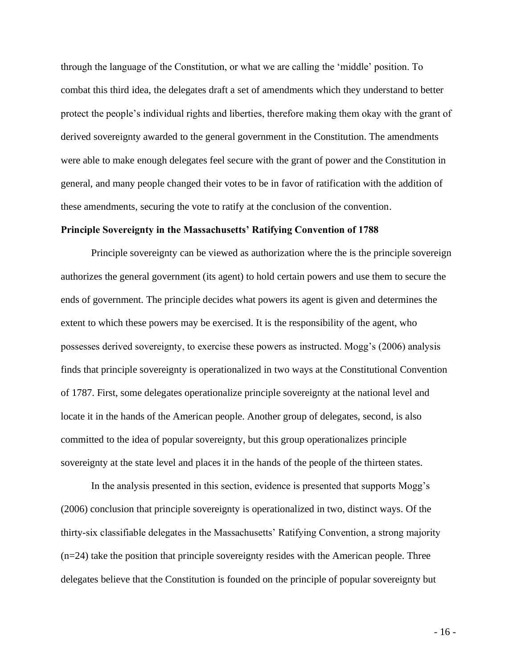through the language of the Constitution, or what we are calling the 'middle' position. To combat this third idea, the delegates draft a set of amendments which they understand to better protect the people's individual rights and liberties, therefore making them okay with the grant of derived sovereignty awarded to the general government in the Constitution. The amendments were able to make enough delegates feel secure with the grant of power and the Constitution in general, and many people changed their votes to be in favor of ratification with the addition of these amendments, securing the vote to ratify at the conclusion of the convention.

#### **Principle Sovereignty in the Massachusetts' Ratifying Convention of 1788**

Principle sovereignty can be viewed as authorization where the is the principle sovereign authorizes the general government (its agent) to hold certain powers and use them to secure the ends of government. The principle decides what powers its agent is given and determines the extent to which these powers may be exercised. It is the responsibility of the agent, who possesses derived sovereignty, to exercise these powers as instructed. Mogg's (2006) analysis finds that principle sovereignty is operationalized in two ways at the Constitutional Convention of 1787. First, some delegates operationalize principle sovereignty at the national level and locate it in the hands of the American people. Another group of delegates, second, is also committed to the idea of popular sovereignty, but this group operationalizes principle sovereignty at the state level and places it in the hands of the people of the thirteen states.

In the analysis presented in this section, evidence is presented that supports Mogg's (2006) conclusion that principle sovereignty is operationalized in two, distinct ways. Of the thirty-six classifiable delegates in the Massachusetts' Ratifying Convention, a strong majority (n=24) take the position that principle sovereignty resides with the American people. Three delegates believe that the Constitution is founded on the principle of popular sovereignty but

- 16 -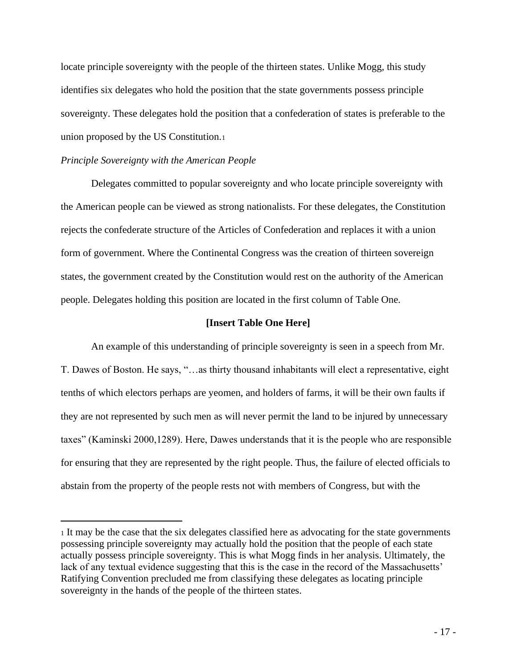locate principle sovereignty with the people of the thirteen states. Unlike Mogg, this study identifies six delegates who hold the position that the state governments possess principle sovereignty. These delegates hold the position that a confederation of states is preferable to the union proposed by the US Constitution.<sup>1</sup>

#### *Principle Sovereignty with the American People*

Delegates committed to popular sovereignty and who locate principle sovereignty with the American people can be viewed as strong nationalists. For these delegates, the Constitution rejects the confederate structure of the Articles of Confederation and replaces it with a union form of government. Where the Continental Congress was the creation of thirteen sovereign states, the government created by the Constitution would rest on the authority of the American people. Delegates holding this position are located in the first column of Table One.

#### **[Insert Table One Here]**

An example of this understanding of principle sovereignty is seen in a speech from Mr. T. Dawes of Boston. He says, "…as thirty thousand inhabitants will elect a representative, eight tenths of which electors perhaps are yeomen, and holders of farms, it will be their own faults if they are not represented by such men as will never permit the land to be injured by unnecessary taxes" (Kaminski 2000,1289). Here, Dawes understands that it is the people who are responsible for ensuring that they are represented by the right people. Thus, the failure of elected officials to abstain from the property of the people rests not with members of Congress, but with the

<sup>1</sup> It may be the case that the six delegates classified here as advocating for the state governments possessing principle sovereignty may actually hold the position that the people of each state actually possess principle sovereignty. This is what Mogg finds in her analysis. Ultimately, the lack of any textual evidence suggesting that this is the case in the record of the Massachusetts' Ratifying Convention precluded me from classifying these delegates as locating principle sovereignty in the hands of the people of the thirteen states.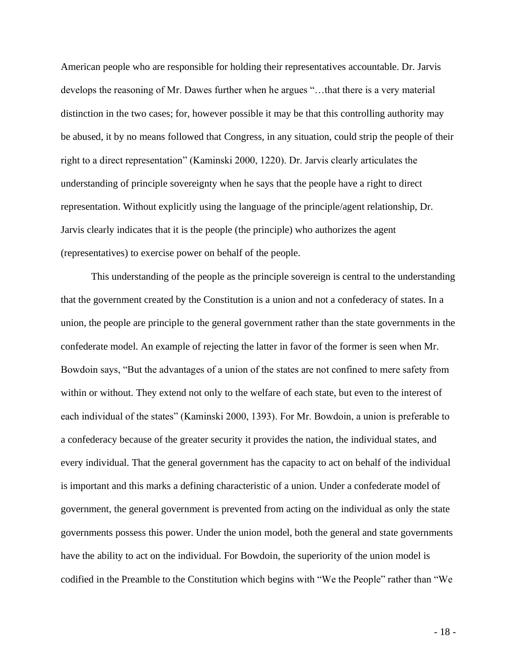American people who are responsible for holding their representatives accountable. Dr. Jarvis develops the reasoning of Mr. Dawes further when he argues "…that there is a very material distinction in the two cases; for, however possible it may be that this controlling authority may be abused, it by no means followed that Congress, in any situation, could strip the people of their right to a direct representation" (Kaminski 2000, 1220). Dr. Jarvis clearly articulates the understanding of principle sovereignty when he says that the people have a right to direct representation. Without explicitly using the language of the principle/agent relationship, Dr. Jarvis clearly indicates that it is the people (the principle) who authorizes the agent (representatives) to exercise power on behalf of the people.

This understanding of the people as the principle sovereign is central to the understanding that the government created by the Constitution is a union and not a confederacy of states. In a union, the people are principle to the general government rather than the state governments in the confederate model. An example of rejecting the latter in favor of the former is seen when Mr. Bowdoin says, "But the advantages of a union of the states are not confined to mere safety from within or without. They extend not only to the welfare of each state, but even to the interest of each individual of the states" (Kaminski 2000, 1393). For Mr. Bowdoin, a union is preferable to a confederacy because of the greater security it provides the nation, the individual states, and every individual. That the general government has the capacity to act on behalf of the individual is important and this marks a defining characteristic of a union. Under a confederate model of government, the general government is prevented from acting on the individual as only the state governments possess this power. Under the union model, both the general and state governments have the ability to act on the individual. For Bowdoin, the superiority of the union model is codified in the Preamble to the Constitution which begins with "We the People" rather than "We

- 18 -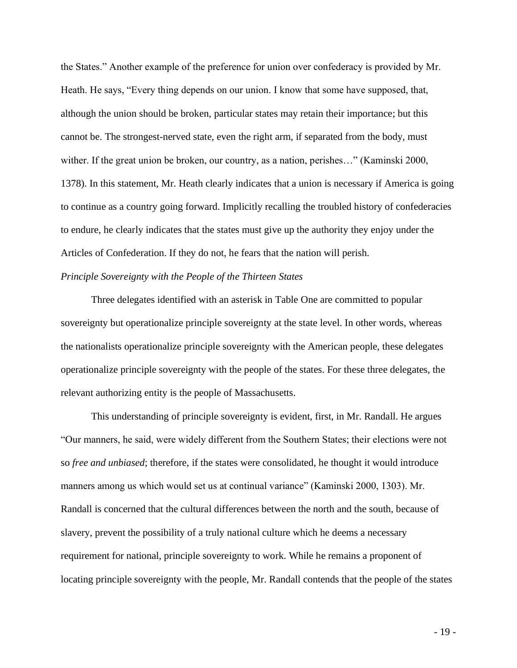the States." Another example of the preference for union over confederacy is provided by Mr. Heath. He says, "Every thing depends on our union. I know that some have supposed, that, although the union should be broken, particular states may retain their importance; but this cannot be. The strongest-nerved state, even the right arm, if separated from the body, must wither. If the great union be broken, our country, as a nation, perishes…" (Kaminski 2000, 1378). In this statement, Mr. Heath clearly indicates that a union is necessary if America is going to continue as a country going forward. Implicitly recalling the troubled history of confederacies to endure, he clearly indicates that the states must give up the authority they enjoy under the Articles of Confederation. If they do not, he fears that the nation will perish.

#### *Principle Sovereignty with the People of the Thirteen States*

Three delegates identified with an asterisk in Table One are committed to popular sovereignty but operationalize principle sovereignty at the state level. In other words, whereas the nationalists operationalize principle sovereignty with the American people, these delegates operationalize principle sovereignty with the people of the states. For these three delegates, the relevant authorizing entity is the people of Massachusetts.

This understanding of principle sovereignty is evident, first, in Mr. Randall. He argues "Our manners, he said, were widely different from the Southern States; their elections were not so *free and unbiased*; therefore, if the states were consolidated, he thought it would introduce manners among us which would set us at continual variance" (Kaminski 2000, 1303). Mr. Randall is concerned that the cultural differences between the north and the south, because of slavery, prevent the possibility of a truly national culture which he deems a necessary requirement for national, principle sovereignty to work. While he remains a proponent of locating principle sovereignty with the people, Mr. Randall contends that the people of the states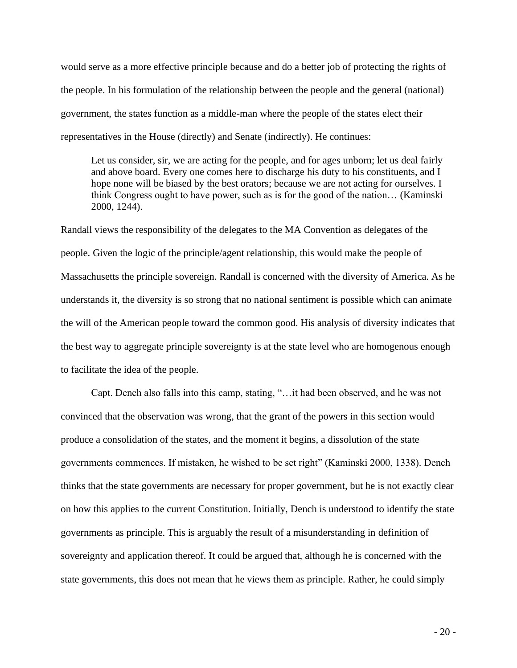would serve as a more effective principle because and do a better job of protecting the rights of the people. In his formulation of the relationship between the people and the general (national) government, the states function as a middle-man where the people of the states elect their representatives in the House (directly) and Senate (indirectly). He continues:

Let us consider, sir, we are acting for the people, and for ages unborn; let us deal fairly and above board. Every one comes here to discharge his duty to his constituents, and I hope none will be biased by the best orators; because we are not acting for ourselves. I think Congress ought to have power, such as is for the good of the nation… (Kaminski 2000, 1244).

Randall views the responsibility of the delegates to the MA Convention as delegates of the people. Given the logic of the principle/agent relationship, this would make the people of Massachusetts the principle sovereign. Randall is concerned with the diversity of America. As he understands it, the diversity is so strong that no national sentiment is possible which can animate the will of the American people toward the common good. His analysis of diversity indicates that the best way to aggregate principle sovereignty is at the state level who are homogenous enough to facilitate the idea of the people.

Capt. Dench also falls into this camp, stating, "…it had been observed, and he was not convinced that the observation was wrong, that the grant of the powers in this section would produce a consolidation of the states, and the moment it begins, a dissolution of the state governments commences. If mistaken, he wished to be set right" (Kaminski 2000, 1338). Dench thinks that the state governments are necessary for proper government, but he is not exactly clear on how this applies to the current Constitution. Initially, Dench is understood to identify the state governments as principle. This is arguably the result of a misunderstanding in definition of sovereignty and application thereof. It could be argued that, although he is concerned with the state governments, this does not mean that he views them as principle. Rather, he could simply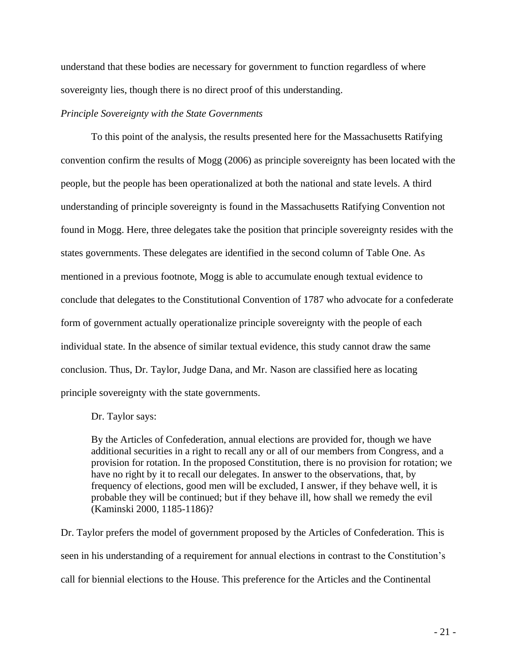understand that these bodies are necessary for government to function regardless of where sovereignty lies, though there is no direct proof of this understanding.

#### *Principle Sovereignty with the State Governments*

To this point of the analysis, the results presented here for the Massachusetts Ratifying convention confirm the results of Mogg (2006) as principle sovereignty has been located with the people, but the people has been operationalized at both the national and state levels. A third understanding of principle sovereignty is found in the Massachusetts Ratifying Convention not found in Mogg. Here, three delegates take the position that principle sovereignty resides with the states governments. These delegates are identified in the second column of Table One. As mentioned in a previous footnote, Mogg is able to accumulate enough textual evidence to conclude that delegates to the Constitutional Convention of 1787 who advocate for a confederate form of government actually operationalize principle sovereignty with the people of each individual state. In the absence of similar textual evidence, this study cannot draw the same conclusion. Thus, Dr. Taylor, Judge Dana, and Mr. Nason are classified here as locating principle sovereignty with the state governments.

Dr. Taylor says:

By the Articles of Confederation, annual elections are provided for, though we have additional securities in a right to recall any or all of our members from Congress, and a provision for rotation. In the proposed Constitution, there is no provision for rotation; we have no right by it to recall our delegates. In answer to the observations, that, by frequency of elections, good men will be excluded, I answer, if they behave well, it is probable they will be continued; but if they behave ill, how shall we remedy the evil (Kaminski 2000, 1185-1186)?

Dr. Taylor prefers the model of government proposed by the Articles of Confederation. This is seen in his understanding of a requirement for annual elections in contrast to the Constitution's call for biennial elections to the House. This preference for the Articles and the Continental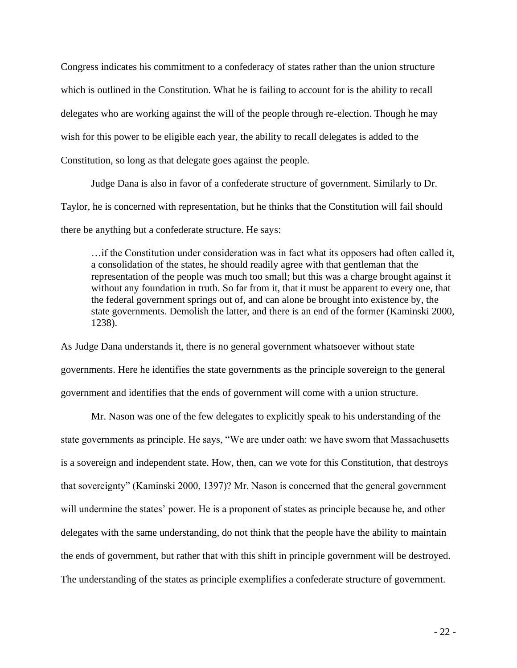Congress indicates his commitment to a confederacy of states rather than the union structure which is outlined in the Constitution. What he is failing to account for is the ability to recall delegates who are working against the will of the people through re-election. Though he may wish for this power to be eligible each year, the ability to recall delegates is added to the Constitution, so long as that delegate goes against the people.

Judge Dana is also in favor of a confederate structure of government. Similarly to Dr. Taylor, he is concerned with representation, but he thinks that the Constitution will fail should there be anything but a confederate structure. He says:

…if the Constitution under consideration was in fact what its opposers had often called it, a consolidation of the states, he should readily agree with that gentleman that the representation of the people was much too small; but this was a charge brought against it without any foundation in truth. So far from it, that it must be apparent to every one, that the federal government springs out of, and can alone be brought into existence by, the state governments. Demolish the latter, and there is an end of the former (Kaminski 2000, 1238).

As Judge Dana understands it, there is no general government whatsoever without state governments. Here he identifies the state governments as the principle sovereign to the general government and identifies that the ends of government will come with a union structure.

Mr. Nason was one of the few delegates to explicitly speak to his understanding of the state governments as principle. He says, "We are under oath: we have sworn that Massachusetts is a sovereign and independent state. How, then, can we vote for this Constitution, that destroys that sovereignty" (Kaminski 2000, 1397)? Mr. Nason is concerned that the general government will undermine the states' power. He is a proponent of states as principle because he, and other delegates with the same understanding, do not think that the people have the ability to maintain the ends of government, but rather that with this shift in principle government will be destroyed. The understanding of the states as principle exemplifies a confederate structure of government.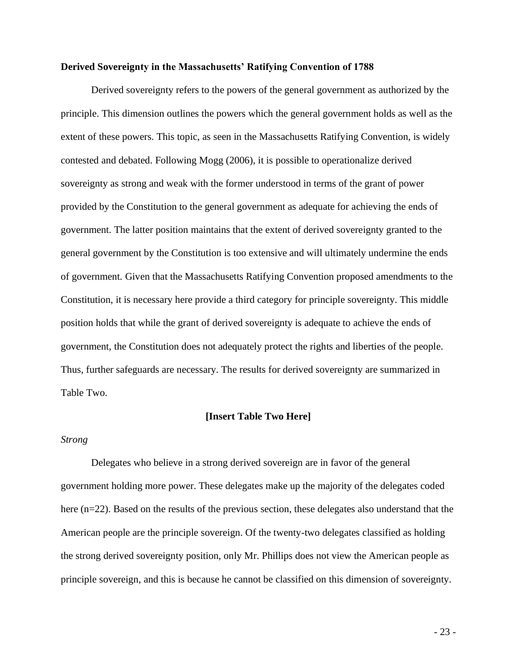#### **Derived Sovereignty in the Massachusetts' Ratifying Convention of 1788**

Derived sovereignty refers to the powers of the general government as authorized by the principle. This dimension outlines the powers which the general government holds as well as the extent of these powers. This topic, as seen in the Massachusetts Ratifying Convention, is widely contested and debated. Following Mogg (2006), it is possible to operationalize derived sovereignty as strong and weak with the former understood in terms of the grant of power provided by the Constitution to the general government as adequate for achieving the ends of government. The latter position maintains that the extent of derived sovereignty granted to the general government by the Constitution is too extensive and will ultimately undermine the ends of government. Given that the Massachusetts Ratifying Convention proposed amendments to the Constitution, it is necessary here provide a third category for principle sovereignty. This middle position holds that while the grant of derived sovereignty is adequate to achieve the ends of government, the Constitution does not adequately protect the rights and liberties of the people. Thus, further safeguards are necessary. The results for derived sovereignty are summarized in Table Two.

#### **[Insert Table Two Here]**

#### *Strong*

Delegates who believe in a strong derived sovereign are in favor of the general government holding more power. These delegates make up the majority of the delegates coded here (n=22). Based on the results of the previous section, these delegates also understand that the American people are the principle sovereign. Of the twenty-two delegates classified as holding the strong derived sovereignty position, only Mr. Phillips does not view the American people as principle sovereign, and this is because he cannot be classified on this dimension of sovereignty.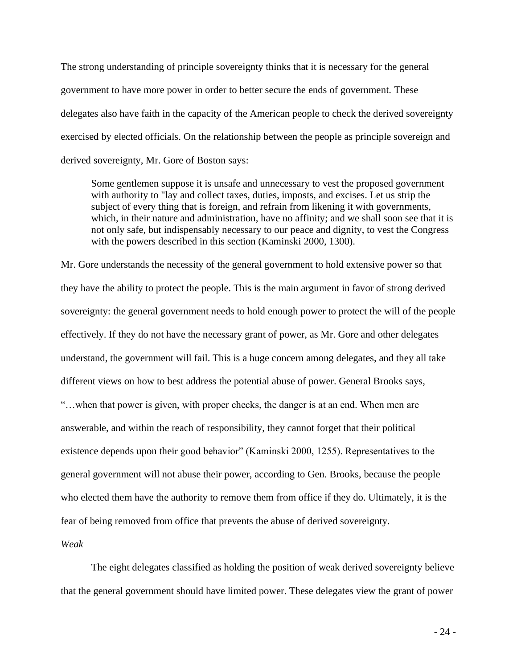The strong understanding of principle sovereignty thinks that it is necessary for the general government to have more power in order to better secure the ends of government. These delegates also have faith in the capacity of the American people to check the derived sovereignty exercised by elected officials. On the relationship between the people as principle sovereign and derived sovereignty, Mr. Gore of Boston says:

Some gentlemen suppose it is unsafe and unnecessary to vest the proposed government with authority to "lay and collect taxes, duties, imposts, and excises. Let us strip the subject of every thing that is foreign, and refrain from likening it with governments, which, in their nature and administration, have no affinity; and we shall soon see that it is not only safe, but indispensably necessary to our peace and dignity, to vest the Congress with the powers described in this section (Kaminski 2000, 1300).

Mr. Gore understands the necessity of the general government to hold extensive power so that they have the ability to protect the people. This is the main argument in favor of strong derived sovereignty: the general government needs to hold enough power to protect the will of the people effectively. If they do not have the necessary grant of power, as Mr. Gore and other delegates understand, the government will fail. This is a huge concern among delegates, and they all take different views on how to best address the potential abuse of power. General Brooks says, "…when that power is given, with proper checks, the danger is at an end. When men are answerable, and within the reach of responsibility, they cannot forget that their political existence depends upon their good behavior" (Kaminski 2000, 1255). Representatives to the general government will not abuse their power, according to Gen. Brooks, because the people who elected them have the authority to remove them from office if they do. Ultimately, it is the fear of being removed from office that prevents the abuse of derived sovereignty.

*Weak*

The eight delegates classified as holding the position of weak derived sovereignty believe that the general government should have limited power. These delegates view the grant of power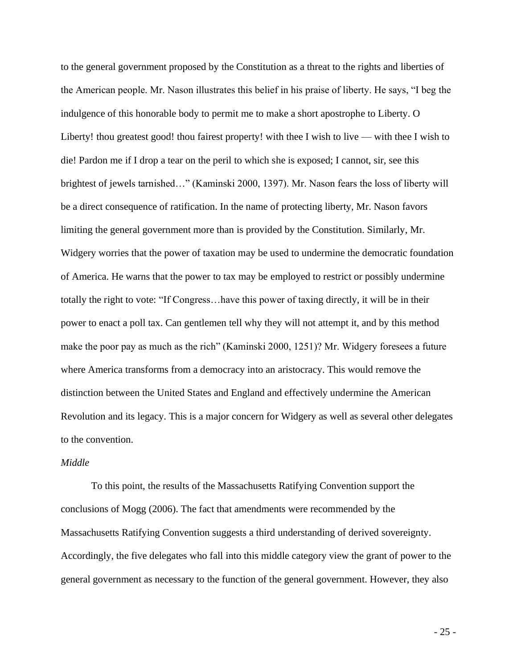to the general government proposed by the Constitution as a threat to the rights and liberties of the American people. Mr. Nason illustrates this belief in his praise of liberty. He says, "I beg the indulgence of this honorable body to permit me to make a short apostrophe to Liberty. O Liberty! thou greatest good! thou fairest property! with thee I wish to live — with thee I wish to die! Pardon me if I drop a tear on the peril to which she is exposed; I cannot, sir, see this brightest of jewels tarnished…" (Kaminski 2000, 1397). Mr. Nason fears the loss of liberty will be a direct consequence of ratification. In the name of protecting liberty, Mr. Nason favors limiting the general government more than is provided by the Constitution. Similarly, Mr. Widgery worries that the power of taxation may be used to undermine the democratic foundation of America. He warns that the power to tax may be employed to restrict or possibly undermine totally the right to vote: "If Congress…have this power of taxing directly, it will be in their power to enact a poll tax. Can gentlemen tell why they will not attempt it, and by this method make the poor pay as much as the rich" (Kaminski 2000, 1251)? Mr. Widgery foresees a future where America transforms from a democracy into an aristocracy. This would remove the distinction between the United States and England and effectively undermine the American Revolution and its legacy. This is a major concern for Widgery as well as several other delegates to the convention.

#### *Middle*

To this point, the results of the Massachusetts Ratifying Convention support the conclusions of Mogg (2006). The fact that amendments were recommended by the Massachusetts Ratifying Convention suggests a third understanding of derived sovereignty. Accordingly, the five delegates who fall into this middle category view the grant of power to the general government as necessary to the function of the general government. However, they also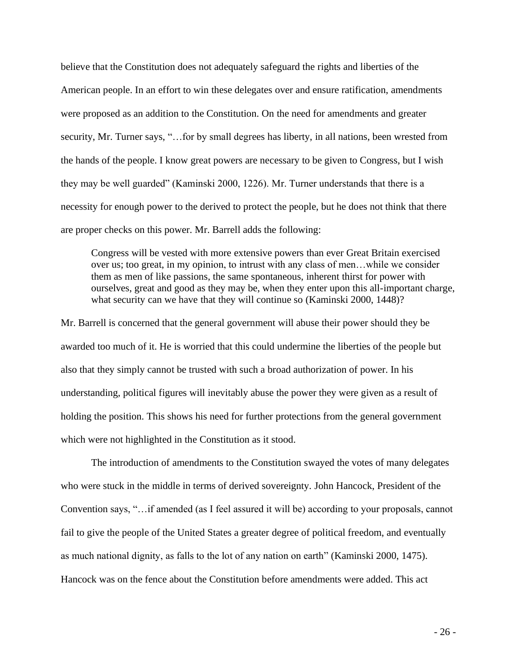believe that the Constitution does not adequately safeguard the rights and liberties of the American people. In an effort to win these delegates over and ensure ratification, amendments were proposed as an addition to the Constitution. On the need for amendments and greater security, Mr. Turner says, "... for by small degrees has liberty, in all nations, been wrested from the hands of the people. I know great powers are necessary to be given to Congress, but I wish they may be well guarded" (Kaminski 2000, 1226). Mr. Turner understands that there is a necessity for enough power to the derived to protect the people, but he does not think that there are proper checks on this power. Mr. Barrell adds the following:

Congress will be vested with more extensive powers than ever Great Britain exercised over us; too great, in my opinion, to intrust with any class of men…while we consider them as men of like passions, the same spontaneous, inherent thirst for power with ourselves, great and good as they may be, when they enter upon this all-important charge, what security can we have that they will continue so (Kaminski 2000, 1448)?

Mr. Barrell is concerned that the general government will abuse their power should they be awarded too much of it. He is worried that this could undermine the liberties of the people but also that they simply cannot be trusted with such a broad authorization of power. In his understanding, political figures will inevitably abuse the power they were given as a result of holding the position. This shows his need for further protections from the general government which were not highlighted in the Constitution as it stood.

The introduction of amendments to the Constitution swayed the votes of many delegates who were stuck in the middle in terms of derived sovereignty. John Hancock, President of the Convention says, "…if amended (as I feel assured it will be) according to your proposals, cannot fail to give the people of the United States a greater degree of political freedom, and eventually as much national dignity, as falls to the lot of any nation on earth" (Kaminski 2000, 1475). Hancock was on the fence about the Constitution before amendments were added. This act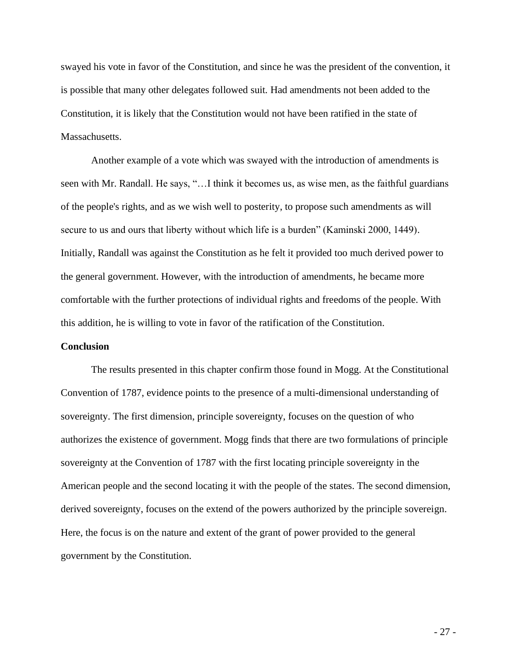swayed his vote in favor of the Constitution, and since he was the president of the convention, it is possible that many other delegates followed suit. Had amendments not been added to the Constitution, it is likely that the Constitution would not have been ratified in the state of Massachusetts.

Another example of a vote which was swayed with the introduction of amendments is seen with Mr. Randall. He says, "…I think it becomes us, as wise men, as the faithful guardians of the people's rights, and as we wish well to posterity, to propose such amendments as will secure to us and ours that liberty without which life is a burden" (Kaminski 2000, 1449). Initially, Randall was against the Constitution as he felt it provided too much derived power to the general government. However, with the introduction of amendments, he became more comfortable with the further protections of individual rights and freedoms of the people. With this addition, he is willing to vote in favor of the ratification of the Constitution.

#### **Conclusion**

The results presented in this chapter confirm those found in Mogg. At the Constitutional Convention of 1787, evidence points to the presence of a multi-dimensional understanding of sovereignty. The first dimension, principle sovereignty, focuses on the question of who authorizes the existence of government. Mogg finds that there are two formulations of principle sovereignty at the Convention of 1787 with the first locating principle sovereignty in the American people and the second locating it with the people of the states. The second dimension, derived sovereignty, focuses on the extend of the powers authorized by the principle sovereign. Here, the focus is on the nature and extent of the grant of power provided to the general government by the Constitution.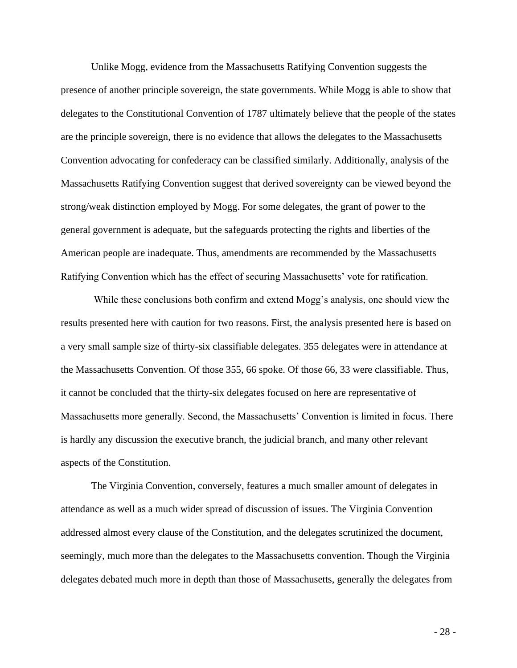Unlike Mogg, evidence from the Massachusetts Ratifying Convention suggests the presence of another principle sovereign, the state governments. While Mogg is able to show that delegates to the Constitutional Convention of 1787 ultimately believe that the people of the states are the principle sovereign, there is no evidence that allows the delegates to the Massachusetts Convention advocating for confederacy can be classified similarly. Additionally, analysis of the Massachusetts Ratifying Convention suggest that derived sovereignty can be viewed beyond the strong/weak distinction employed by Mogg. For some delegates, the grant of power to the general government is adequate, but the safeguards protecting the rights and liberties of the American people are inadequate. Thus, amendments are recommended by the Massachusetts Ratifying Convention which has the effect of securing Massachusetts' vote for ratification.

While these conclusions both confirm and extend Mogg's analysis, one should view the results presented here with caution for two reasons. First, the analysis presented here is based on a very small sample size of thirty-six classifiable delegates. 355 delegates were in attendance at the Massachusetts Convention. Of those 355, 66 spoke. Of those 66, 33 were classifiable. Thus, it cannot be concluded that the thirty-six delegates focused on here are representative of Massachusetts more generally. Second, the Massachusetts' Convention is limited in focus. There is hardly any discussion the executive branch, the judicial branch, and many other relevant aspects of the Constitution.

The Virginia Convention, conversely, features a much smaller amount of delegates in attendance as well as a much wider spread of discussion of issues. The Virginia Convention addressed almost every clause of the Constitution, and the delegates scrutinized the document, seemingly, much more than the delegates to the Massachusetts convention. Though the Virginia delegates debated much more in depth than those of Massachusetts, generally the delegates from

- 28 -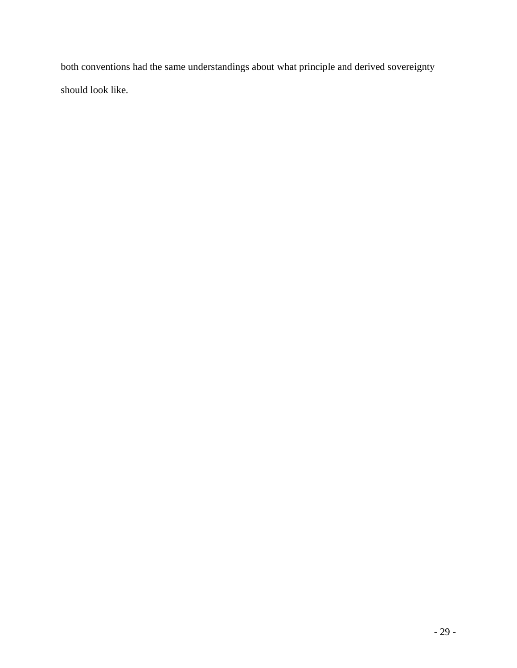both conventions had the same understandings about what principle and derived sovereignty should look like.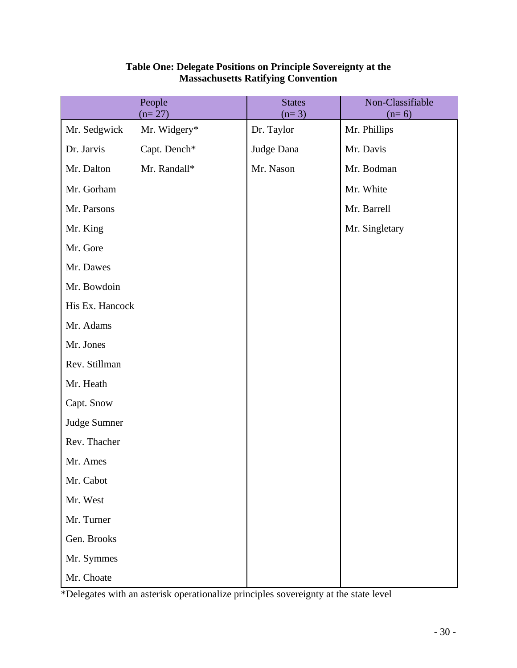|                 | People<br>$(n=27)$ | <b>States</b><br>$(n=3)$ | Non-Classifiable<br>$(n=6)$ |
|-----------------|--------------------|--------------------------|-----------------------------|
| Mr. Sedgwick    | Mr. Widgery*       | Dr. Taylor               | Mr. Phillips                |
| Dr. Jarvis      | Capt. Dench*       | Judge Dana               | Mr. Davis                   |
| Mr. Dalton      | Mr. Randall*       | Mr. Nason                | Mr. Bodman                  |
| Mr. Gorham      |                    |                          | Mr. White                   |
| Mr. Parsons     |                    |                          | Mr. Barrell                 |
| Mr. King        |                    |                          | Mr. Singletary              |
| Mr. Gore        |                    |                          |                             |
| Mr. Dawes       |                    |                          |                             |
| Mr. Bowdoin     |                    |                          |                             |
| His Ex. Hancock |                    |                          |                             |
| Mr. Adams       |                    |                          |                             |
| Mr. Jones       |                    |                          |                             |
| Rev. Stillman   |                    |                          |                             |
| Mr. Heath       |                    |                          |                             |
| Capt. Snow      |                    |                          |                             |
| Judge Sumner    |                    |                          |                             |
| Rev. Thacher    |                    |                          |                             |
| Mr. Ames        |                    |                          |                             |
| Mr. Cabot       |                    |                          |                             |
| Mr. West        |                    |                          |                             |
| Mr. Turner      |                    |                          |                             |
| Gen. Brooks     |                    |                          |                             |
| Mr. Symmes      |                    |                          |                             |
| Mr. Choate      |                    |                          |                             |

#### **Table One: Delegate Positions on Principle Sovereignty at the Massachusetts Ratifying Convention**

\*Delegates with an asterisk operationalize principles sovereignty at the state level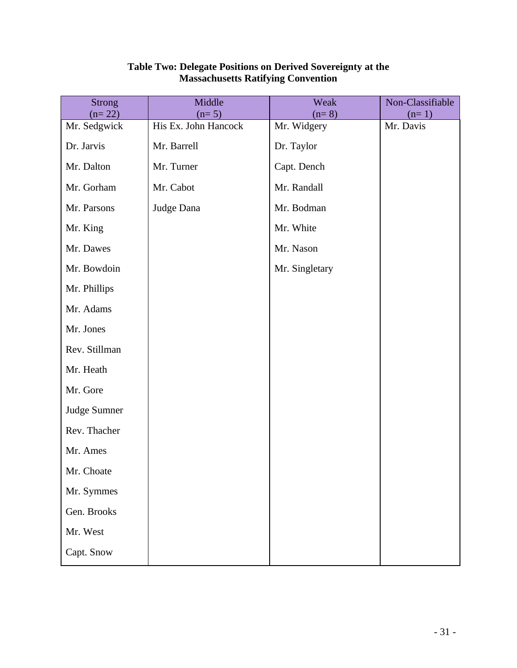| <b>Strong</b>            | Middle                          | Weak                   | Non-Classifiable     |
|--------------------------|---------------------------------|------------------------|----------------------|
| $(n=22)$<br>Mr. Sedgwick | $(n=5)$<br>His Ex. John Hancock | $(n=8)$<br>Mr. Widgery | $(n=1)$<br>Mr. Davis |
| Dr. Jarvis               | Mr. Barrell                     | Dr. Taylor             |                      |
| Mr. Dalton               | Mr. Turner                      | Capt. Dench            |                      |
| Mr. Gorham               | Mr. Cabot                       | Mr. Randall            |                      |
| Mr. Parsons              | Judge Dana                      | Mr. Bodman             |                      |
| Mr. King                 |                                 | Mr. White              |                      |
| Mr. Dawes                |                                 | Mr. Nason              |                      |
| Mr. Bowdoin              |                                 | Mr. Singletary         |                      |
| Mr. Phillips             |                                 |                        |                      |
| Mr. Adams                |                                 |                        |                      |
| Mr. Jones                |                                 |                        |                      |
| Rev. Stillman            |                                 |                        |                      |
| Mr. Heath                |                                 |                        |                      |
| Mr. Gore                 |                                 |                        |                      |
| Judge Sumner             |                                 |                        |                      |
| Rev. Thacher             |                                 |                        |                      |
| Mr. Ames                 |                                 |                        |                      |
| Mr. Choate               |                                 |                        |                      |
| Mr. Symmes               |                                 |                        |                      |
| Gen. Brooks              |                                 |                        |                      |
| Mr. West                 |                                 |                        |                      |
| Capt. Snow               |                                 |                        |                      |

#### **Table Two: Delegate Positions on Derived Sovereignty at the Massachusetts Ratifying Convention**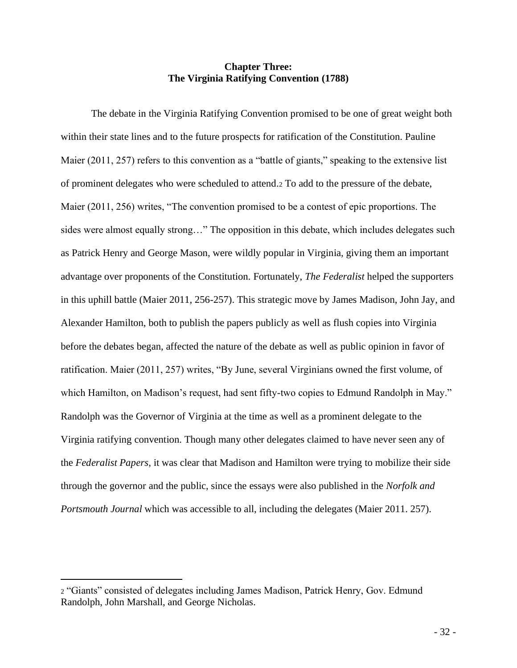#### **Chapter Three: The Virginia Ratifying Convention (1788)**

The debate in the Virginia Ratifying Convention promised to be one of great weight both within their state lines and to the future prospects for ratification of the Constitution. Pauline Maier (2011, 257) refers to this convention as a "battle of giants," speaking to the extensive list of prominent delegates who were scheduled to attend.<sup>2</sup> To add to the pressure of the debate, Maier (2011, 256) writes, "The convention promised to be a contest of epic proportions. The sides were almost equally strong…" The opposition in this debate, which includes delegates such as Patrick Henry and George Mason, were wildly popular in Virginia, giving them an important advantage over proponents of the Constitution. Fortunately, *The Federalist* helped the supporters in this uphill battle (Maier 2011, 256-257). This strategic move by James Madison, John Jay, and Alexander Hamilton, both to publish the papers publicly as well as flush copies into Virginia before the debates began, affected the nature of the debate as well as public opinion in favor of ratification. Maier (2011, 257) writes, "By June, several Virginians owned the first volume, of which Hamilton, on Madison's request, had sent fifty-two copies to Edmund Randolph in May." Randolph was the Governor of Virginia at the time as well as a prominent delegate to the Virginia ratifying convention. Though many other delegates claimed to have never seen any of the *Federalist Papers*, it was clear that Madison and Hamilton were trying to mobilize their side through the governor and the public, since the essays were also published in the *Norfolk and Portsmouth Journal* which was accessible to all, including the delegates (Maier 2011. 257).

<sup>2</sup> "Giants" consisted of delegates including James Madison, Patrick Henry, Gov. Edmund Randolph, John Marshall, and George Nicholas.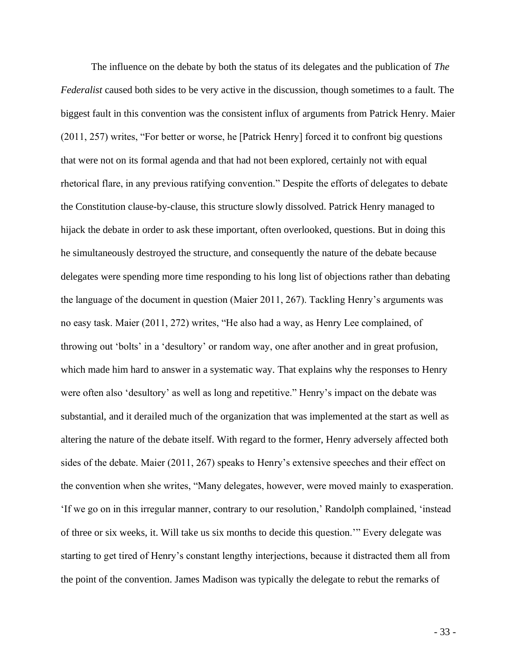The influence on the debate by both the status of its delegates and the publication of *The Federalist* caused both sides to be very active in the discussion, though sometimes to a fault. The biggest fault in this convention was the consistent influx of arguments from Patrick Henry. Maier (2011, 257) writes, "For better or worse, he [Patrick Henry] forced it to confront big questions that were not on its formal agenda and that had not been explored, certainly not with equal rhetorical flare, in any previous ratifying convention." Despite the efforts of delegates to debate the Constitution clause-by-clause, this structure slowly dissolved. Patrick Henry managed to hijack the debate in order to ask these important, often overlooked, questions. But in doing this he simultaneously destroyed the structure, and consequently the nature of the debate because delegates were spending more time responding to his long list of objections rather than debating the language of the document in question (Maier 2011, 267). Tackling Henry's arguments was no easy task. Maier (2011, 272) writes, "He also had a way, as Henry Lee complained, of throwing out 'bolts' in a 'desultory' or random way, one after another and in great profusion, which made him hard to answer in a systematic way. That explains why the responses to Henry were often also 'desultory' as well as long and repetitive." Henry's impact on the debate was substantial, and it derailed much of the organization that was implemented at the start as well as altering the nature of the debate itself. With regard to the former, Henry adversely affected both sides of the debate. Maier (2011, 267) speaks to Henry's extensive speeches and their effect on the convention when she writes, "Many delegates, however, were moved mainly to exasperation. 'If we go on in this irregular manner, contrary to our resolution,' Randolph complained, 'instead of three or six weeks, it. Will take us six months to decide this question.'" Every delegate was starting to get tired of Henry's constant lengthy interjections, because it distracted them all from the point of the convention. James Madison was typically the delegate to rebut the remarks of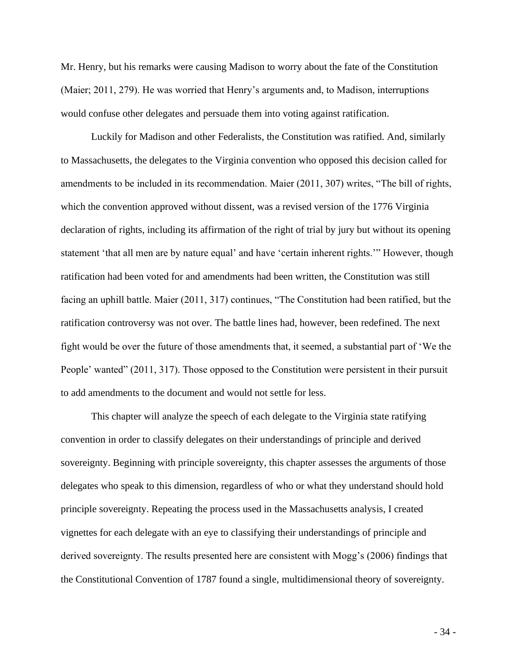Mr. Henry, but his remarks were causing Madison to worry about the fate of the Constitution (Maier; 2011, 279). He was worried that Henry's arguments and, to Madison, interruptions would confuse other delegates and persuade them into voting against ratification.

Luckily for Madison and other Federalists, the Constitution was ratified. And, similarly to Massachusetts, the delegates to the Virginia convention who opposed this decision called for amendments to be included in its recommendation. Maier (2011, 307) writes, "The bill of rights, which the convention approved without dissent, was a revised version of the 1776 Virginia declaration of rights, including its affirmation of the right of trial by jury but without its opening statement 'that all men are by nature equal' and have 'certain inherent rights.'" However, though ratification had been voted for and amendments had been written, the Constitution was still facing an uphill battle. Maier (2011, 317) continues, "The Constitution had been ratified, but the ratification controversy was not over. The battle lines had, however, been redefined. The next fight would be over the future of those amendments that, it seemed, a substantial part of 'We the People' wanted" (2011, 317). Those opposed to the Constitution were persistent in their pursuit to add amendments to the document and would not settle for less.

This chapter will analyze the speech of each delegate to the Virginia state ratifying convention in order to classify delegates on their understandings of principle and derived sovereignty. Beginning with principle sovereignty, this chapter assesses the arguments of those delegates who speak to this dimension, regardless of who or what they understand should hold principle sovereignty. Repeating the process used in the Massachusetts analysis, I created vignettes for each delegate with an eye to classifying their understandings of principle and derived sovereignty. The results presented here are consistent with Mogg's (2006) findings that the Constitutional Convention of 1787 found a single, multidimensional theory of sovereignty.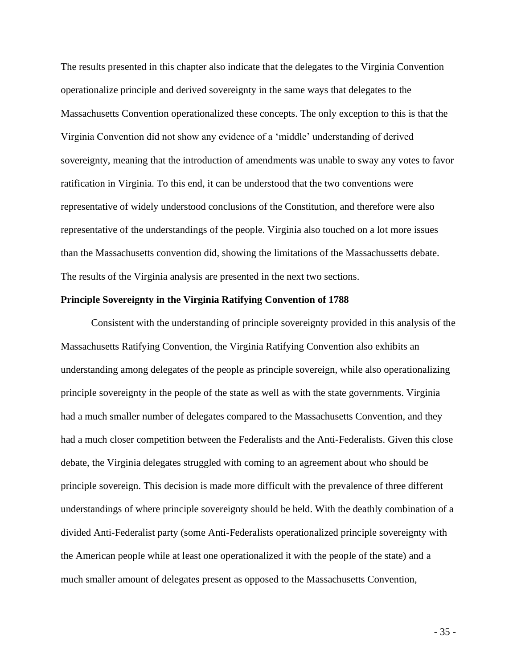The results presented in this chapter also indicate that the delegates to the Virginia Convention operationalize principle and derived sovereignty in the same ways that delegates to the Massachusetts Convention operationalized these concepts. The only exception to this is that the Virginia Convention did not show any evidence of a 'middle' understanding of derived sovereignty, meaning that the introduction of amendments was unable to sway any votes to favor ratification in Virginia. To this end, it can be understood that the two conventions were representative of widely understood conclusions of the Constitution, and therefore were also representative of the understandings of the people. Virginia also touched on a lot more issues than the Massachusetts convention did, showing the limitations of the Massachussetts debate. The results of the Virginia analysis are presented in the next two sections.

#### **Principle Sovereignty in the Virginia Ratifying Convention of 1788**

Consistent with the understanding of principle sovereignty provided in this analysis of the Massachusetts Ratifying Convention, the Virginia Ratifying Convention also exhibits an understanding among delegates of the people as principle sovereign, while also operationalizing principle sovereignty in the people of the state as well as with the state governments. Virginia had a much smaller number of delegates compared to the Massachusetts Convention, and they had a much closer competition between the Federalists and the Anti-Federalists. Given this close debate, the Virginia delegates struggled with coming to an agreement about who should be principle sovereign. This decision is made more difficult with the prevalence of three different understandings of where principle sovereignty should be held. With the deathly combination of a divided Anti-Federalist party (some Anti-Federalists operationalized principle sovereignty with the American people while at least one operationalized it with the people of the state) and a much smaller amount of delegates present as opposed to the Massachusetts Convention,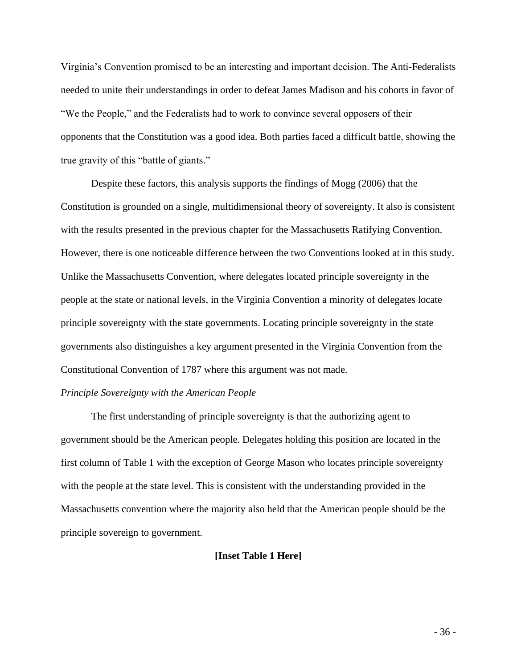Virginia's Convention promised to be an interesting and important decision. The Anti-Federalists needed to unite their understandings in order to defeat James Madison and his cohorts in favor of "We the People," and the Federalists had to work to convince several opposers of their opponents that the Constitution was a good idea. Both parties faced a difficult battle, showing the true gravity of this "battle of giants."

Despite these factors, this analysis supports the findings of Mogg (2006) that the Constitution is grounded on a single, multidimensional theory of sovereignty. It also is consistent with the results presented in the previous chapter for the Massachusetts Ratifying Convention. However, there is one noticeable difference between the two Conventions looked at in this study. Unlike the Massachusetts Convention, where delegates located principle sovereignty in the people at the state or national levels, in the Virginia Convention a minority of delegates locate principle sovereignty with the state governments. Locating principle sovereignty in the state governments also distinguishes a key argument presented in the Virginia Convention from the Constitutional Convention of 1787 where this argument was not made.

# *Principle Sovereignty with the American People*

The first understanding of principle sovereignty is that the authorizing agent to government should be the American people. Delegates holding this position are located in the first column of Table 1 with the exception of George Mason who locates principle sovereignty with the people at the state level. This is consistent with the understanding provided in the Massachusetts convention where the majority also held that the American people should be the principle sovereign to government.

## **[Inset Table 1 Here]**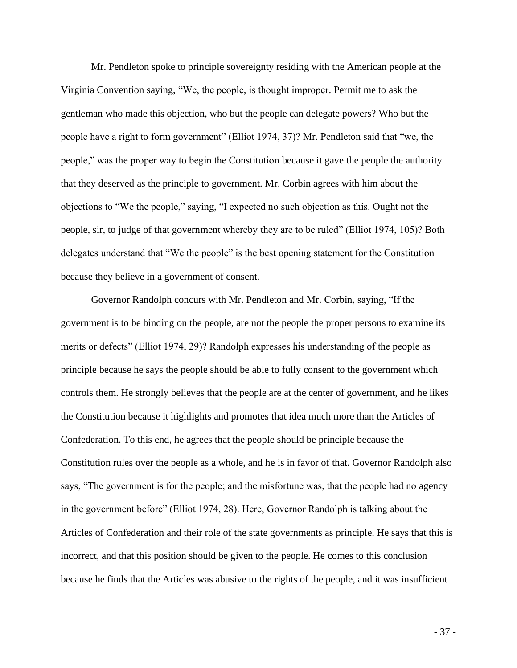Mr. Pendleton spoke to principle sovereignty residing with the American people at the Virginia Convention saying, "We, the people, is thought improper. Permit me to ask the gentleman who made this objection, who but the people can delegate powers? Who but the people have a right to form government" (Elliot 1974, 37)? Mr. Pendleton said that "we, the people," was the proper way to begin the Constitution because it gave the people the authority that they deserved as the principle to government. Mr. Corbin agrees with him about the objections to "We the people," saying, "I expected no such objection as this. Ought not the people, sir, to judge of that government whereby they are to be ruled" (Elliot 1974, 105)? Both delegates understand that "We the people" is the best opening statement for the Constitution because they believe in a government of consent.

Governor Randolph concurs with Mr. Pendleton and Mr. Corbin, saying, "If the government is to be binding on the people, are not the people the proper persons to examine its merits or defects" (Elliot 1974, 29)? Randolph expresses his understanding of the people as principle because he says the people should be able to fully consent to the government which controls them. He strongly believes that the people are at the center of government, and he likes the Constitution because it highlights and promotes that idea much more than the Articles of Confederation. To this end, he agrees that the people should be principle because the Constitution rules over the people as a whole, and he is in favor of that. Governor Randolph also says, "The government is for the people; and the misfortune was, that the people had no agency in the government before" (Elliot 1974, 28). Here, Governor Randolph is talking about the Articles of Confederation and their role of the state governments as principle. He says that this is incorrect, and that this position should be given to the people. He comes to this conclusion because he finds that the Articles was abusive to the rights of the people, and it was insufficient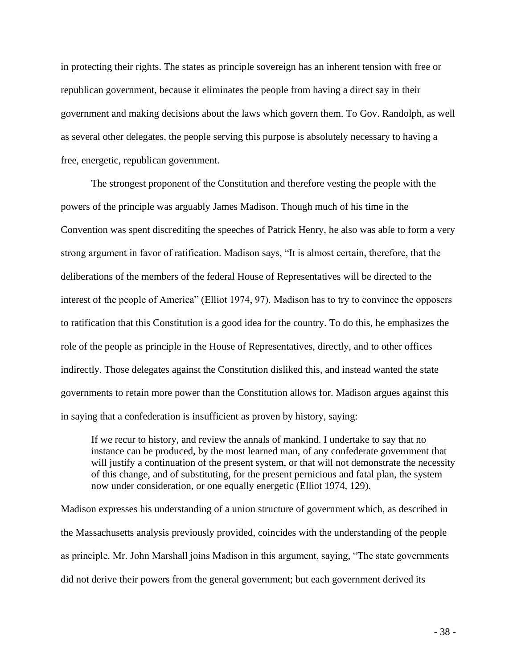in protecting their rights. The states as principle sovereign has an inherent tension with free or republican government, because it eliminates the people from having a direct say in their government and making decisions about the laws which govern them. To Gov. Randolph, as well as several other delegates, the people serving this purpose is absolutely necessary to having a free, energetic, republican government.

The strongest proponent of the Constitution and therefore vesting the people with the powers of the principle was arguably James Madison. Though much of his time in the Convention was spent discrediting the speeches of Patrick Henry, he also was able to form a very strong argument in favor of ratification. Madison says, "It is almost certain, therefore, that the deliberations of the members of the federal House of Representatives will be directed to the interest of the people of America" (Elliot 1974, 97). Madison has to try to convince the opposers to ratification that this Constitution is a good idea for the country. To do this, he emphasizes the role of the people as principle in the House of Representatives, directly, and to other offices indirectly. Those delegates against the Constitution disliked this, and instead wanted the state governments to retain more power than the Constitution allows for. Madison argues against this in saying that a confederation is insufficient as proven by history, saying:

If we recur to history, and review the annals of mankind. I undertake to say that no instance can be produced, by the most learned man, of any confederate government that will justify a continuation of the present system, or that will not demonstrate the necessity of this change, and of substituting, for the present pernicious and fatal plan, the system now under consideration, or one equally energetic (Elliot 1974, 129).

Madison expresses his understanding of a union structure of government which, as described in the Massachusetts analysis previously provided, coincides with the understanding of the people as principle. Mr. John Marshall joins Madison in this argument, saying, "The state governments did not derive their powers from the general government; but each government derived its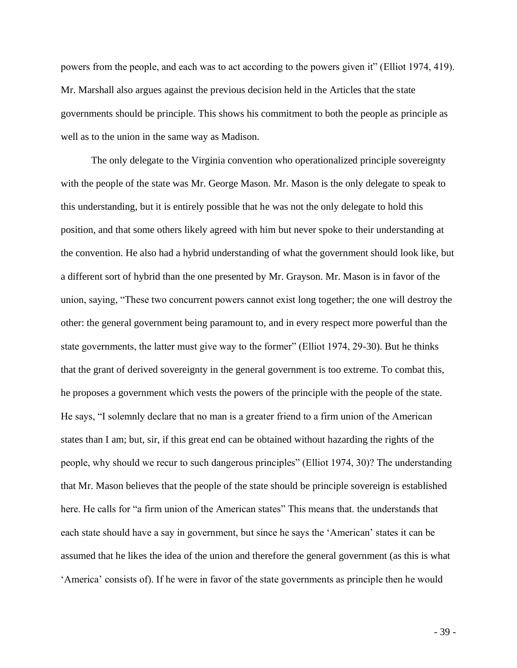powers from the people, and each was to act according to the powers given it" (Elliot 1974, 419). Mr. Marshall also argues against the previous decision held in the Articles that the state governments should be principle. This shows his commitment to both the people as principle as well as to the union in the same way as Madison.

The only delegate to the Virginia convention who operationalized principle sovereignty with the people of the state was Mr. George Mason. Mr. Mason is the only delegate to speak to this understanding, but it is entirely possible that he was not the only delegate to hold this position, and that some others likely agreed with him but never spoke to their understanding at the convention. He also had a hybrid understanding of what the government should look like, but a different sort of hybrid than the one presented by Mr. Grayson. Mr. Mason is in favor of the union, saying, "These two concurrent powers cannot exist long together; the one will destroy the other: the general government being paramount to, and in every respect more powerful than the state governments, the latter must give way to the former" (Elliot 1974, 29-30). But he thinks that the grant of derived sovereignty in the general government is too extreme. To combat this, he proposes a government which vests the powers of the principle with the people of the state. He says, "I solemnly declare that no man is a greater friend to a firm union of the American states than I am; but, sir, if this great end can be obtained without hazarding the rights of the people, why should we recur to such dangerous principles" (Elliot 1974, 30)? The understanding that Mr. Mason believes that the people of the state should be principle sovereign is established here. He calls for "a firm union of the American states" This means that. the understands that each state should have a say in government, but since he says the 'American' states it can be assumed that he likes the idea of the union and therefore the general government (as this is what 'America' consists of). If he were in favor of the state governments as principle then he would

- 39 -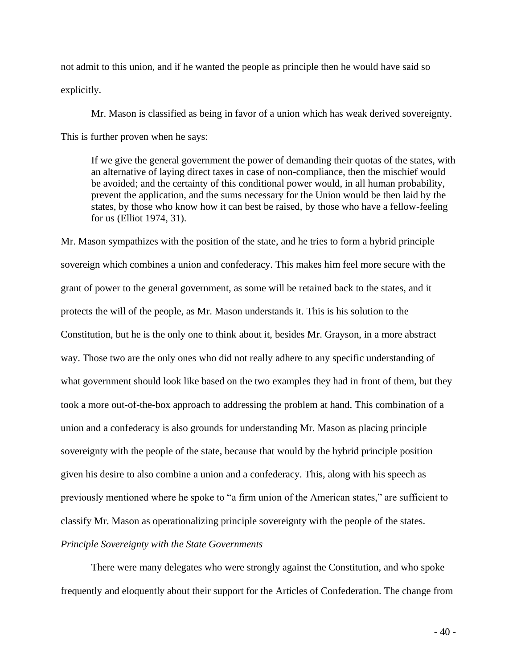not admit to this union, and if he wanted the people as principle then he would have said so explicitly.

Mr. Mason is classified as being in favor of a union which has weak derived sovereignty. This is further proven when he says:

If we give the general government the power of demanding their quotas of the states, with an alternative of laying direct taxes in case of non-compliance, then the mischief would be avoided; and the certainty of this conditional power would, in all human probability, prevent the application, and the sums necessary for the Union would be then laid by the states, by those who know how it can best be raised, by those who have a fellow-feeling for us (Elliot 1974, 31).

Mr. Mason sympathizes with the position of the state, and he tries to form a hybrid principle sovereign which combines a union and confederacy. This makes him feel more secure with the grant of power to the general government, as some will be retained back to the states, and it protects the will of the people, as Mr. Mason understands it. This is his solution to the Constitution, but he is the only one to think about it, besides Mr. Grayson, in a more abstract way. Those two are the only ones who did not really adhere to any specific understanding of what government should look like based on the two examples they had in front of them, but they took a more out-of-the-box approach to addressing the problem at hand. This combination of a union and a confederacy is also grounds for understanding Mr. Mason as placing principle sovereignty with the people of the state, because that would by the hybrid principle position given his desire to also combine a union and a confederacy. This, along with his speech as previously mentioned where he spoke to "a firm union of the American states," are sufficient to classify Mr. Mason as operationalizing principle sovereignty with the people of the states.

*Principle Sovereignty with the State Governments*

There were many delegates who were strongly against the Constitution, and who spoke frequently and eloquently about their support for the Articles of Confederation. The change from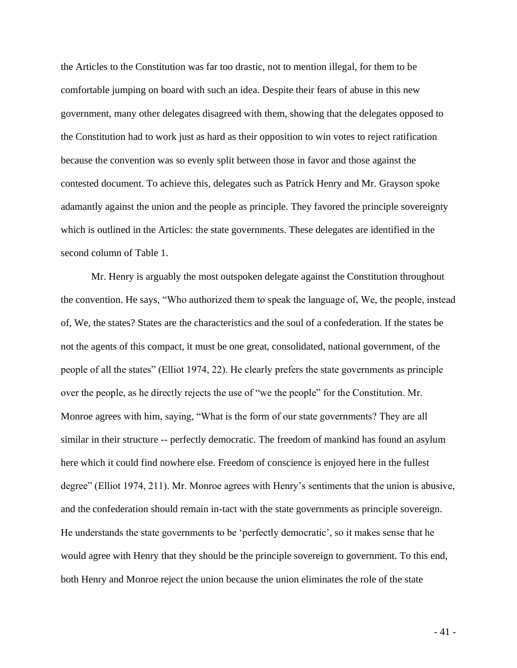the Articles to the Constitution was far too drastic, not to mention illegal, for them to be comfortable jumping on board with such an idea. Despite their fears of abuse in this new government, many other delegates disagreed with them, showing that the delegates opposed to the Constitution had to work just as hard as their opposition to win votes to reject ratification because the convention was so evenly split between those in favor and those against the contested document. To achieve this, delegates such as Patrick Henry and Mr. Grayson spoke adamantly against the union and the people as principle. They favored the principle sovereignty which is outlined in the Articles: the state governments. These delegates are identified in the second column of Table 1.

Mr. Henry is arguably the most outspoken delegate against the Constitution throughout the convention. He says, "Who authorized them to speak the language of, We, the people, instead of, We, the states? States are the characteristics and the soul of a confederation. If the states be not the agents of this compact, it must be one great, consolidated, national government, of the people of all the states" (Elliot 1974, 22). He clearly prefers the state governments as principle over the people, as he directly rejects the use of "we the people" for the Constitution. Mr. Monroe agrees with him, saying, "What is the form of our state governments? They are all similar in their structure -- perfectly democratic. The freedom of mankind has found an asylum here which it could find nowhere else. Freedom of conscience is enjoyed here in the fullest degree" (Elliot 1974, 211). Mr. Monroe agrees with Henry's sentiments that the union is abusive, and the confederation should remain in-tact with the state governments as principle sovereign. He understands the state governments to be 'perfectly democratic', so it makes sense that he would agree with Henry that they should be the principle sovereign to government. To this end, both Henry and Monroe reject the union because the union eliminates the role of the state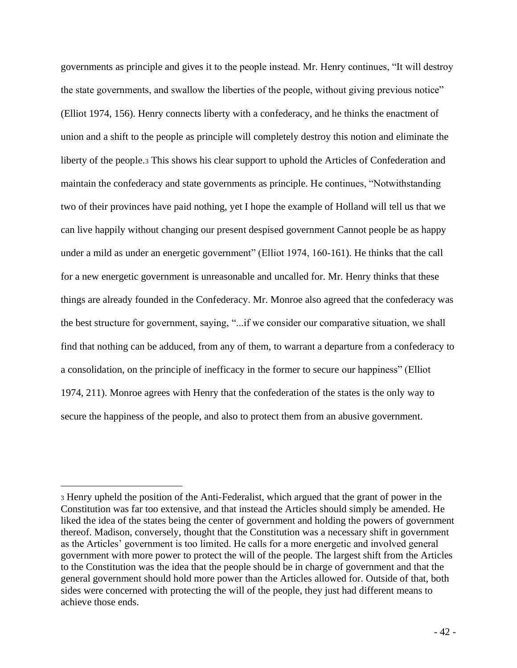governments as principle and gives it to the people instead. Mr. Henry continues, "It will destroy the state governments, and swallow the liberties of the people, without giving previous notice" (Elliot 1974, 156). Henry connects liberty with a confederacy, and he thinks the enactment of union and a shift to the people as principle will completely destroy this notion and eliminate the liberty of the people.<sup>3</sup> This shows his clear support to uphold the Articles of Confederation and maintain the confederacy and state governments as principle. He continues, "Notwithstanding two of their provinces have paid nothing, yet I hope the example of Holland will tell us that we can live happily without changing our present despised government Cannot people be as happy under a mild as under an energetic government" (Elliot 1974, 160-161). He thinks that the call for a new energetic government is unreasonable and uncalled for. Mr. Henry thinks that these things are already founded in the Confederacy. Mr. Monroe also agreed that the confederacy was the best structure for government, saying, "...if we consider our comparative situation, we shall find that nothing can be adduced, from any of them, to warrant a departure from a confederacy to a consolidation, on the principle of inefficacy in the former to secure our happiness" (Elliot 1974, 211). Monroe agrees with Henry that the confederation of the states is the only way to secure the happiness of the people, and also to protect them from an abusive government.

<sup>3</sup> Henry upheld the position of the Anti-Federalist, which argued that the grant of power in the Constitution was far too extensive, and that instead the Articles should simply be amended. He liked the idea of the states being the center of government and holding the powers of government thereof. Madison, conversely, thought that the Constitution was a necessary shift in government as the Articles' government is too limited. He calls for a more energetic and involved general government with more power to protect the will of the people. The largest shift from the Articles to the Constitution was the idea that the people should be in charge of government and that the general government should hold more power than the Articles allowed for. Outside of that, both sides were concerned with protecting the will of the people, they just had different means to achieve those ends.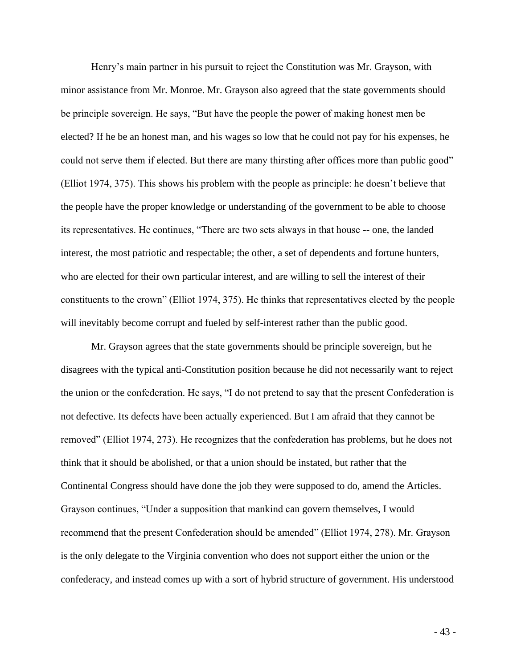Henry's main partner in his pursuit to reject the Constitution was Mr. Grayson, with minor assistance from Mr. Monroe. Mr. Grayson also agreed that the state governments should be principle sovereign. He says, "But have the people the power of making honest men be elected? If he be an honest man, and his wages so low that he could not pay for his expenses, he could not serve them if elected. But there are many thirsting after offices more than public good" (Elliot 1974, 375). This shows his problem with the people as principle: he doesn't believe that the people have the proper knowledge or understanding of the government to be able to choose its representatives. He continues, "There are two sets always in that house -- one, the landed interest, the most patriotic and respectable; the other, a set of dependents and fortune hunters, who are elected for their own particular interest, and are willing to sell the interest of their constituents to the crown" (Elliot 1974, 375). He thinks that representatives elected by the people will inevitably become corrupt and fueled by self-interest rather than the public good.

Mr. Grayson agrees that the state governments should be principle sovereign, but he disagrees with the typical anti-Constitution position because he did not necessarily want to reject the union or the confederation. He says, "I do not pretend to say that the present Confederation is not defective. Its defects have been actually experienced. But I am afraid that they cannot be removed" (Elliot 1974, 273). He recognizes that the confederation has problems, but he does not think that it should be abolished, or that a union should be instated, but rather that the Continental Congress should have done the job they were supposed to do, amend the Articles. Grayson continues, "Under a supposition that mankind can govern themselves, I would recommend that the present Confederation should be amended" (Elliot 1974, 278). Mr. Grayson is the only delegate to the Virginia convention who does not support either the union or the confederacy, and instead comes up with a sort of hybrid structure of government. His understood

- 43 -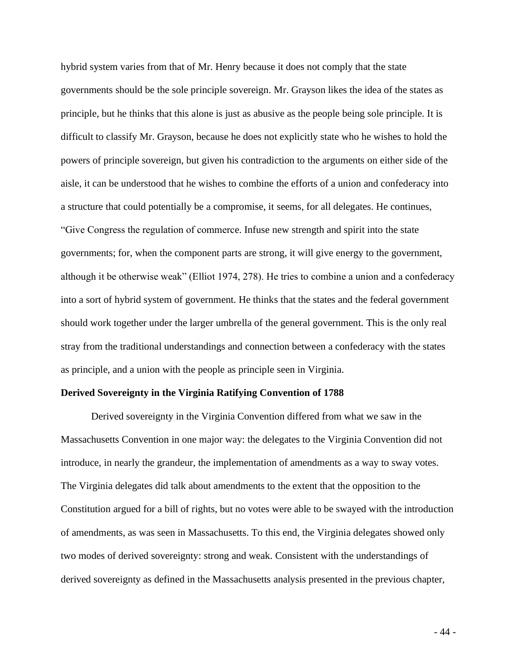hybrid system varies from that of Mr. Henry because it does not comply that the state governments should be the sole principle sovereign. Mr. Grayson likes the idea of the states as principle, but he thinks that this alone is just as abusive as the people being sole principle. It is difficult to classify Mr. Grayson, because he does not explicitly state who he wishes to hold the powers of principle sovereign, but given his contradiction to the arguments on either side of the aisle, it can be understood that he wishes to combine the efforts of a union and confederacy into a structure that could potentially be a compromise, it seems, for all delegates. He continues, "Give Congress the regulation of commerce. Infuse new strength and spirit into the state governments; for, when the component parts are strong, it will give energy to the government, although it be otherwise weak" (Elliot 1974, 278). He tries to combine a union and a confederacy into a sort of hybrid system of government. He thinks that the states and the federal government should work together under the larger umbrella of the general government. This is the only real stray from the traditional understandings and connection between a confederacy with the states as principle, and a union with the people as principle seen in Virginia.

#### **Derived Sovereignty in the Virginia Ratifying Convention of 1788**

Derived sovereignty in the Virginia Convention differed from what we saw in the Massachusetts Convention in one major way: the delegates to the Virginia Convention did not introduce, in nearly the grandeur, the implementation of amendments as a way to sway votes. The Virginia delegates did talk about amendments to the extent that the opposition to the Constitution argued for a bill of rights, but no votes were able to be swayed with the introduction of amendments, as was seen in Massachusetts. To this end, the Virginia delegates showed only two modes of derived sovereignty: strong and weak. Consistent with the understandings of derived sovereignty as defined in the Massachusetts analysis presented in the previous chapter,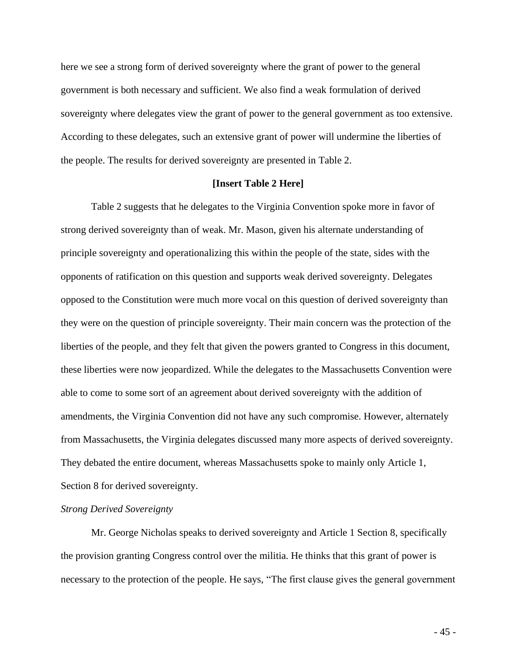here we see a strong form of derived sovereignty where the grant of power to the general government is both necessary and sufficient. We also find a weak formulation of derived sovereignty where delegates view the grant of power to the general government as too extensive. According to these delegates, such an extensive grant of power will undermine the liberties of the people. The results for derived sovereignty are presented in Table 2.

# **[Insert Table 2 Here]**

Table 2 suggests that he delegates to the Virginia Convention spoke more in favor of strong derived sovereignty than of weak. Mr. Mason, given his alternate understanding of principle sovereignty and operationalizing this within the people of the state, sides with the opponents of ratification on this question and supports weak derived sovereignty. Delegates opposed to the Constitution were much more vocal on this question of derived sovereignty than they were on the question of principle sovereignty. Their main concern was the protection of the liberties of the people, and they felt that given the powers granted to Congress in this document, these liberties were now jeopardized. While the delegates to the Massachusetts Convention were able to come to some sort of an agreement about derived sovereignty with the addition of amendments, the Virginia Convention did not have any such compromise. However, alternately from Massachusetts, the Virginia delegates discussed many more aspects of derived sovereignty. They debated the entire document, whereas Massachusetts spoke to mainly only Article 1, Section 8 for derived sovereignty.

#### *Strong Derived Sovereignty*

Mr. George Nicholas speaks to derived sovereignty and Article 1 Section 8, specifically the provision granting Congress control over the militia. He thinks that this grant of power is necessary to the protection of the people. He says, "The first clause gives the general government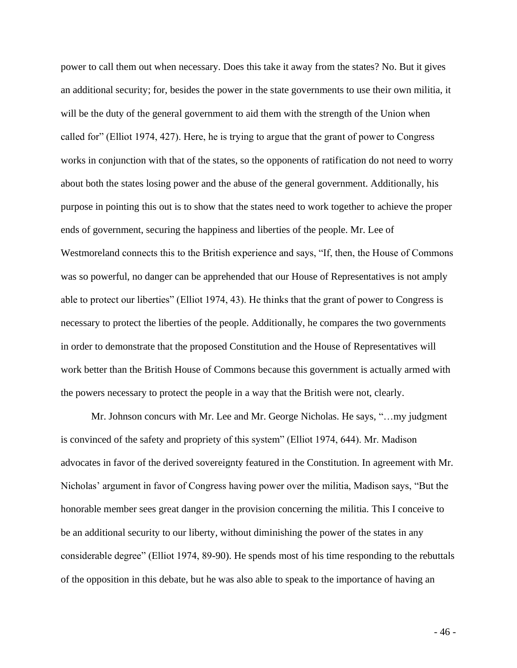power to call them out when necessary. Does this take it away from the states? No. But it gives an additional security; for, besides the power in the state governments to use their own militia, it will be the duty of the general government to aid them with the strength of the Union when called for" (Elliot 1974, 427). Here, he is trying to argue that the grant of power to Congress works in conjunction with that of the states, so the opponents of ratification do not need to worry about both the states losing power and the abuse of the general government. Additionally, his purpose in pointing this out is to show that the states need to work together to achieve the proper ends of government, securing the happiness and liberties of the people. Mr. Lee of Westmoreland connects this to the British experience and says, "If, then, the House of Commons was so powerful, no danger can be apprehended that our House of Representatives is not amply able to protect our liberties" (Elliot 1974, 43). He thinks that the grant of power to Congress is necessary to protect the liberties of the people. Additionally, he compares the two governments in order to demonstrate that the proposed Constitution and the House of Representatives will work better than the British House of Commons because this government is actually armed with the powers necessary to protect the people in a way that the British were not, clearly.

Mr. Johnson concurs with Mr. Lee and Mr. George Nicholas. He says, "…my judgment is convinced of the safety and propriety of this system" (Elliot 1974, 644). Mr. Madison advocates in favor of the derived sovereignty featured in the Constitution. In agreement with Mr. Nicholas' argument in favor of Congress having power over the militia, Madison says, "But the honorable member sees great danger in the provision concerning the militia. This I conceive to be an additional security to our liberty, without diminishing the power of the states in any considerable degree" (Elliot 1974, 89-90). He spends most of his time responding to the rebuttals of the opposition in this debate, but he was also able to speak to the importance of having an

- 46 -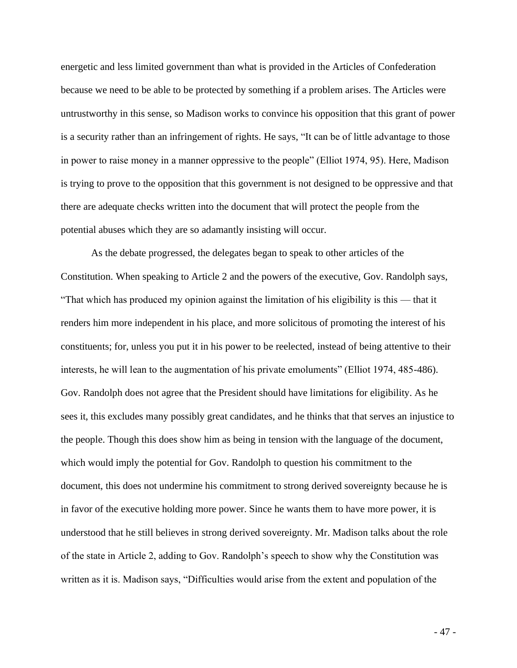energetic and less limited government than what is provided in the Articles of Confederation because we need to be able to be protected by something if a problem arises. The Articles were untrustworthy in this sense, so Madison works to convince his opposition that this grant of power is a security rather than an infringement of rights. He says, "It can be of little advantage to those in power to raise money in a manner oppressive to the people" (Elliot 1974, 95). Here, Madison is trying to prove to the opposition that this government is not designed to be oppressive and that there are adequate checks written into the document that will protect the people from the potential abuses which they are so adamantly insisting will occur.

As the debate progressed, the delegates began to speak to other articles of the Constitution. When speaking to Article 2 and the powers of the executive, Gov. Randolph says, "That which has produced my opinion against the limitation of his eligibility is this — that it renders him more independent in his place, and more solicitous of promoting the interest of his constituents; for, unless you put it in his power to be reelected, instead of being attentive to their interests, he will lean to the augmentation of his private emoluments" (Elliot 1974, 485-486). Gov. Randolph does not agree that the President should have limitations for eligibility. As he sees it, this excludes many possibly great candidates, and he thinks that that serves an injustice to the people. Though this does show him as being in tension with the language of the document, which would imply the potential for Gov. Randolph to question his commitment to the document, this does not undermine his commitment to strong derived sovereignty because he is in favor of the executive holding more power. Since he wants them to have more power, it is understood that he still believes in strong derived sovereignty. Mr. Madison talks about the role of the state in Article 2, adding to Gov. Randolph's speech to show why the Constitution was written as it is. Madison says, "Difficulties would arise from the extent and population of the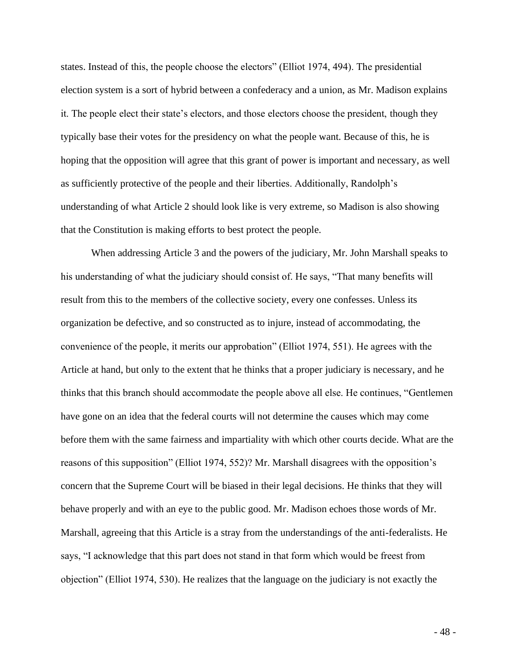states. Instead of this, the people choose the electors" (Elliot 1974, 494). The presidential election system is a sort of hybrid between a confederacy and a union, as Mr. Madison explains it. The people elect their state's electors, and those electors choose the president, though they typically base their votes for the presidency on what the people want. Because of this, he is hoping that the opposition will agree that this grant of power is important and necessary, as well as sufficiently protective of the people and their liberties. Additionally, Randolph's understanding of what Article 2 should look like is very extreme, so Madison is also showing that the Constitution is making efforts to best protect the people.

When addressing Article 3 and the powers of the judiciary, Mr. John Marshall speaks to his understanding of what the judiciary should consist of. He says, "That many benefits will result from this to the members of the collective society, every one confesses. Unless its organization be defective, and so constructed as to injure, instead of accommodating, the convenience of the people, it merits our approbation" (Elliot 1974, 551). He agrees with the Article at hand, but only to the extent that he thinks that a proper judiciary is necessary, and he thinks that this branch should accommodate the people above all else. He continues, "Gentlemen have gone on an idea that the federal courts will not determine the causes which may come before them with the same fairness and impartiality with which other courts decide. What are the reasons of this supposition" (Elliot 1974, 552)? Mr. Marshall disagrees with the opposition's concern that the Supreme Court will be biased in their legal decisions. He thinks that they will behave properly and with an eye to the public good. Mr. Madison echoes those words of Mr. Marshall, agreeing that this Article is a stray from the understandings of the anti-federalists. He says, "I acknowledge that this part does not stand in that form which would be freest from objection" (Elliot 1974, 530). He realizes that the language on the judiciary is not exactly the

- 48 -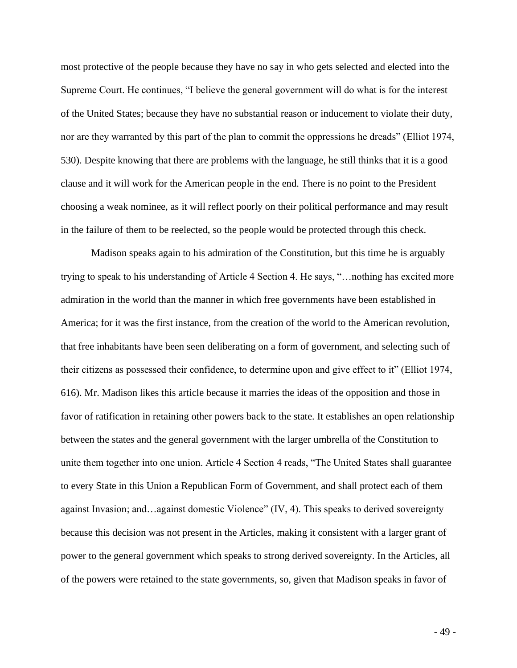most protective of the people because they have no say in who gets selected and elected into the Supreme Court. He continues, "I believe the general government will do what is for the interest of the United States; because they have no substantial reason or inducement to violate their duty, nor are they warranted by this part of the plan to commit the oppressions he dreads" (Elliot 1974, 530). Despite knowing that there are problems with the language, he still thinks that it is a good clause and it will work for the American people in the end. There is no point to the President choosing a weak nominee, as it will reflect poorly on their political performance and may result in the failure of them to be reelected, so the people would be protected through this check.

Madison speaks again to his admiration of the Constitution, but this time he is arguably trying to speak to his understanding of Article 4 Section 4. He says, "…nothing has excited more admiration in the world than the manner in which free governments have been established in America; for it was the first instance, from the creation of the world to the American revolution, that free inhabitants have been seen deliberating on a form of government, and selecting such of their citizens as possessed their confidence, to determine upon and give effect to it" (Elliot 1974, 616). Mr. Madison likes this article because it marries the ideas of the opposition and those in favor of ratification in retaining other powers back to the state. It establishes an open relationship between the states and the general government with the larger umbrella of the Constitution to unite them together into one union. Article 4 Section 4 reads, "The United States shall guarantee to every State in this Union a Republican Form of Government, and shall protect each of them against Invasion; and…against domestic Violence" (IV, 4). This speaks to derived sovereignty because this decision was not present in the Articles, making it consistent with a larger grant of power to the general government which speaks to strong derived sovereignty. In the Articles, all of the powers were retained to the state governments, so, given that Madison speaks in favor of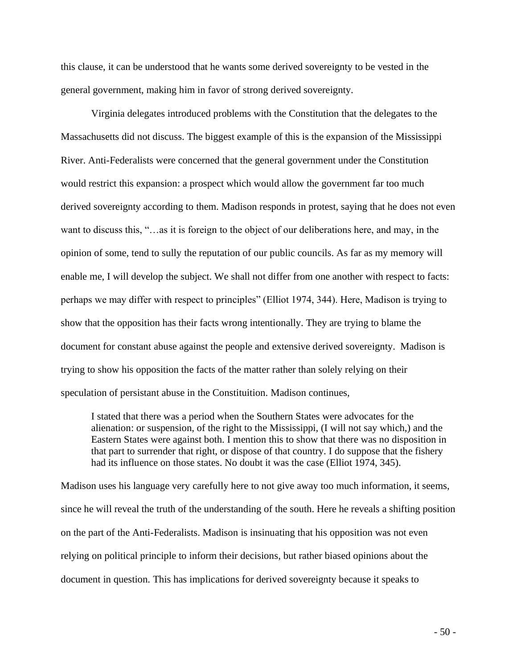this clause, it can be understood that he wants some derived sovereignty to be vested in the general government, making him in favor of strong derived sovereignty.

Virginia delegates introduced problems with the Constitution that the delegates to the Massachusetts did not discuss. The biggest example of this is the expansion of the Mississippi River. Anti-Federalists were concerned that the general government under the Constitution would restrict this expansion: a prospect which would allow the government far too much derived sovereignty according to them. Madison responds in protest, saying that he does not even want to discuss this, "…as it is foreign to the object of our deliberations here, and may, in the opinion of some, tend to sully the reputation of our public councils. As far as my memory will enable me, I will develop the subject. We shall not differ from one another with respect to facts: perhaps we may differ with respect to principles" (Elliot 1974, 344). Here, Madison is trying to show that the opposition has their facts wrong intentionally. They are trying to blame the document for constant abuse against the people and extensive derived sovereignty. Madison is trying to show his opposition the facts of the matter rather than solely relying on their speculation of persistant abuse in the Constituition. Madison continues,

I stated that there was a period when the Southern States were advocates for the alienation: or suspension, of the right to the Mississippi, (I will not say which,) and the Eastern States were against both. I mention this to show that there was no disposition in that part to surrender that right, or dispose of that country. I do suppose that the fishery had its influence on those states. No doubt it was the case (Elliot 1974, 345).

Madison uses his language very carefully here to not give away too much information, it seems, since he will reveal the truth of the understanding of the south. Here he reveals a shifting position on the part of the Anti-Federalists. Madison is insinuating that his opposition was not even relying on political principle to inform their decisions, but rather biased opinions about the document in question. This has implications for derived sovereignty because it speaks to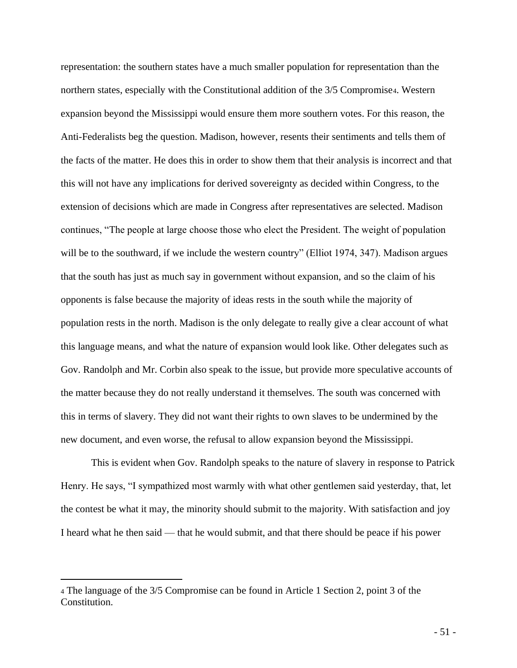representation: the southern states have a much smaller population for representation than the northern states, especially with the Constitutional addition of the 3/5 Compromise4. Western expansion beyond the Mississippi would ensure them more southern votes. For this reason, the Anti-Federalists beg the question. Madison, however, resents their sentiments and tells them of the facts of the matter. He does this in order to show them that their analysis is incorrect and that this will not have any implications for derived sovereignty as decided within Congress, to the extension of decisions which are made in Congress after representatives are selected. Madison continues, "The people at large choose those who elect the President. The weight of population will be to the southward, if we include the western country" (Elliot 1974, 347). Madison argues that the south has just as much say in government without expansion, and so the claim of his opponents is false because the majority of ideas rests in the south while the majority of population rests in the north. Madison is the only delegate to really give a clear account of what this language means, and what the nature of expansion would look like. Other delegates such as Gov. Randolph and Mr. Corbin also speak to the issue, but provide more speculative accounts of the matter because they do not really understand it themselves. The south was concerned with this in terms of slavery. They did not want their rights to own slaves to be undermined by the new document, and even worse, the refusal to allow expansion beyond the Mississippi.

This is evident when Gov. Randolph speaks to the nature of slavery in response to Patrick Henry. He says, "I sympathized most warmly with what other gentlemen said yesterday, that, let the contest be what it may, the minority should submit to the majority. With satisfaction and joy I heard what he then said — that he would submit, and that there should be peace if his power

<sup>4</sup> The language of the 3/5 Compromise can be found in Article 1 Section 2, point 3 of the Constitution.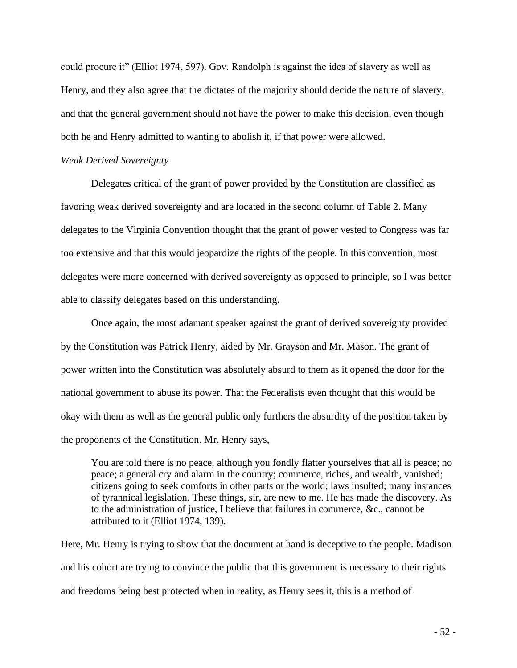could procure it" (Elliot 1974, 597). Gov. Randolph is against the idea of slavery as well as Henry, and they also agree that the dictates of the majority should decide the nature of slavery, and that the general government should not have the power to make this decision, even though both he and Henry admitted to wanting to abolish it, if that power were allowed.

### *Weak Derived Sovereignty*

Delegates critical of the grant of power provided by the Constitution are classified as favoring weak derived sovereignty and are located in the second column of Table 2. Many delegates to the Virginia Convention thought that the grant of power vested to Congress was far too extensive and that this would jeopardize the rights of the people. In this convention, most delegates were more concerned with derived sovereignty as opposed to principle, so I was better able to classify delegates based on this understanding.

Once again, the most adamant speaker against the grant of derived sovereignty provided by the Constitution was Patrick Henry, aided by Mr. Grayson and Mr. Mason. The grant of power written into the Constitution was absolutely absurd to them as it opened the door for the national government to abuse its power. That the Federalists even thought that this would be okay with them as well as the general public only furthers the absurdity of the position taken by the proponents of the Constitution. Mr. Henry says,

You are told there is no peace, although you fondly flatter yourselves that all is peace; no peace; a general cry and alarm in the country; commerce, riches, and wealth, vanished; citizens going to seek comforts in other parts or the world; laws insulted; many instances of tyrannical legislation. These things, sir, are new to me. He has made the discovery. As to the administration of justice, I believe that failures in commerce, &c., cannot be attributed to it (Elliot 1974, 139).

Here, Mr. Henry is trying to show that the document at hand is deceptive to the people. Madison and his cohort are trying to convince the public that this government is necessary to their rights and freedoms being best protected when in reality, as Henry sees it, this is a method of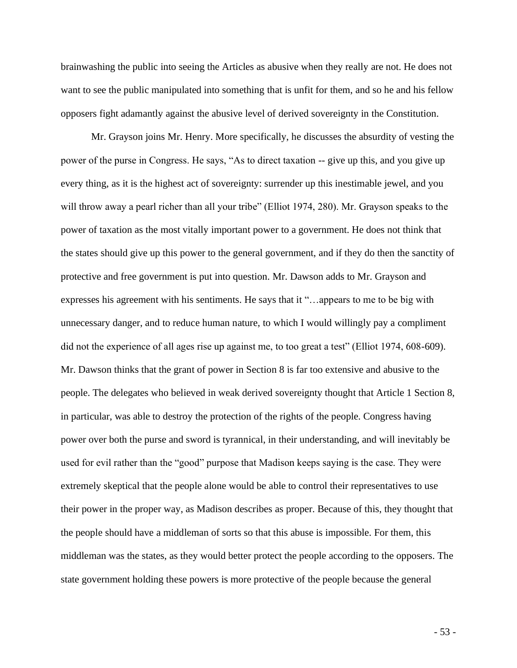brainwashing the public into seeing the Articles as abusive when they really are not. He does not want to see the public manipulated into something that is unfit for them, and so he and his fellow opposers fight adamantly against the abusive level of derived sovereignty in the Constitution.

Mr. Grayson joins Mr. Henry. More specifically, he discusses the absurdity of vesting the power of the purse in Congress. He says, "As to direct taxation -- give up this, and you give up every thing, as it is the highest act of sovereignty: surrender up this inestimable jewel, and you will throw away a pearl richer than all your tribe" (Elliot 1974, 280). Mr. Grayson speaks to the power of taxation as the most vitally important power to a government. He does not think that the states should give up this power to the general government, and if they do then the sanctity of protective and free government is put into question. Mr. Dawson adds to Mr. Grayson and expresses his agreement with his sentiments. He says that it "…appears to me to be big with unnecessary danger, and to reduce human nature, to which I would willingly pay a compliment did not the experience of all ages rise up against me, to too great a test" (Elliot 1974, 608-609). Mr. Dawson thinks that the grant of power in Section 8 is far too extensive and abusive to the people. The delegates who believed in weak derived sovereignty thought that Article 1 Section 8, in particular, was able to destroy the protection of the rights of the people. Congress having power over both the purse and sword is tyrannical, in their understanding, and will inevitably be used for evil rather than the "good" purpose that Madison keeps saying is the case. They were extremely skeptical that the people alone would be able to control their representatives to use their power in the proper way, as Madison describes as proper. Because of this, they thought that the people should have a middleman of sorts so that this abuse is impossible. For them, this middleman was the states, as they would better protect the people according to the opposers. The state government holding these powers is more protective of the people because the general

- 53 -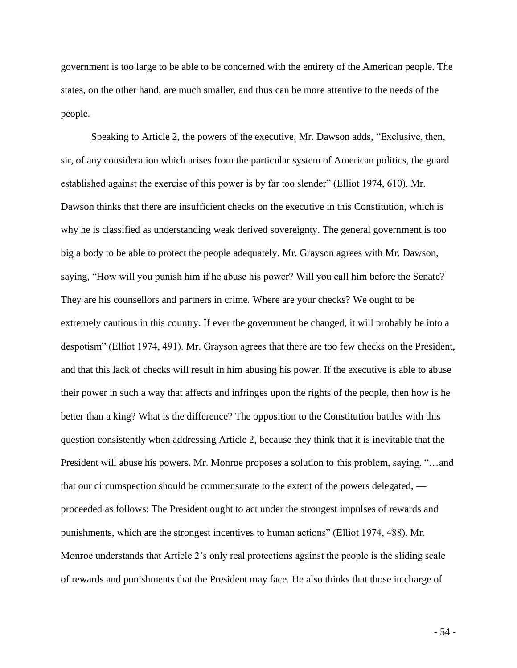government is too large to be able to be concerned with the entirety of the American people. The states, on the other hand, are much smaller, and thus can be more attentive to the needs of the people.

Speaking to Article 2, the powers of the executive, Mr. Dawson adds, "Exclusive, then, sir, of any consideration which arises from the particular system of American politics, the guard established against the exercise of this power is by far too slender" (Elliot 1974, 610). Mr. Dawson thinks that there are insufficient checks on the executive in this Constitution, which is why he is classified as understanding weak derived sovereignty. The general government is too big a body to be able to protect the people adequately. Mr. Grayson agrees with Mr. Dawson, saying, "How will you punish him if he abuse his power? Will you call him before the Senate? They are his counsellors and partners in crime. Where are your checks? We ought to be extremely cautious in this country. If ever the government be changed, it will probably be into a despotism" (Elliot 1974, 491). Mr. Grayson agrees that there are too few checks on the President, and that this lack of checks will result in him abusing his power. If the executive is able to abuse their power in such a way that affects and infringes upon the rights of the people, then how is he better than a king? What is the difference? The opposition to the Constitution battles with this question consistently when addressing Article 2, because they think that it is inevitable that the President will abuse his powers. Mr. Monroe proposes a solution to this problem, saying, "…and that our circumspection should be commensurate to the extent of the powers delegated, proceeded as follows: The President ought to act under the strongest impulses of rewards and punishments, which are the strongest incentives to human actions" (Elliot 1974, 488). Mr. Monroe understands that Article 2's only real protections against the people is the sliding scale of rewards and punishments that the President may face. He also thinks that those in charge of

- 54 -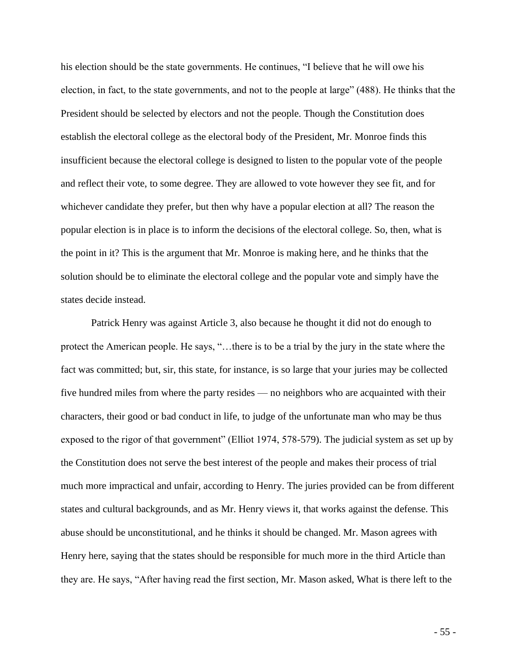his election should be the state governments. He continues, "I believe that he will owe his election, in fact, to the state governments, and not to the people at large" (488). He thinks that the President should be selected by electors and not the people. Though the Constitution does establish the electoral college as the electoral body of the President, Mr. Monroe finds this insufficient because the electoral college is designed to listen to the popular vote of the people and reflect their vote, to some degree. They are allowed to vote however they see fit, and for whichever candidate they prefer, but then why have a popular election at all? The reason the popular election is in place is to inform the decisions of the electoral college. So, then, what is the point in it? This is the argument that Mr. Monroe is making here, and he thinks that the solution should be to eliminate the electoral college and the popular vote and simply have the states decide instead.

Patrick Henry was against Article 3, also because he thought it did not do enough to protect the American people. He says, "…there is to be a trial by the jury in the state where the fact was committed; but, sir, this state, for instance, is so large that your juries may be collected five hundred miles from where the party resides — no neighbors who are acquainted with their characters, their good or bad conduct in life, to judge of the unfortunate man who may be thus exposed to the rigor of that government" (Elliot 1974, 578-579). The judicial system as set up by the Constitution does not serve the best interest of the people and makes their process of trial much more impractical and unfair, according to Henry. The juries provided can be from different states and cultural backgrounds, and as Mr. Henry views it, that works against the defense. This abuse should be unconstitutional, and he thinks it should be changed. Mr. Mason agrees with Henry here, saying that the states should be responsible for much more in the third Article than they are. He says, "After having read the first section, Mr. Mason asked, What is there left to the

- 55 -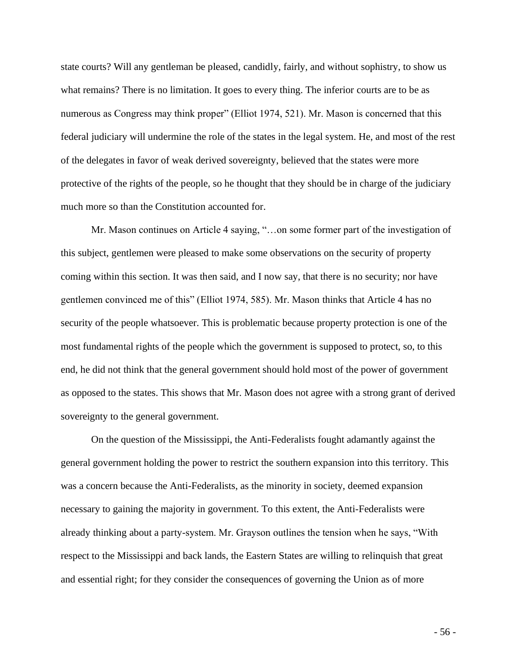state courts? Will any gentleman be pleased, candidly, fairly, and without sophistry, to show us what remains? There is no limitation. It goes to every thing. The inferior courts are to be as numerous as Congress may think proper" (Elliot 1974, 521). Mr. Mason is concerned that this federal judiciary will undermine the role of the states in the legal system. He, and most of the rest of the delegates in favor of weak derived sovereignty, believed that the states were more protective of the rights of the people, so he thought that they should be in charge of the judiciary much more so than the Constitution accounted for.

Mr. Mason continues on Article 4 saying, "…on some former part of the investigation of this subject, gentlemen were pleased to make some observations on the security of property coming within this section. It was then said, and I now say, that there is no security; nor have gentlemen convinced me of this" (Elliot 1974, 585). Mr. Mason thinks that Article 4 has no security of the people whatsoever. This is problematic because property protection is one of the most fundamental rights of the people which the government is supposed to protect, so, to this end, he did not think that the general government should hold most of the power of government as opposed to the states. This shows that Mr. Mason does not agree with a strong grant of derived sovereignty to the general government.

On the question of the Mississippi, the Anti-Federalists fought adamantly against the general government holding the power to restrict the southern expansion into this territory. This was a concern because the Anti-Federalists, as the minority in society, deemed expansion necessary to gaining the majority in government. To this extent, the Anti-Federalists were already thinking about a party-system. Mr. Grayson outlines the tension when he says, "With respect to the Mississippi and back lands, the Eastern States are willing to relinquish that great and essential right; for they consider the consequences of governing the Union as of more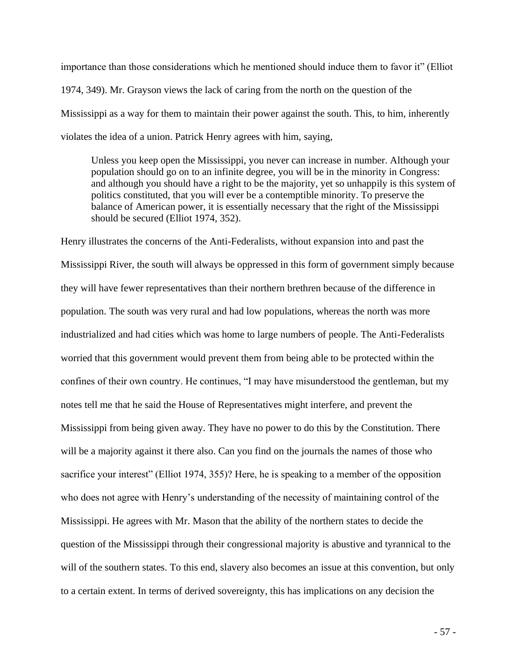importance than those considerations which he mentioned should induce them to favor it" (Elliot 1974, 349). Mr. Grayson views the lack of caring from the north on the question of the Mississippi as a way for them to maintain their power against the south. This, to him, inherently violates the idea of a union. Patrick Henry agrees with him, saying,

Unless you keep open the Mississippi, you never can increase in number. Although your population should go on to an infinite degree, you will be in the minority in Congress: and although you should have a right to be the majority, yet so unhappily is this system of politics constituted, that you will ever be a contemptible minority. To preserve the balance of American power, it is essentially necessary that the right of the Mississippi should be secured (Elliot 1974, 352).

Henry illustrates the concerns of the Anti-Federalists, without expansion into and past the Mississippi River, the south will always be oppressed in this form of government simply because they will have fewer representatives than their northern brethren because of the difference in population. The south was very rural and had low populations, whereas the north was more industrialized and had cities which was home to large numbers of people. The Anti-Federalists worried that this government would prevent them from being able to be protected within the confines of their own country. He continues, "I may have misunderstood the gentleman, but my notes tell me that he said the House of Representatives might interfere, and prevent the Mississippi from being given away. They have no power to do this by the Constitution. There will be a majority against it there also. Can you find on the journals the names of those who sacrifice your interest" (Elliot 1974, 355)? Here, he is speaking to a member of the opposition who does not agree with Henry's understanding of the necessity of maintaining control of the Mississippi. He agrees with Mr. Mason that the ability of the northern states to decide the question of the Mississippi through their congressional majority is abustive and tyrannical to the will of the southern states. To this end, slavery also becomes an issue at this convention, but only to a certain extent. In terms of derived sovereignty, this has implications on any decision the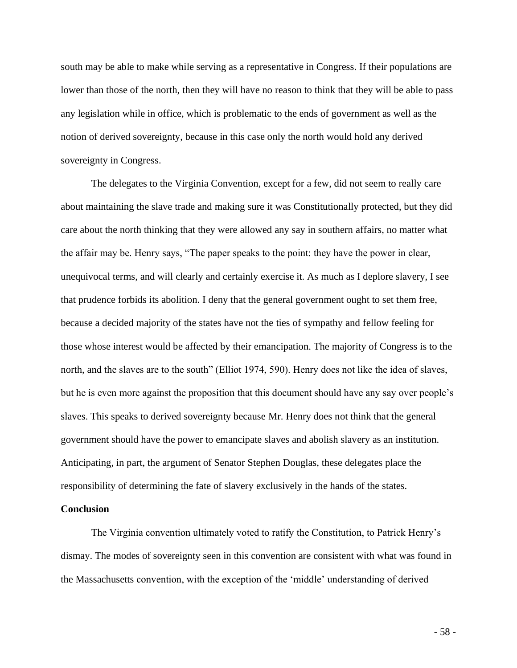south may be able to make while serving as a representative in Congress. If their populations are lower than those of the north, then they will have no reason to think that they will be able to pass any legislation while in office, which is problematic to the ends of government as well as the notion of derived sovereignty, because in this case only the north would hold any derived sovereignty in Congress.

The delegates to the Virginia Convention, except for a few, did not seem to really care about maintaining the slave trade and making sure it was Constitutionally protected, but they did care about the north thinking that they were allowed any say in southern affairs, no matter what the affair may be. Henry says, "The paper speaks to the point: they have the power in clear, unequivocal terms, and will clearly and certainly exercise it. As much as I deplore slavery, I see that prudence forbids its abolition. I deny that the general government ought to set them free, because a decided majority of the states have not the ties of sympathy and fellow feeling for those whose interest would be affected by their emancipation. The majority of Congress is to the north, and the slaves are to the south" (Elliot 1974, 590). Henry does not like the idea of slaves, but he is even more against the proposition that this document should have any say over people's slaves. This speaks to derived sovereignty because Mr. Henry does not think that the general government should have the power to emancipate slaves and abolish slavery as an institution. Anticipating, in part, the argument of Senator Stephen Douglas, these delegates place the responsibility of determining the fate of slavery exclusively in the hands of the states.

# **Conclusion**

The Virginia convention ultimately voted to ratify the Constitution, to Patrick Henry's dismay. The modes of sovereignty seen in this convention are consistent with what was found in the Massachusetts convention, with the exception of the 'middle' understanding of derived

- 58 -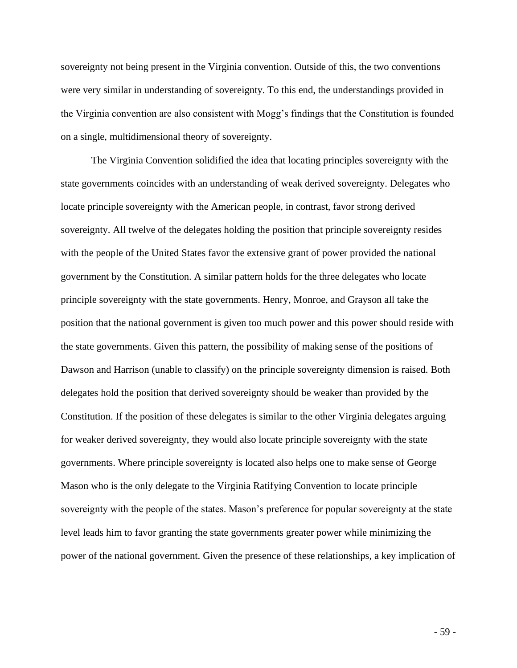sovereignty not being present in the Virginia convention. Outside of this, the two conventions were very similar in understanding of sovereignty. To this end, the understandings provided in the Virginia convention are also consistent with Mogg's findings that the Constitution is founded on a single, multidimensional theory of sovereignty.

The Virginia Convention solidified the idea that locating principles sovereignty with the state governments coincides with an understanding of weak derived sovereignty. Delegates who locate principle sovereignty with the American people, in contrast, favor strong derived sovereignty. All twelve of the delegates holding the position that principle sovereignty resides with the people of the United States favor the extensive grant of power provided the national government by the Constitution. A similar pattern holds for the three delegates who locate principle sovereignty with the state governments. Henry, Monroe, and Grayson all take the position that the national government is given too much power and this power should reside with the state governments. Given this pattern, the possibility of making sense of the positions of Dawson and Harrison (unable to classify) on the principle sovereignty dimension is raised. Both delegates hold the position that derived sovereignty should be weaker than provided by the Constitution. If the position of these delegates is similar to the other Virginia delegates arguing for weaker derived sovereignty, they would also locate principle sovereignty with the state governments. Where principle sovereignty is located also helps one to make sense of George Mason who is the only delegate to the Virginia Ratifying Convention to locate principle sovereignty with the people of the states. Mason's preference for popular sovereignty at the state level leads him to favor granting the state governments greater power while minimizing the power of the national government. Given the presence of these relationships, a key implication of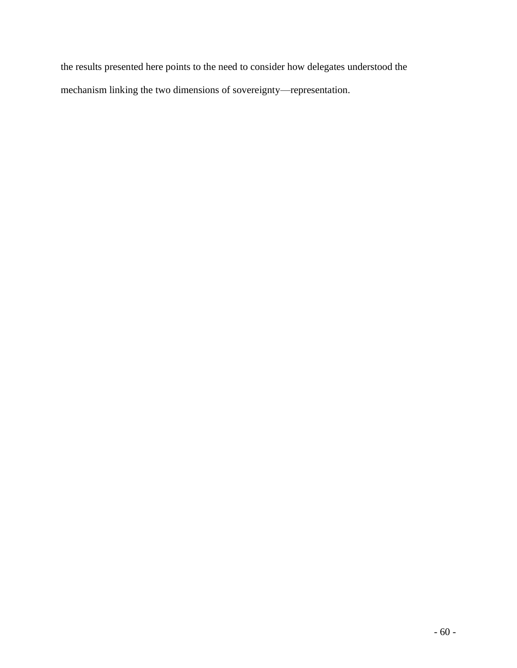the results presented here points to the need to consider how delegates understood the mechanism linking the two dimensions of sovereignty—representation.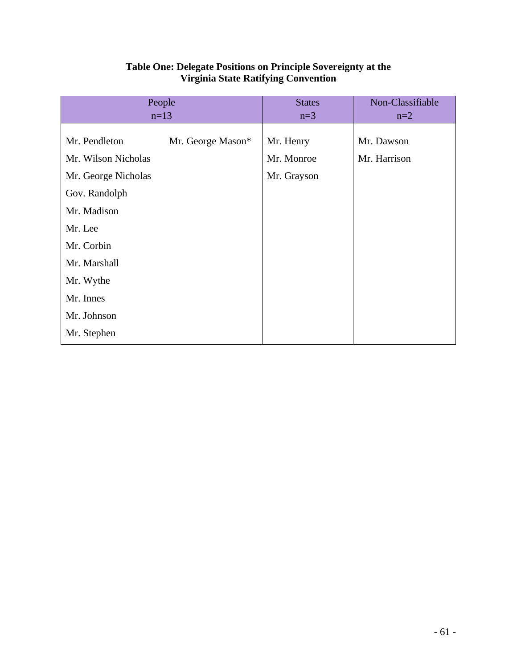| People              |                   | <b>States</b> | Non-Classifiable |
|---------------------|-------------------|---------------|------------------|
| $n=13$              |                   | $n=3$         | $n=2$            |
|                     |                   |               |                  |
| Mr. Pendleton       | Mr. George Mason* | Mr. Henry     | Mr. Dawson       |
| Mr. Wilson Nicholas |                   | Mr. Monroe    | Mr. Harrison     |
| Mr. George Nicholas |                   | Mr. Grayson   |                  |
| Gov. Randolph       |                   |               |                  |
| Mr. Madison         |                   |               |                  |
| Mr. Lee             |                   |               |                  |
| Mr. Corbin          |                   |               |                  |
| Mr. Marshall        |                   |               |                  |
| Mr. Wythe           |                   |               |                  |
| Mr. Innes           |                   |               |                  |
| Mr. Johnson         |                   |               |                  |
| Mr. Stephen         |                   |               |                  |

# **Table One: Delegate Positions on Principle Sovereignty at the Virginia State Ratifying Convention**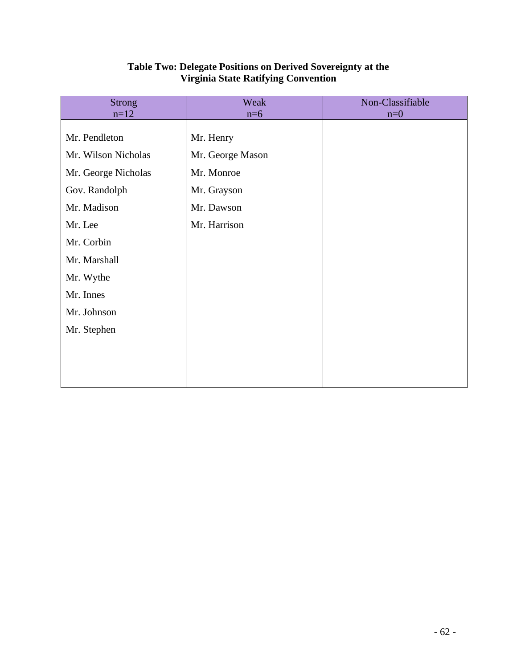| <b>Strong</b>       | Weak             | Non-Classifiable |
|---------------------|------------------|------------------|
| $n=12$              | $n=6$            | $n=0$            |
| Mr. Pendleton       | Mr. Henry        |                  |
| Mr. Wilson Nicholas | Mr. George Mason |                  |
| Mr. George Nicholas | Mr. Monroe       |                  |
| Gov. Randolph       | Mr. Grayson      |                  |
| Mr. Madison         | Mr. Dawson       |                  |
| Mr. Lee             | Mr. Harrison     |                  |
| Mr. Corbin          |                  |                  |
| Mr. Marshall        |                  |                  |
| Mr. Wythe           |                  |                  |
| Mr. Innes           |                  |                  |
| Mr. Johnson         |                  |                  |
| Mr. Stephen         |                  |                  |
|                     |                  |                  |
|                     |                  |                  |
|                     |                  |                  |

# **Table Two: Delegate Positions on Derived Sovereignty at the Virginia State Ratifying Convention**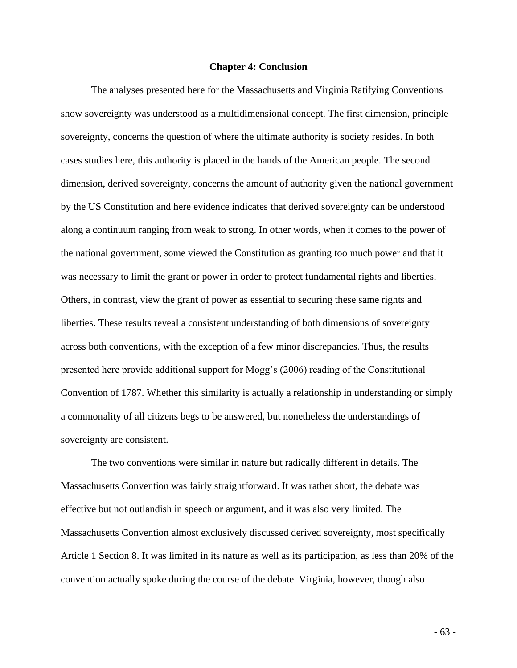#### **Chapter 4: Conclusion**

The analyses presented here for the Massachusetts and Virginia Ratifying Conventions show sovereignty was understood as a multidimensional concept. The first dimension, principle sovereignty, concerns the question of where the ultimate authority is society resides. In both cases studies here, this authority is placed in the hands of the American people. The second dimension, derived sovereignty, concerns the amount of authority given the national government by the US Constitution and here evidence indicates that derived sovereignty can be understood along a continuum ranging from weak to strong. In other words, when it comes to the power of the national government, some viewed the Constitution as granting too much power and that it was necessary to limit the grant or power in order to protect fundamental rights and liberties. Others, in contrast, view the grant of power as essential to securing these same rights and liberties. These results reveal a consistent understanding of both dimensions of sovereignty across both conventions, with the exception of a few minor discrepancies. Thus, the results presented here provide additional support for Mogg's (2006) reading of the Constitutional Convention of 1787. Whether this similarity is actually a relationship in understanding or simply a commonality of all citizens begs to be answered, but nonetheless the understandings of sovereignty are consistent.

The two conventions were similar in nature but radically different in details. The Massachusetts Convention was fairly straightforward. It was rather short, the debate was effective but not outlandish in speech or argument, and it was also very limited. The Massachusetts Convention almost exclusively discussed derived sovereignty, most specifically Article 1 Section 8. It was limited in its nature as well as its participation, as less than 20% of the convention actually spoke during the course of the debate. Virginia, however, though also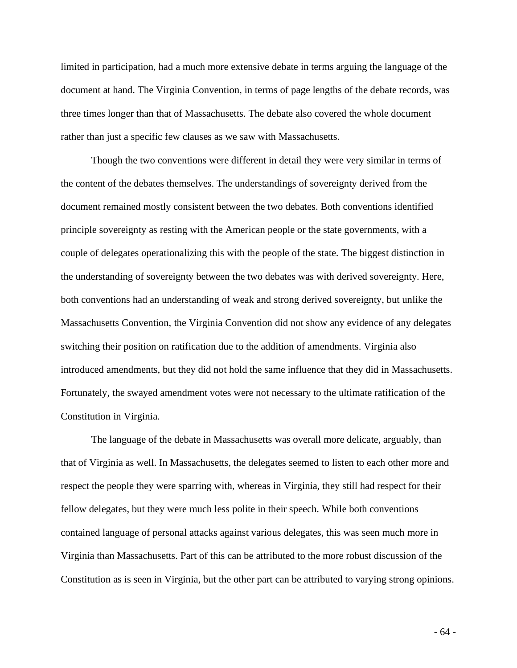limited in participation, had a much more extensive debate in terms arguing the language of the document at hand. The Virginia Convention, in terms of page lengths of the debate records, was three times longer than that of Massachusetts. The debate also covered the whole document rather than just a specific few clauses as we saw with Massachusetts.

Though the two conventions were different in detail they were very similar in terms of the content of the debates themselves. The understandings of sovereignty derived from the document remained mostly consistent between the two debates. Both conventions identified principle sovereignty as resting with the American people or the state governments, with a couple of delegates operationalizing this with the people of the state. The biggest distinction in the understanding of sovereignty between the two debates was with derived sovereignty. Here, both conventions had an understanding of weak and strong derived sovereignty, but unlike the Massachusetts Convention, the Virginia Convention did not show any evidence of any delegates switching their position on ratification due to the addition of amendments. Virginia also introduced amendments, but they did not hold the same influence that they did in Massachusetts. Fortunately, the swayed amendment votes were not necessary to the ultimate ratification of the Constitution in Virginia.

The language of the debate in Massachusetts was overall more delicate, arguably, than that of Virginia as well. In Massachusetts, the delegates seemed to listen to each other more and respect the people they were sparring with, whereas in Virginia, they still had respect for their fellow delegates, but they were much less polite in their speech. While both conventions contained language of personal attacks against various delegates, this was seen much more in Virginia than Massachusetts. Part of this can be attributed to the more robust discussion of the Constitution as is seen in Virginia, but the other part can be attributed to varying strong opinions.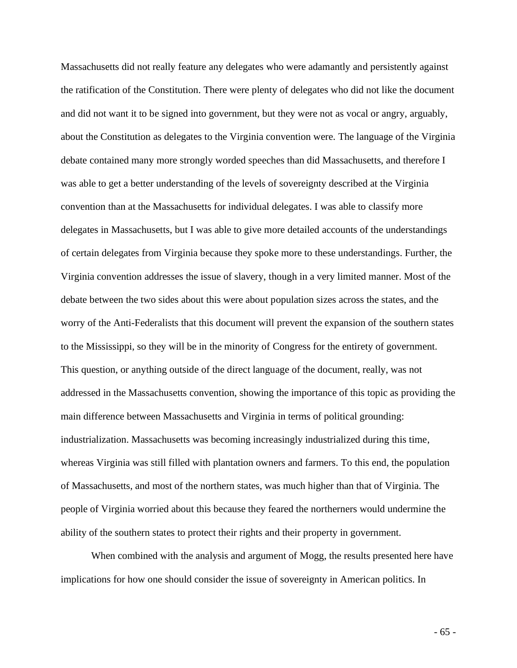Massachusetts did not really feature any delegates who were adamantly and persistently against the ratification of the Constitution. There were plenty of delegates who did not like the document and did not want it to be signed into government, but they were not as vocal or angry, arguably, about the Constitution as delegates to the Virginia convention were. The language of the Virginia debate contained many more strongly worded speeches than did Massachusetts, and therefore I was able to get a better understanding of the levels of sovereignty described at the Virginia convention than at the Massachusetts for individual delegates. I was able to classify more delegates in Massachusetts, but I was able to give more detailed accounts of the understandings of certain delegates from Virginia because they spoke more to these understandings. Further, the Virginia convention addresses the issue of slavery, though in a very limited manner. Most of the debate between the two sides about this were about population sizes across the states, and the worry of the Anti-Federalists that this document will prevent the expansion of the southern states to the Mississippi, so they will be in the minority of Congress for the entirety of government. This question, or anything outside of the direct language of the document, really, was not addressed in the Massachusetts convention, showing the importance of this topic as providing the main difference between Massachusetts and Virginia in terms of political grounding: industrialization. Massachusetts was becoming increasingly industrialized during this time, whereas Virginia was still filled with plantation owners and farmers. To this end, the population of Massachusetts, and most of the northern states, was much higher than that of Virginia. The people of Virginia worried about this because they feared the northerners would undermine the ability of the southern states to protect their rights and their property in government.

When combined with the analysis and argument of Mogg, the results presented here have implications for how one should consider the issue of sovereignty in American politics. In

- 65 -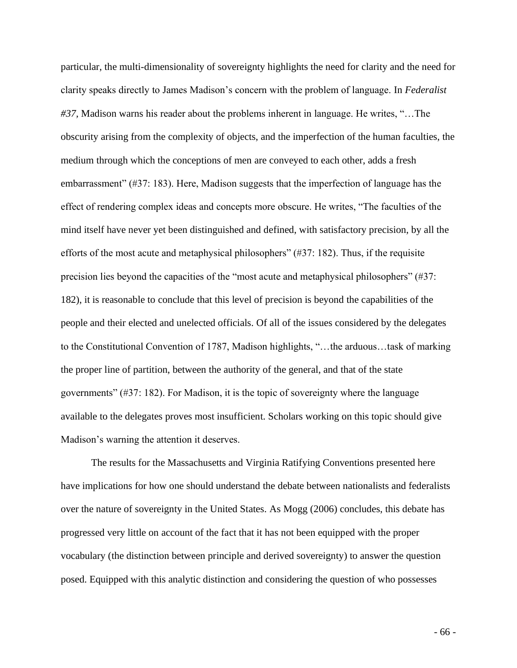particular, the multi-dimensionality of sovereignty highlights the need for clarity and the need for clarity speaks directly to James Madison's concern with the problem of language. In *Federalist #37,* Madison warns his reader about the problems inherent in language. He writes, "…The obscurity arising from the complexity of objects, and the imperfection of the human faculties, the medium through which the conceptions of men are conveyed to each other, adds a fresh embarrassment" (#37: 183). Here, Madison suggests that the imperfection of language has the effect of rendering complex ideas and concepts more obscure. He writes, "The faculties of the mind itself have never yet been distinguished and defined, with satisfactory precision, by all the efforts of the most acute and metaphysical philosophers" (#37: 182). Thus, if the requisite precision lies beyond the capacities of the "most acute and metaphysical philosophers" (#37: 182), it is reasonable to conclude that this level of precision is beyond the capabilities of the people and their elected and unelected officials. Of all of the issues considered by the delegates to the Constitutional Convention of 1787, Madison highlights, "…the arduous…task of marking the proper line of partition, between the authority of the general, and that of the state governments" (#37: 182). For Madison, it is the topic of sovereignty where the language available to the delegates proves most insufficient. Scholars working on this topic should give Madison's warning the attention it deserves.

The results for the Massachusetts and Virginia Ratifying Conventions presented here have implications for how one should understand the debate between nationalists and federalists over the nature of sovereignty in the United States. As Mogg (2006) concludes, this debate has progressed very little on account of the fact that it has not been equipped with the proper vocabulary (the distinction between principle and derived sovereignty) to answer the question posed. Equipped with this analytic distinction and considering the question of who possesses

- 66 -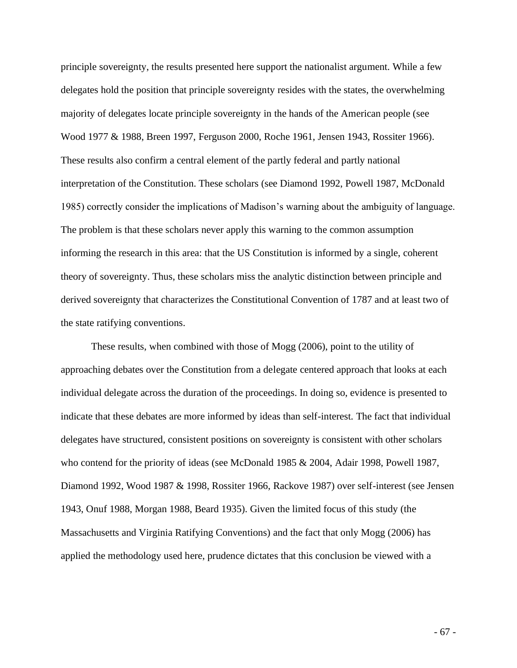principle sovereignty, the results presented here support the nationalist argument. While a few delegates hold the position that principle sovereignty resides with the states, the overwhelming majority of delegates locate principle sovereignty in the hands of the American people (see Wood 1977 & 1988, Breen 1997, Ferguson 2000, Roche 1961, Jensen 1943, Rossiter 1966). These results also confirm a central element of the partly federal and partly national interpretation of the Constitution. These scholars (see Diamond 1992, Powell 1987, McDonald 1985) correctly consider the implications of Madison's warning about the ambiguity of language. The problem is that these scholars never apply this warning to the common assumption informing the research in this area: that the US Constitution is informed by a single, coherent theory of sovereignty. Thus, these scholars miss the analytic distinction between principle and derived sovereignty that characterizes the Constitutional Convention of 1787 and at least two of the state ratifying conventions.

These results, when combined with those of Mogg (2006), point to the utility of approaching debates over the Constitution from a delegate centered approach that looks at each individual delegate across the duration of the proceedings. In doing so, evidence is presented to indicate that these debates are more informed by ideas than self-interest. The fact that individual delegates have structured, consistent positions on sovereignty is consistent with other scholars who contend for the priority of ideas (see McDonald 1985 & 2004, Adair 1998, Powell 1987, Diamond 1992, Wood 1987 & 1998, Rossiter 1966, Rackove 1987) over self-interest (see Jensen 1943, Onuf 1988, Morgan 1988, Beard 1935). Given the limited focus of this study (the Massachusetts and Virginia Ratifying Conventions) and the fact that only Mogg (2006) has applied the methodology used here, prudence dictates that this conclusion be viewed with a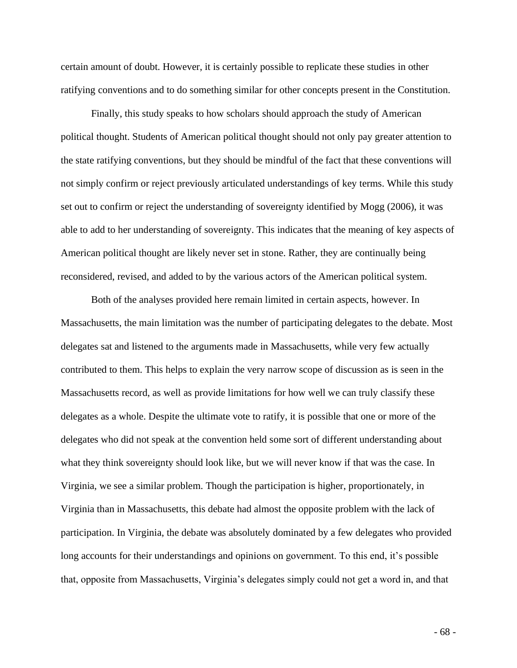certain amount of doubt. However, it is certainly possible to replicate these studies in other ratifying conventions and to do something similar for other concepts present in the Constitution.

Finally, this study speaks to how scholars should approach the study of American political thought. Students of American political thought should not only pay greater attention to the state ratifying conventions, but they should be mindful of the fact that these conventions will not simply confirm or reject previously articulated understandings of key terms. While this study set out to confirm or reject the understanding of sovereignty identified by Mogg (2006), it was able to add to her understanding of sovereignty. This indicates that the meaning of key aspects of American political thought are likely never set in stone. Rather, they are continually being reconsidered, revised, and added to by the various actors of the American political system.

Both of the analyses provided here remain limited in certain aspects, however. In Massachusetts, the main limitation was the number of participating delegates to the debate. Most delegates sat and listened to the arguments made in Massachusetts, while very few actually contributed to them. This helps to explain the very narrow scope of discussion as is seen in the Massachusetts record, as well as provide limitations for how well we can truly classify these delegates as a whole. Despite the ultimate vote to ratify, it is possible that one or more of the delegates who did not speak at the convention held some sort of different understanding about what they think sovereignty should look like, but we will never know if that was the case. In Virginia, we see a similar problem. Though the participation is higher, proportionately, in Virginia than in Massachusetts, this debate had almost the opposite problem with the lack of participation. In Virginia, the debate was absolutely dominated by a few delegates who provided long accounts for their understandings and opinions on government. To this end, it's possible that, opposite from Massachusetts, Virginia's delegates simply could not get a word in, and that

- 68 -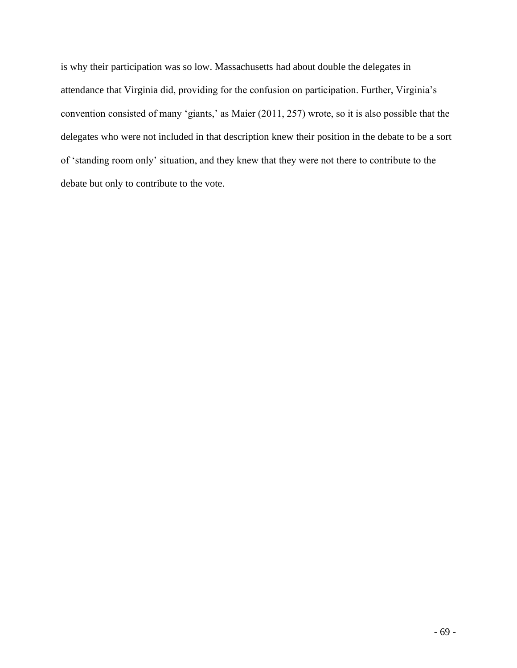is why their participation was so low. Massachusetts had about double the delegates in attendance that Virginia did, providing for the confusion on participation. Further, Virginia's convention consisted of many 'giants,' as Maier (2011, 257) wrote, so it is also possible that the delegates who were not included in that description knew their position in the debate to be a sort of 'standing room only' situation, and they knew that they were not there to contribute to the debate but only to contribute to the vote.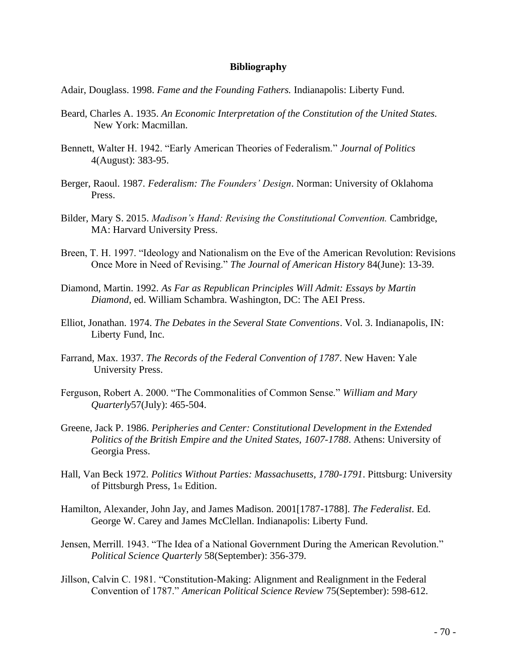## **Bibliography**

Adair, Douglass. 1998. *Fame and the Founding Fathers.* Indianapolis: Liberty Fund.

- Beard, Charles A. 1935. *An Economic Interpretation of the Constitution of the United States.* New York: Macmillan.
- Bennett, Walter H. 1942. "Early American Theories of Federalism." *Journal of Politics* 4(August): 383-95.
- Berger, Raoul. 1987. *Federalism: The Founders' Design*. Norman: University of Oklahoma Press.
- Bilder, Mary S. 2015. *Madison's Hand: Revising the Constitutional Convention.* Cambridge, MA: Harvard University Press.
- Breen, T. H. 1997. "Ideology and Nationalism on the Eve of the American Revolution: Revisions Once More in Need of Revising." *The Journal of American History* 84(June): 13-39.
- Diamond, Martin. 1992. *As Far as Republican Principles Will Admit: Essays by Martin Diamond*, ed. William Schambra. Washington, DC: The AEI Press.
- Elliot, Jonathan. 1974. *The Debates in the Several State Conventions*. Vol. 3. Indianapolis, IN: Liberty Fund, Inc.
- Farrand, Max. 1937. *The Records of the Federal Convention of 1787*. New Haven: Yale University Press.
- Ferguson, Robert A. 2000. "The Commonalities of Common Sense." *William and Mary Quarterly*57(July): 465-504.
- Greene, Jack P. 1986. *Peripheries and Center: Constitutional Development in the Extended Politics of the British Empire and the United States, 1607-1788*. Athens: University of Georgia Press.
- Hall, Van Beck 1972. *Politics Without Parties: Massachusetts, 1780-1791*. Pittsburg: University of Pittsburgh Press, 1st Edition.
- Hamilton, Alexander, John Jay, and James Madison. 2001[1787-1788]. *The Federalist*. Ed. George W. Carey and James McClellan. Indianapolis: Liberty Fund.
- Jensen, Merrill. 1943. "The Idea of a National Government During the American Revolution." *Political Science Quarterly* 58(September): 356-379.
- Jillson, Calvin C. 1981. "Constitution-Making: Alignment and Realignment in the Federal Convention of 1787." *American Political Science Review* 75(September): 598-612.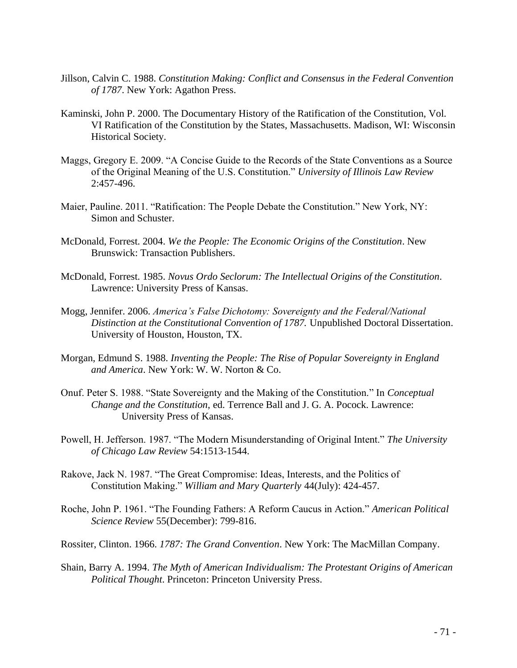- Jillson, Calvin C. 1988. *Constitution Making: Conflict and Consensus in the Federal Convention of 1787*. New York: Agathon Press.
- Kaminski, John P. 2000. The Documentary History of the Ratification of the Constitution, Vol. VI Ratification of the Constitution by the States, Massachusetts. Madison, WI: Wisconsin Historical Society.
- Maggs, Gregory E. 2009. "A Concise Guide to the Records of the State Conventions as a Source of the Original Meaning of the U.S. Constitution." *University of Illinois Law Review* 2:457-496.
- Maier, Pauline. 2011. "Ratification: The People Debate the Constitution." New York, NY: Simon and Schuster.
- McDonald, Forrest. 2004. *We the People: The Economic Origins of the Constitution*. New Brunswick: Transaction Publishers.
- McDonald, Forrest. 1985. *Novus Ordo Seclorum: The Intellectual Origins of the Constitution*. Lawrence: University Press of Kansas.
- Mogg, Jennifer. 2006. *America's False Dichotomy: Sovereignty and the Federal/National Distinction at the Constitutional Convention of 1787.* Unpublished Doctoral Dissertation. University of Houston, Houston, TX.
- Morgan, Edmund S. 1988. *Inventing the People: The Rise of Popular Sovereignty in England and America*. New York: W. W. Norton & Co.
- Onuf. Peter S. 1988. "State Sovereignty and the Making of the Constitution." In *Conceptual Change and the Constitution*, ed. Terrence Ball and J. G. A. Pocock. Lawrence: University Press of Kansas.
- Powell, H. Jefferson. 1987. "The Modern Misunderstanding of Original Intent." *The University of Chicago Law Review* 54:1513-1544.
- Rakove, Jack N. 1987. "The Great Compromise: Ideas, Interests, and the Politics of Constitution Making." *William and Mary Quarterly* 44(July): 424-457.
- Roche, John P. 1961. "The Founding Fathers: A Reform Caucus in Action." *American Political Science Review* 55(December): 799-816.
- Rossiter, Clinton. 1966. *1787: The Grand Convention*. New York: The MacMillan Company.
- Shain, Barry A. 1994. *The Myth of American Individualism: The Protestant Origins of American Political Thought*. Princeton: Princeton University Press.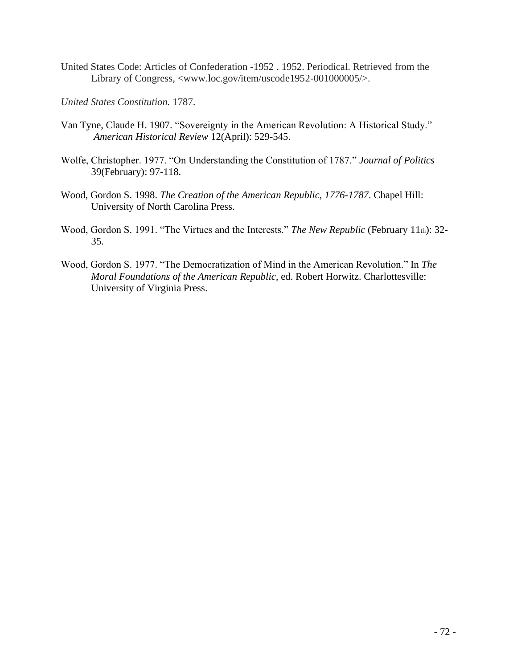- United States Code: Articles of Confederation -1952 . 1952. Periodical. Retrieved from the Library of Congress, <www.loc.gov/item/uscode1952-001000005/>.
- *United States Constitution.* 1787.
- Van Tyne, Claude H. 1907. "Sovereignty in the American Revolution: A Historical Study." *American Historical Review* 12(April): 529-545.
- Wolfe, Christopher. 1977. "On Understanding the Constitution of 1787." *Journal of Politics* 39(February): 97-118.
- Wood, Gordon S. 1998. *The Creation of the American Republic, 1776-1787*. Chapel Hill: University of North Carolina Press.
- Wood, Gordon S. 1991. "The Virtues and the Interests." *The New Republic* (February 11th): 32- 35.
- Wood, Gordon S. 1977. "The Democratization of Mind in the American Revolution." In *The Moral Foundations of the American Republic*, ed. Robert Horwitz. Charlottesville: University of Virginia Press.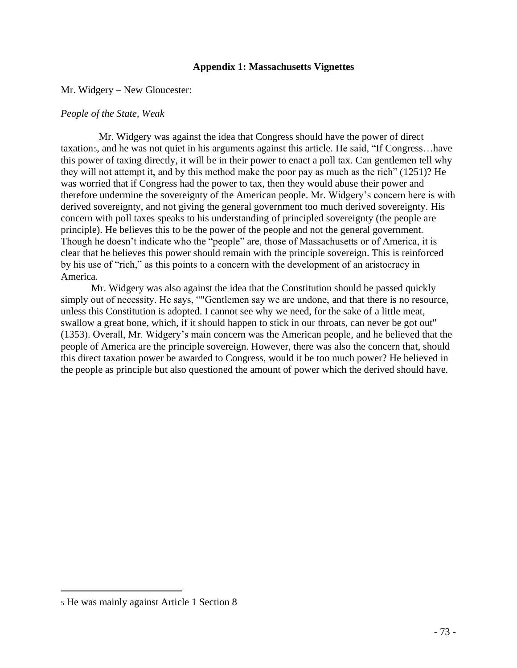# **Appendix 1: Massachusetts Vignettes**

Mr. Widgery – New Gloucester:

# *People of the State, Weak*

 Mr. Widgery was against the idea that Congress should have the power of direct taxation5, and he was not quiet in his arguments against this article. He said, "If Congress…have this power of taxing directly, it will be in their power to enact a poll tax. Can gentlemen tell why they will not attempt it, and by this method make the poor pay as much as the rich" (1251)? He was worried that if Congress had the power to tax, then they would abuse their power and therefore undermine the sovereignty of the American people. Mr. Widgery's concern here is with derived sovereignty, and not giving the general government too much derived sovereignty. His concern with poll taxes speaks to his understanding of principled sovereignty (the people are principle). He believes this to be the power of the people and not the general government. Though he doesn't indicate who the "people" are, those of Massachusetts or of America, it is clear that he believes this power should remain with the principle sovereign. This is reinforced by his use of "rich," as this points to a concern with the development of an aristocracy in America.

Mr. Widgery was also against the idea that the Constitution should be passed quickly simply out of necessity. He says, ""Gentlemen say we are undone, and that there is no resource, unless this Constitution is adopted. I cannot see why we need, for the sake of a little meat, swallow a great bone, which, if it should happen to stick in our throats, can never be got out" (1353). Overall, Mr. Widgery's main concern was the American people, and he believed that the people of America are the principle sovereign. However, there was also the concern that, should this direct taxation power be awarded to Congress, would it be too much power? He believed in the people as principle but also questioned the amount of power which the derived should have.

<sup>5</sup> He was mainly against Article 1 Section 8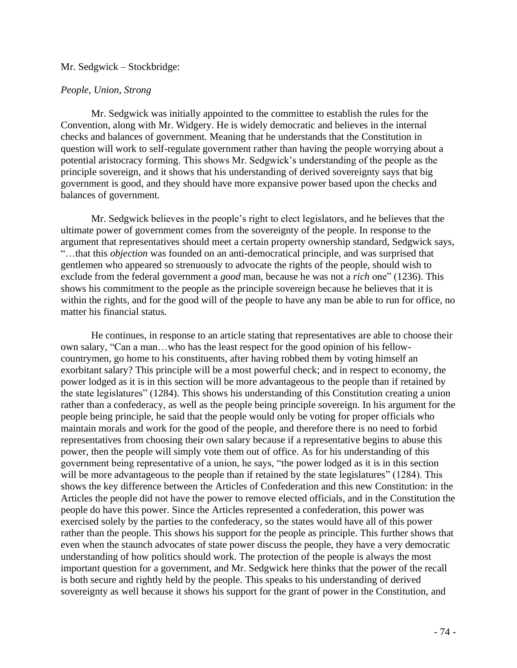## Mr. Sedgwick – Stockbridge:

## *People, Union, Strong*

Mr. Sedgwick was initially appointed to the committee to establish the rules for the Convention, along with Mr. Widgery. He is widely democratic and believes in the internal checks and balances of government. Meaning that he understands that the Constitution in question will work to self-regulate government rather than having the people worrying about a potential aristocracy forming. This shows Mr. Sedgwick's understanding of the people as the principle sovereign, and it shows that his understanding of derived sovereignty says that big government is good, and they should have more expansive power based upon the checks and balances of government.

Mr. Sedgwick believes in the people's right to elect legislators, and he believes that the ultimate power of government comes from the sovereignty of the people. In response to the argument that representatives should meet a certain property ownership standard, Sedgwick says, "…that this *objection* was founded on an anti-democratical principle, and was surprised that gentlemen who appeared so strenuously to advocate the rights of the people, should wish to exclude from the federal government a *good* man, because he was not a *rich* one" (1236). This shows his commitment to the people as the principle sovereign because he believes that it is within the rights, and for the good will of the people to have any man be able to run for office, no matter his financial status.

He continues, in response to an article stating that representatives are able to choose their own salary, "Can a man…who has the least respect for the good opinion of his fellowcountrymen, go home to his constituents, after having robbed them by voting himself an exorbitant salary? This principle will be a most powerful check; and in respect to economy, the power lodged as it is in this section will be more advantageous to the people than if retained by the state legislatures" (1284). This shows his understanding of this Constitution creating a union rather than a confederacy, as well as the people being principle sovereign. In his argument for the people being principle, he said that the people would only be voting for proper officials who maintain morals and work for the good of the people, and therefore there is no need to forbid representatives from choosing their own salary because if a representative begins to abuse this power, then the people will simply vote them out of office. As for his understanding of this government being representative of a union, he says, "the power lodged as it is in this section will be more advantageous to the people than if retained by the state legislatures" (1284). This shows the key difference between the Articles of Confederation and this new Constitution: in the Articles the people did not have the power to remove elected officials, and in the Constitution the people do have this power. Since the Articles represented a confederation, this power was exercised solely by the parties to the confederacy, so the states would have all of this power rather than the people. This shows his support for the people as principle. This further shows that even when the staunch advocates of state power discuss the people, they have a very democratic understanding of how politics should work. The protection of the people is always the most important question for a government, and Mr. Sedgwick here thinks that the power of the recall is both secure and rightly held by the people. This speaks to his understanding of derived sovereignty as well because it shows his support for the grant of power in the Constitution, and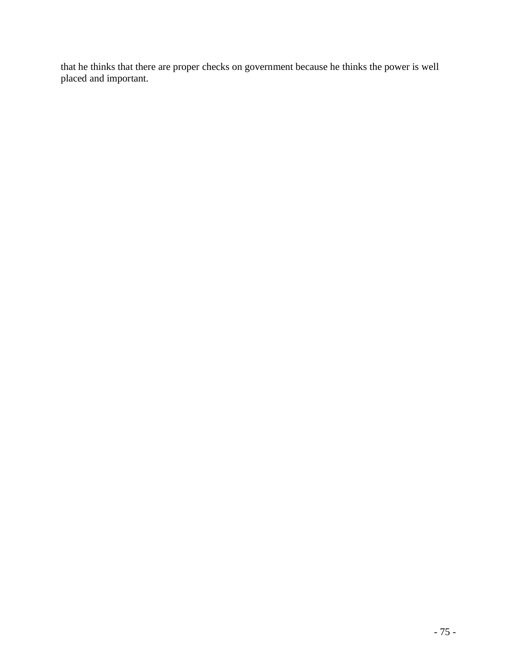that he thinks that there are proper checks on government because he thinks the power is well placed and important.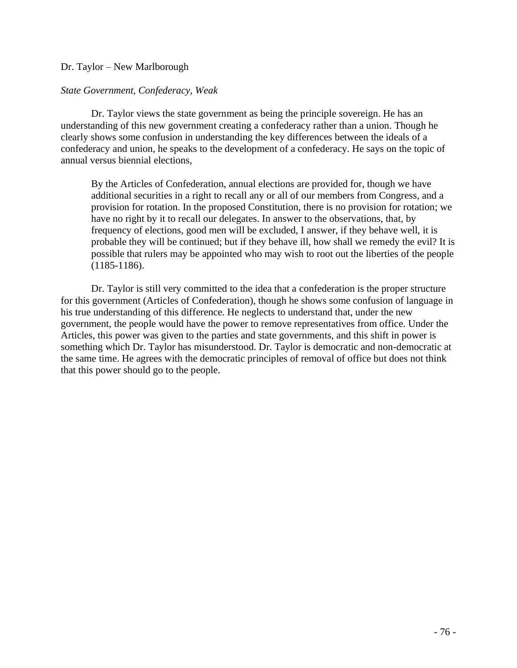# Dr. Taylor – New Marlborough

# *State Government, Confederacy, Weak*

Dr. Taylor views the state government as being the principle sovereign. He has an understanding of this new government creating a confederacy rather than a union. Though he clearly shows some confusion in understanding the key differences between the ideals of a confederacy and union, he speaks to the development of a confederacy. He says on the topic of annual versus biennial elections,

By the Articles of Confederation, annual elections are provided for, though we have additional securities in a right to recall any or all of our members from Congress, and a provision for rotation. In the proposed Constitution, there is no provision for rotation; we have no right by it to recall our delegates. In answer to the observations, that, by frequency of elections, good men will be excluded, I answer, if they behave well, it is probable they will be continued; but if they behave ill, how shall we remedy the evil? It is possible that rulers may be appointed who may wish to root out the liberties of the people (1185-1186).

Dr. Taylor is still very committed to the idea that a confederation is the proper structure for this government (Articles of Confederation), though he shows some confusion of language in his true understanding of this difference. He neglects to understand that, under the new government, the people would have the power to remove representatives from office. Under the Articles, this power was given to the parties and state governments, and this shift in power is something which Dr. Taylor has misunderstood. Dr. Taylor is democratic and non-democratic at the same time. He agrees with the democratic principles of removal of office but does not think that this power should go to the people.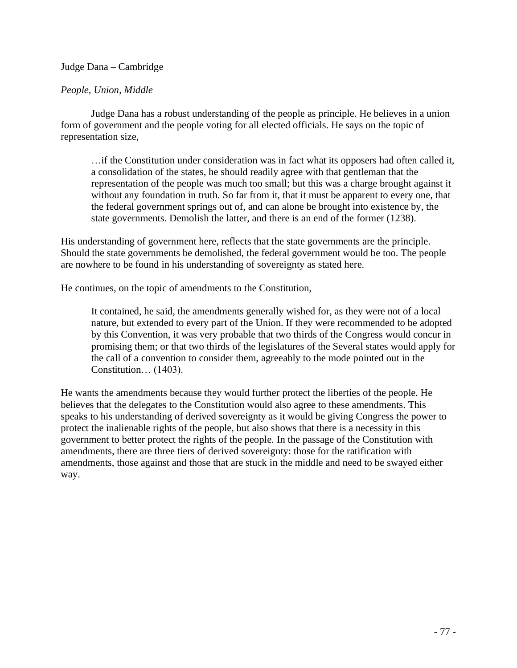# Judge Dana – Cambridge

# *People, Union, Middle*

Judge Dana has a robust understanding of the people as principle. He believes in a union form of government and the people voting for all elected officials. He says on the topic of representation size,

…if the Constitution under consideration was in fact what its opposers had often called it, a consolidation of the states, he should readily agree with that gentleman that the representation of the people was much too small; but this was a charge brought against it without any foundation in truth. So far from it, that it must be apparent to every one, that the federal government springs out of, and can alone be brought into existence by, the state governments. Demolish the latter, and there is an end of the former (1238).

His understanding of government here, reflects that the state governments are the principle. Should the state governments be demolished, the federal government would be too. The people are nowhere to be found in his understanding of sovereignty as stated here.

He continues, on the topic of amendments to the Constitution,

It contained, he said, the amendments generally wished for, as they were not of a local nature, but extended to every part of the Union. If they were recommended to be adopted by this Convention, it was very probable that two thirds of the Congress would concur in promising them; or that two thirds of the legislatures of the Several states would apply for the call of a convention to consider them, agreeably to the mode pointed out in the Constitution… (1403).

He wants the amendments because they would further protect the liberties of the people. He believes that the delegates to the Constitution would also agree to these amendments. This speaks to his understanding of derived sovereignty as it would be giving Congress the power to protect the inalienable rights of the people, but also shows that there is a necessity in this government to better protect the rights of the people. In the passage of the Constitution with amendments, there are three tiers of derived sovereignty: those for the ratification with amendments, those against and those that are stuck in the middle and need to be swayed either way.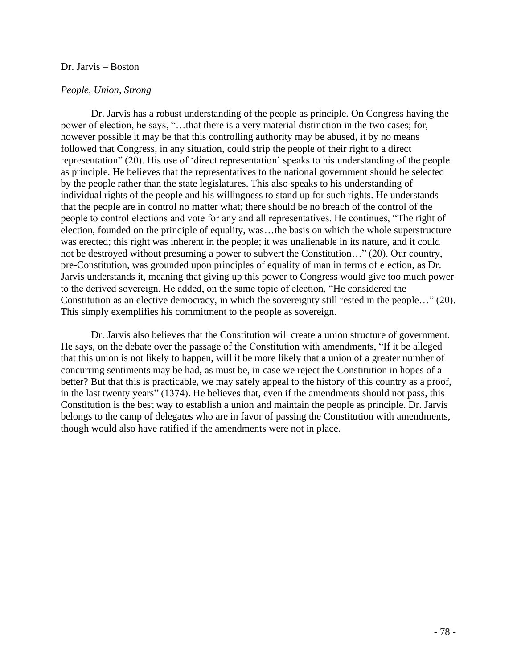## Dr. Jarvis – Boston

# *People, Union, Strong*

Dr. Jarvis has a robust understanding of the people as principle. On Congress having the power of election, he says, "…that there is a very material distinction in the two cases; for, however possible it may be that this controlling authority may be abused, it by no means followed that Congress, in any situation, could strip the people of their right to a direct representation" (20). His use of 'direct representation' speaks to his understanding of the people as principle. He believes that the representatives to the national government should be selected by the people rather than the state legislatures. This also speaks to his understanding of individual rights of the people and his willingness to stand up for such rights. He understands that the people are in control no matter what; there should be no breach of the control of the people to control elections and vote for any and all representatives. He continues, "The right of election, founded on the principle of equality, was…the basis on which the whole superstructure was erected; this right was inherent in the people; it was unalienable in its nature, and it could not be destroyed without presuming a power to subvert the Constitution…" (20). Our country, pre-Constitution, was grounded upon principles of equality of man in terms of election, as Dr. Jarvis understands it, meaning that giving up this power to Congress would give too much power to the derived sovereign. He added, on the same topic of election, "He considered the Constitution as an elective democracy, in which the sovereignty still rested in the people…" (20). This simply exemplifies his commitment to the people as sovereign.

Dr. Jarvis also believes that the Constitution will create a union structure of government. He says, on the debate over the passage of the Constitution with amendments, "If it be alleged that this union is not likely to happen, will it be more likely that a union of a greater number of concurring sentiments may be had, as must be, in case we reject the Constitution in hopes of a better? But that this is practicable, we may safely appeal to the history of this country as a proof, in the last twenty years" (1374). He believes that, even if the amendments should not pass, this Constitution is the best way to establish a union and maintain the people as principle. Dr. Jarvis belongs to the camp of delegates who are in favor of passing the Constitution with amendments, though would also have ratified if the amendments were not in place.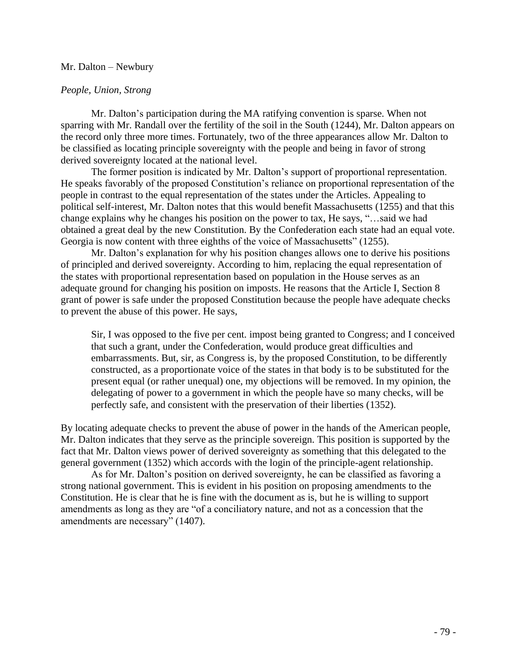### Mr. Dalton – Newbury

# *People, Union, Strong*

Mr. Dalton's participation during the MA ratifying convention is sparse. When not sparring with Mr. Randall over the fertility of the soil in the South (1244), Mr. Dalton appears on the record only three more times. Fortunately, two of the three appearances allow Mr. Dalton to be classified as locating principle sovereignty with the people and being in favor of strong derived sovereignty located at the national level.

The former position is indicated by Mr. Dalton's support of proportional representation. He speaks favorably of the proposed Constitution's reliance on proportional representation of the people in contrast to the equal representation of the states under the Articles. Appealing to political self-interest, Mr. Dalton notes that this would benefit Massachusetts (1255) and that this change explains why he changes his position on the power to tax, He says, "…said we had obtained a great deal by the new Constitution. By the Confederation each state had an equal vote. Georgia is now content with three eighths of the voice of Massachusetts" (1255).

Mr. Dalton's explanation for why his position changes allows one to derive his positions of principled and derived sovereignty. According to him, replacing the equal representation of the states with proportional representation based on population in the House serves as an adequate ground for changing his position on imposts. He reasons that the Article I, Section 8 grant of power is safe under the proposed Constitution because the people have adequate checks to prevent the abuse of this power. He says,

Sir, I was opposed to the five per cent. impost being granted to Congress; and I conceived that such a grant, under the Confederation, would produce great difficulties and embarrassments. But, sir, as Congress is, by the proposed Constitution, to be differently constructed, as a proportionate voice of the states in that body is to be substituted for the present equal (or rather unequal) one, my objections will be removed. In my opinion, the delegating of power to a government in which the people have so many checks, will be perfectly safe, and consistent with the preservation of their liberties (1352).

By locating adequate checks to prevent the abuse of power in the hands of the American people, Mr. Dalton indicates that they serve as the principle sovereign. This position is supported by the fact that Mr. Dalton views power of derived sovereignty as something that this delegated to the general government (1352) which accords with the login of the principle-agent relationship.

As for Mr. Dalton's position on derived sovereignty, he can be classified as favoring a strong national government. This is evident in his position on proposing amendments to the Constitution. He is clear that he is fine with the document as is, but he is willing to support amendments as long as they are "of a conciliatory nature, and not as a concession that the amendments are necessary" (1407).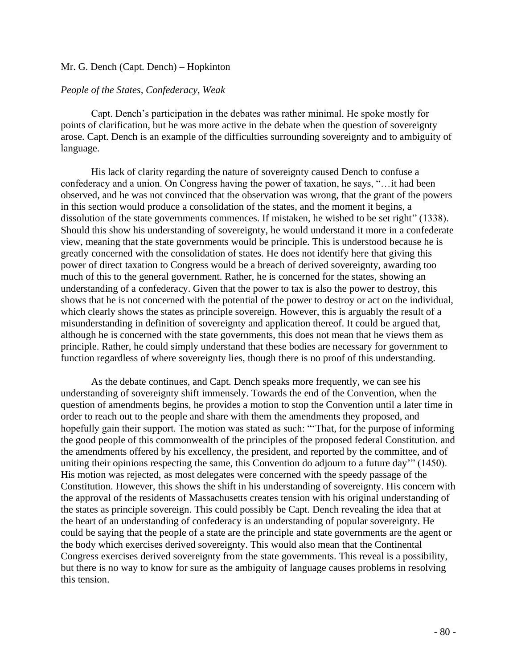# Mr. G. Dench (Capt. Dench) – Hopkinton

## *People of the States, Confederacy, Weak*

Capt. Dench's participation in the debates was rather minimal. He spoke mostly for points of clarification, but he was more active in the debate when the question of sovereignty arose. Capt. Dench is an example of the difficulties surrounding sovereignty and to ambiguity of language.

His lack of clarity regarding the nature of sovereignty caused Dench to confuse a confederacy and a union. On Congress having the power of taxation, he says, "…it had been observed, and he was not convinced that the observation was wrong, that the grant of the powers in this section would produce a consolidation of the states, and the moment it begins, a dissolution of the state governments commences. If mistaken, he wished to be set right" (1338). Should this show his understanding of sovereignty, he would understand it more in a confederate view, meaning that the state governments would be principle. This is understood because he is greatly concerned with the consolidation of states. He does not identify here that giving this power of direct taxation to Congress would be a breach of derived sovereignty, awarding too much of this to the general government. Rather, he is concerned for the states, showing an understanding of a confederacy. Given that the power to tax is also the power to destroy, this shows that he is not concerned with the potential of the power to destroy or act on the individual, which clearly shows the states as principle sovereign. However, this is arguably the result of a misunderstanding in definition of sovereignty and application thereof. It could be argued that, although he is concerned with the state governments, this does not mean that he views them as principle. Rather, he could simply understand that these bodies are necessary for government to function regardless of where sovereignty lies, though there is no proof of this understanding.

As the debate continues, and Capt. Dench speaks more frequently, we can see his understanding of sovereignty shift immensely. Towards the end of the Convention, when the question of amendments begins, he provides a motion to stop the Convention until a later time in order to reach out to the people and share with them the amendments they proposed, and hopefully gain their support. The motion was stated as such: "'That, for the purpose of informing the good people of this commonwealth of the principles of the proposed federal Constitution. and the amendments offered by his excellency, the president, and reported by the committee, and of uniting their opinions respecting the same, this Convention do adjourn to a future day'" (1450). His motion was rejected, as most delegates were concerned with the speedy passage of the Constitution. However, this shows the shift in his understanding of sovereignty. His concern with the approval of the residents of Massachusetts creates tension with his original understanding of the states as principle sovereign. This could possibly be Capt. Dench revealing the idea that at the heart of an understanding of confederacy is an understanding of popular sovereignty. He could be saying that the people of a state are the principle and state governments are the agent or the body which exercises derived sovereignty. This would also mean that the Continental Congress exercises derived sovereignty from the state governments. This reveal is a possibility, but there is no way to know for sure as the ambiguity of language causes problems in resolving this tension.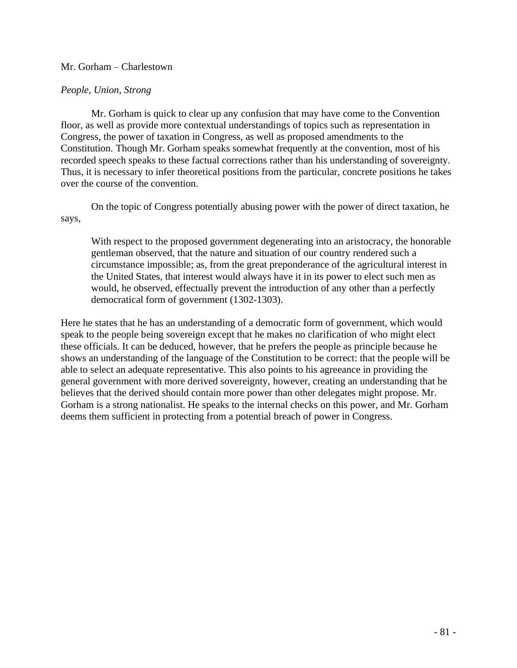# Mr. Gorham – Charlestown

# *People, Union, Strong*

Mr. Gorham is quick to clear up any confusion that may have come to the Convention floor, as well as provide more contextual understandings of topics such as representation in Congress, the power of taxation in Congress, as well as proposed amendments to the Constitution. Though Mr. Gorham speaks somewhat frequently at the convention, most of his recorded speech speaks to these factual corrections rather than his understanding of sovereignty. Thus, it is necessary to infer theoretical positions from the particular, concrete positions he takes over the course of the convention.

On the topic of Congress potentially abusing power with the power of direct taxation, he says,

With respect to the proposed government degenerating into an aristocracy, the honorable gentleman observed, that the nature and situation of our country rendered such a circumstance impossible; as, from the great preponderance of the agricultural interest in the United States, that interest would always have it in its power to elect such men as would, he observed, effectually prevent the introduction of any other than a perfectly democratical form of government (1302-1303).

Here he states that he has an understanding of a democratic form of government, which would speak to the people being sovereign except that he makes no clarification of who might elect these officials. It can be deduced, however, that he prefers the people as principle because he shows an understanding of the language of the Constitution to be correct: that the people will be able to select an adequate representative. This also points to his agreeance in providing the general government with more derived sovereignty, however, creating an understanding that he believes that the derived should contain more power than other delegates might propose. Mr. Gorham is a strong nationalist. He speaks to the internal checks on this power, and Mr. Gorham deems them sufficient in protecting from a potential breach of power in Congress.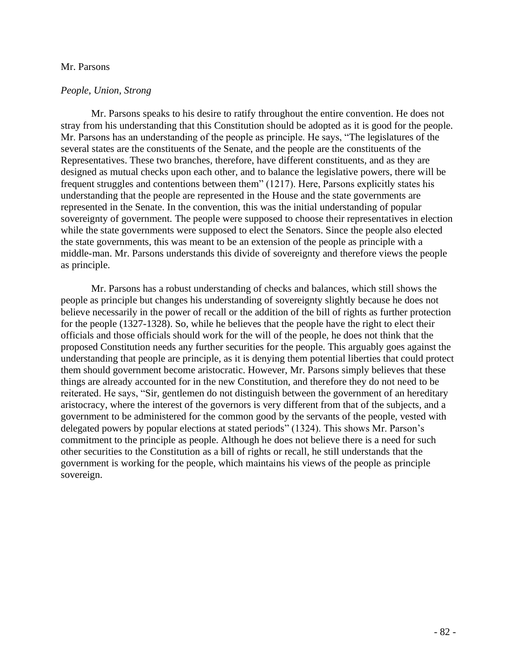#### Mr. Parsons

#### *People, Union, Strong*

Mr. Parsons speaks to his desire to ratify throughout the entire convention. He does not stray from his understanding that this Constitution should be adopted as it is good for the people. Mr. Parsons has an understanding of the people as principle. He says, "The legislatures of the several states are the constituents of the Senate, and the people are the constituents of the Representatives. These two branches, therefore, have different constituents, and as they are designed as mutual checks upon each other, and to balance the legislative powers, there will be frequent struggles and contentions between them" (1217). Here, Parsons explicitly states his understanding that the people are represented in the House and the state governments are represented in the Senate. In the convention, this was the initial understanding of popular sovereignty of government. The people were supposed to choose their representatives in election while the state governments were supposed to elect the Senators. Since the people also elected the state governments, this was meant to be an extension of the people as principle with a middle-man. Mr. Parsons understands this divide of sovereignty and therefore views the people as principle.

Mr. Parsons has a robust understanding of checks and balances, which still shows the people as principle but changes his understanding of sovereignty slightly because he does not believe necessarily in the power of recall or the addition of the bill of rights as further protection for the people (1327-1328). So, while he believes that the people have the right to elect their officials and those officials should work for the will of the people, he does not think that the proposed Constitution needs any further securities for the people. This arguably goes against the understanding that people are principle, as it is denying them potential liberties that could protect them should government become aristocratic. However, Mr. Parsons simply believes that these things are already accounted for in the new Constitution, and therefore they do not need to be reiterated. He says, "Sir, gentlemen do not distinguish between the government of an hereditary aristocracy, where the interest of the governors is very different from that of the subjects, and a government to be administered for the common good by the servants of the people, vested with delegated powers by popular elections at stated periods" (1324). This shows Mr. Parson's commitment to the principle as people. Although he does not believe there is a need for such other securities to the Constitution as a bill of rights or recall, he still understands that the government is working for the people, which maintains his views of the people as principle sovereign.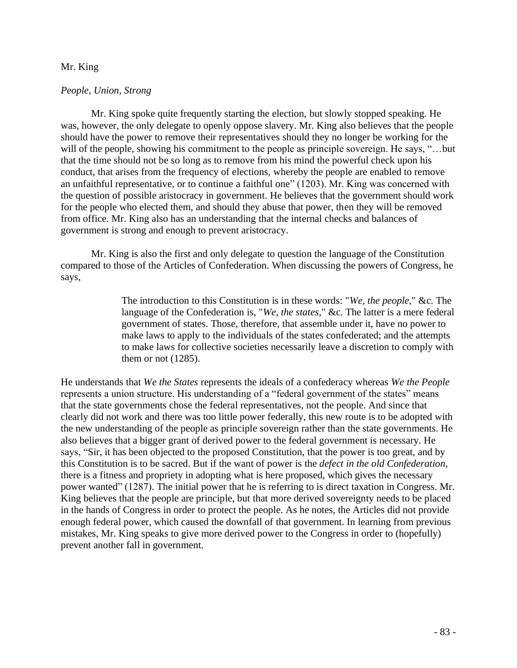# Mr. King

## *People, Union, Strong*

Mr. King spoke quite frequently starting the election, but slowly stopped speaking. He was, however, the only delegate to openly oppose slavery. Mr. King also believes that the people should have the power to remove their representatives should they no longer be working for the will of the people, showing his commitment to the people as principle sovereign. He says, "...but that the time should not be so long as to remove from his mind the powerful check upon his conduct, that arises from the frequency of elections, whereby the people are enabled to remove an unfaithful representative, or to continue a faithful one" (1203). Mr. King was concerned with the question of possible aristocracy in government. He believes that the government should work for the people who elected them, and should they abuse that power, then they will be removed from office. Mr. King also has an understanding that the internal checks and balances of government is strong and enough to prevent aristocracy.

Mr. King is also the first and only delegate to question the language of the Constitution compared to those of the Articles of Confederation. When discussing the powers of Congress, he says,

> The introduction to this Constitution is in these words: "*We, the people*," &c. The language of the Confederation is, "*We, the states*," &c. The latter is a mere federal government of states. Those, therefore, that assemble under it, have no power to make laws to apply to the individuals of the states confederated; and the attempts to make laws for collective societies necessarily leave a discretion to comply with them or not (1285).

He understands that *We the States* represents the ideals of a confederacy whereas *We the People*  represents a union structure. His understanding of a "federal government of the states" means that the state governments chose the federal representatives, not the people. And since that clearly did not work and there was too little power federally, this new route is to be adopted with the new understanding of the people as principle sovereign rather than the state governments. He also believes that a bigger grant of derived power to the federal government is necessary. He says, "Sir, it has been objected to the proposed Constitution, that the power is too great, and by this Constitution is to be sacred. But if the want of power is the *defect in the old Confederation*, there is a fitness and propriety in adopting what is here proposed, which gives the necessary power wanted" (1287). The initial power that he is referring to is direct taxation in Congress. Mr. King believes that the people are principle, but that more derived sovereignty needs to be placed in the hands of Congress in order to protect the people. As he notes, the Articles did not provide enough federal power, which caused the downfall of that government. In learning from previous mistakes, Mr. King speaks to give more derived power to the Congress in order to (hopefully) prevent another fall in government.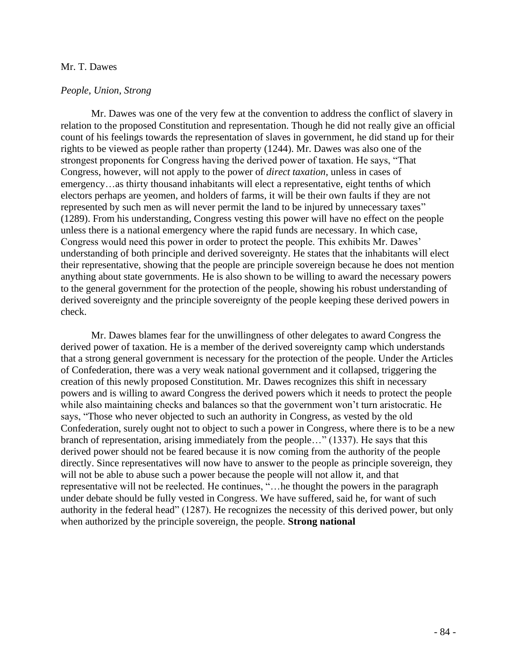# Mr. T. Dawes

#### *People, Union, Strong*

Mr. Dawes was one of the very few at the convention to address the conflict of slavery in relation to the proposed Constitution and representation. Though he did not really give an official count of his feelings towards the representation of slaves in government, he did stand up for their rights to be viewed as people rather than property (1244). Mr. Dawes was also one of the strongest proponents for Congress having the derived power of taxation. He says, "That Congress, however, will not apply to the power of *direct taxation*, unless in cases of emergency…as thirty thousand inhabitants will elect a representative, eight tenths of which electors perhaps are yeomen, and holders of farms, it will be their own faults if they are not represented by such men as will never permit the land to be injured by unnecessary taxes" (1289). From his understanding, Congress vesting this power will have no effect on the people unless there is a national emergency where the rapid funds are necessary. In which case, Congress would need this power in order to protect the people. This exhibits Mr. Dawes' understanding of both principle and derived sovereignty. He states that the inhabitants will elect their representative, showing that the people are principle sovereign because he does not mention anything about state governments. He is also shown to be willing to award the necessary powers to the general government for the protection of the people, showing his robust understanding of derived sovereignty and the principle sovereignty of the people keeping these derived powers in check.

Mr. Dawes blames fear for the unwillingness of other delegates to award Congress the derived power of taxation. He is a member of the derived sovereignty camp which understands that a strong general government is necessary for the protection of the people. Under the Articles of Confederation, there was a very weak national government and it collapsed, triggering the creation of this newly proposed Constitution. Mr. Dawes recognizes this shift in necessary powers and is willing to award Congress the derived powers which it needs to protect the people while also maintaining checks and balances so that the government won't turn aristocratic. He says, "Those who never objected to such an authority in Congress, as vested by the old Confederation, surely ought not to object to such a power in Congress, where there is to be a new branch of representation, arising immediately from the people…" (1337). He says that this derived power should not be feared because it is now coming from the authority of the people directly. Since representatives will now have to answer to the people as principle sovereign, they will not be able to abuse such a power because the people will not allow it, and that representative will not be reelected. He continues, "…he thought the powers in the paragraph under debate should be fully vested in Congress. We have suffered, said he, for want of such authority in the federal head" (1287). He recognizes the necessity of this derived power, but only when authorized by the principle sovereign, the people. **Strong national**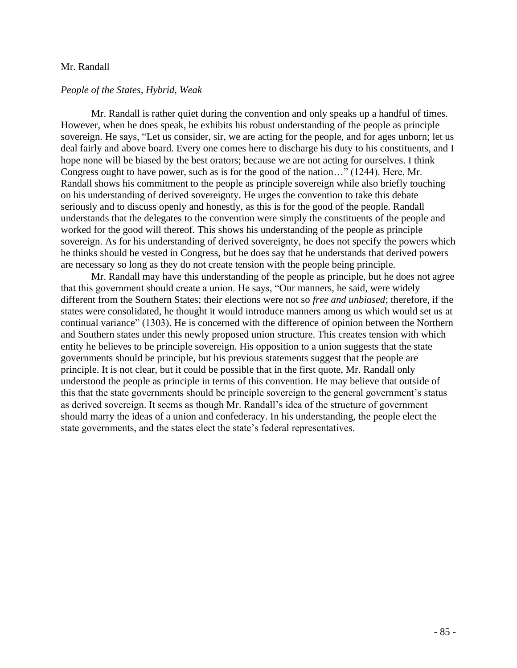#### Mr. Randall

#### *People of the States, Hybrid, Weak*

Mr. Randall is rather quiet during the convention and only speaks up a handful of times. However, when he does speak, he exhibits his robust understanding of the people as principle sovereign. He says, "Let us consider, sir, we are acting for the people, and for ages unborn; let us deal fairly and above board. Every one comes here to discharge his duty to his constituents, and I hope none will be biased by the best orators; because we are not acting for ourselves. I think Congress ought to have power, such as is for the good of the nation…" (1244). Here, Mr. Randall shows his commitment to the people as principle sovereign while also briefly touching on his understanding of derived sovereignty. He urges the convention to take this debate seriously and to discuss openly and honestly, as this is for the good of the people. Randall understands that the delegates to the convention were simply the constituents of the people and worked for the good will thereof. This shows his understanding of the people as principle sovereign. As for his understanding of derived sovereignty, he does not specify the powers which he thinks should be vested in Congress, but he does say that he understands that derived powers are necessary so long as they do not create tension with the people being principle.

Mr. Randall may have this understanding of the people as principle, but he does not agree that this government should create a union. He says, "Our manners, he said, were widely different from the Southern States; their elections were not so *free and unbiased*; therefore, if the states were consolidated, he thought it would introduce manners among us which would set us at continual variance" (1303). He is concerned with the difference of opinion between the Northern and Southern states under this newly proposed union structure. This creates tension with which entity he believes to be principle sovereign. His opposition to a union suggests that the state governments should be principle, but his previous statements suggest that the people are principle. It is not clear, but it could be possible that in the first quote, Mr. Randall only understood the people as principle in terms of this convention. He may believe that outside of this that the state governments should be principle sovereign to the general government's status as derived sovereign. It seems as though Mr. Randall's idea of the structure of government should marry the ideas of a union and confederacy. In his understanding, the people elect the state governments, and the states elect the state's federal representatives.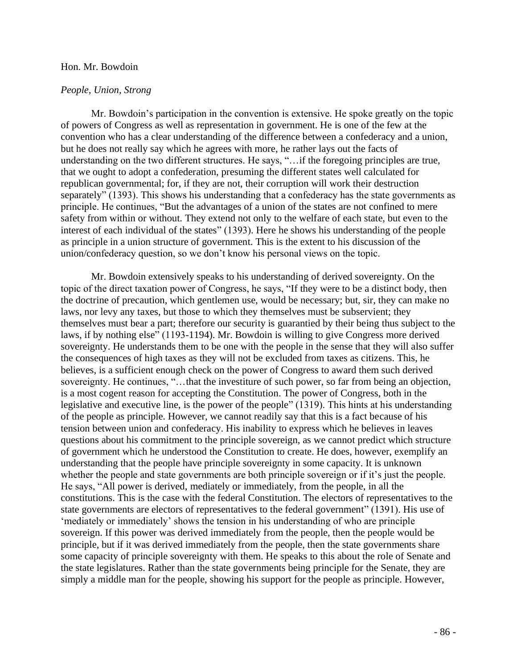#### Hon. Mr. Bowdoin

#### *People, Union, Strong*

Mr. Bowdoin's participation in the convention is extensive. He spoke greatly on the topic of powers of Congress as well as representation in government. He is one of the few at the convention who has a clear understanding of the difference between a confederacy and a union, but he does not really say which he agrees with more, he rather lays out the facts of understanding on the two different structures. He says, "…if the foregoing principles are true, that we ought to adopt a confederation, presuming the different states well calculated for republican governmental; for, if they are not, their corruption will work their destruction separately" (1393). This shows his understanding that a confederacy has the state governments as principle. He continues, "But the advantages of a union of the states are not confined to mere safety from within or without. They extend not only to the welfare of each state, but even to the interest of each individual of the states" (1393). Here he shows his understanding of the people as principle in a union structure of government. This is the extent to his discussion of the union/confederacy question, so we don't know his personal views on the topic.

Mr. Bowdoin extensively speaks to his understanding of derived sovereignty. On the topic of the direct taxation power of Congress, he says, "If they were to be a distinct body, then the doctrine of precaution, which gentlemen use, would be necessary; but, sir, they can make no laws, nor levy any taxes, but those to which they themselves must be subservient; they themselves must bear a part; therefore our security is guarantied by their being thus subject to the laws, if by nothing else" (1193-1194). Mr. Bowdoin is willing to give Congress more derived sovereignty. He understands them to be one with the people in the sense that they will also suffer the consequences of high taxes as they will not be excluded from taxes as citizens. This, he believes, is a sufficient enough check on the power of Congress to award them such derived sovereignty. He continues, "...that the investiture of such power, so far from being an objection, is a most cogent reason for accepting the Constitution. The power of Congress, both in the legislative and executive line, is the power of the people" (1319). This hints at his understanding of the people as principle. However, we cannot readily say that this is a fact because of his tension between union and confederacy. His inability to express which he believes in leaves questions about his commitment to the principle sovereign, as we cannot predict which structure of government which he understood the Constitution to create. He does, however, exemplify an understanding that the people have principle sovereignty in some capacity. It is unknown whether the people and state governments are both principle sovereign or if it's just the people. He says, "All power is derived, mediately or immediately, from the people, in all the constitutions. This is the case with the federal Constitution. The electors of representatives to the state governments are electors of representatives to the federal government" (1391). His use of 'mediately or immediately' shows the tension in his understanding of who are principle sovereign. If this power was derived immediately from the people, then the people would be principle, but if it was derived immediately from the people, then the state governments share some capacity of principle sovereignty with them. He speaks to this about the role of Senate and the state legislatures. Rather than the state governments being principle for the Senate, they are simply a middle man for the people, showing his support for the people as principle. However,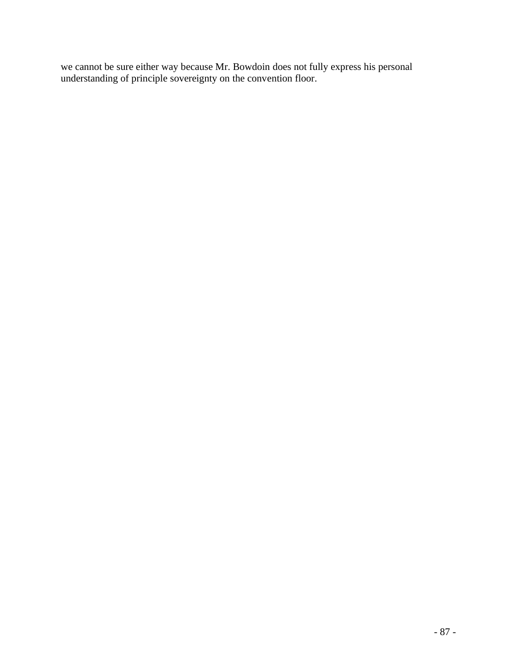we cannot be sure either way because Mr. Bowdoin does not fully express his personal understanding of principle sovereignty on the convention floor.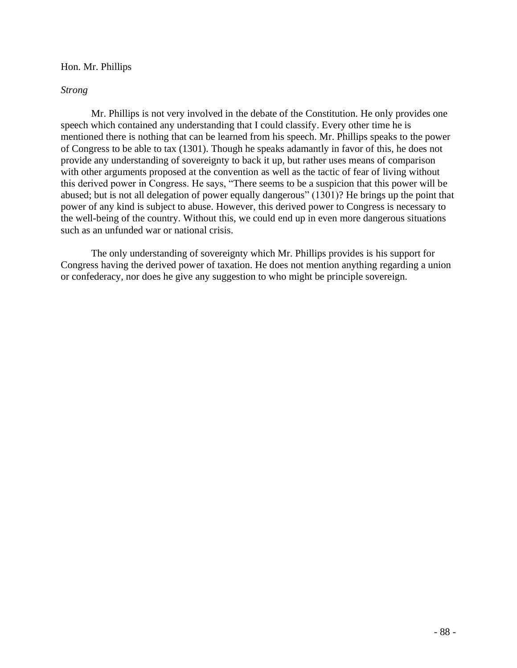# Hon. Mr. Phillips

# *Strong*

Mr. Phillips is not very involved in the debate of the Constitution. He only provides one speech which contained any understanding that I could classify. Every other time he is mentioned there is nothing that can be learned from his speech. Mr. Phillips speaks to the power of Congress to be able to tax (1301). Though he speaks adamantly in favor of this, he does not provide any understanding of sovereignty to back it up, but rather uses means of comparison with other arguments proposed at the convention as well as the tactic of fear of living without this derived power in Congress. He says, "There seems to be a suspicion that this power will be abused; but is not all delegation of power equally dangerous" (1301)? He brings up the point that power of any kind is subject to abuse. However, this derived power to Congress is necessary to the well-being of the country. Without this, we could end up in even more dangerous situations such as an unfunded war or national crisis.

The only understanding of sovereignty which Mr. Phillips provides is his support for Congress having the derived power of taxation. He does not mention anything regarding a union or confederacy, nor does he give any suggestion to who might be principle sovereign.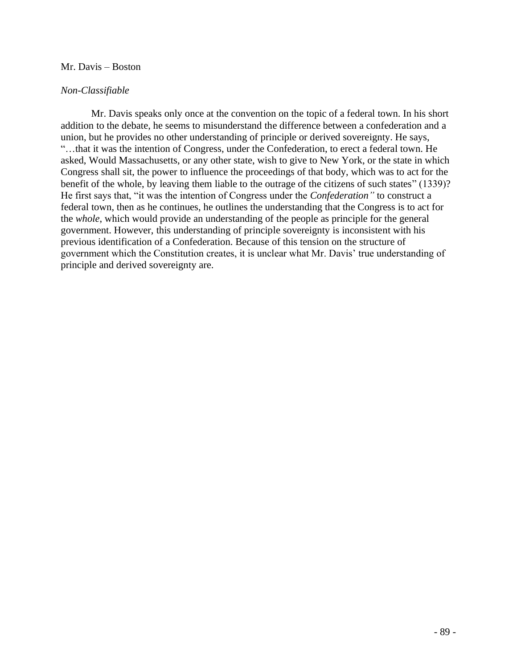# Mr. Davis – Boston

# *Non-Classifiable*

Mr. Davis speaks only once at the convention on the topic of a federal town. In his short addition to the debate, he seems to misunderstand the difference between a confederation and a union, but he provides no other understanding of principle or derived sovereignty. He says, "…that it was the intention of Congress, under the Confederation, to erect a federal town. He asked, Would Massachusetts, or any other state, wish to give to New York, or the state in which Congress shall sit, the power to influence the proceedings of that body, which was to act for the benefit of the whole, by leaving them liable to the outrage of the citizens of such states" (1339)? He first says that, "it was the intention of Congress under the *Confederation"* to construct a federal town, then as he continues, he outlines the understanding that the Congress is to act for the *whole*, which would provide an understanding of the people as principle for the general government. However, this understanding of principle sovereignty is inconsistent with his previous identification of a Confederation. Because of this tension on the structure of government which the Constitution creates, it is unclear what Mr. Davis' true understanding of principle and derived sovereignty are.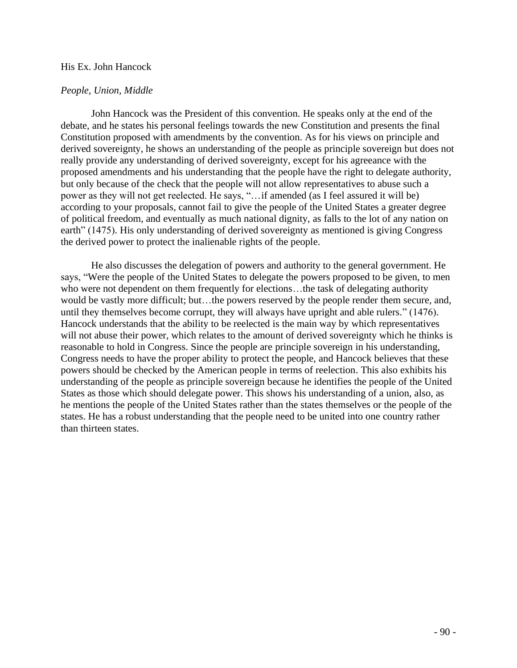## His Ex. John Hancock

## *People, Union, Middle*

John Hancock was the President of this convention. He speaks only at the end of the debate, and he states his personal feelings towards the new Constitution and presents the final Constitution proposed with amendments by the convention. As for his views on principle and derived sovereignty, he shows an understanding of the people as principle sovereign but does not really provide any understanding of derived sovereignty, except for his agreeance with the proposed amendments and his understanding that the people have the right to delegate authority, but only because of the check that the people will not allow representatives to abuse such a power as they will not get reelected. He says, "…if amended (as I feel assured it will be) according to your proposals, cannot fail to give the people of the United States a greater degree of political freedom, and eventually as much national dignity, as falls to the lot of any nation on earth" (1475). His only understanding of derived sovereignty as mentioned is giving Congress the derived power to protect the inalienable rights of the people.

He also discusses the delegation of powers and authority to the general government. He says, "Were the people of the United States to delegate the powers proposed to be given, to men who were not dependent on them frequently for elections...the task of delegating authority would be vastly more difficult; but…the powers reserved by the people render them secure, and, until they themselves become corrupt, they will always have upright and able rulers." (1476). Hancock understands that the ability to be reelected is the main way by which representatives will not abuse their power, which relates to the amount of derived sovereignty which he thinks is reasonable to hold in Congress. Since the people are principle sovereign in his understanding, Congress needs to have the proper ability to protect the people, and Hancock believes that these powers should be checked by the American people in terms of reelection. This also exhibits his understanding of the people as principle sovereign because he identifies the people of the United States as those which should delegate power. This shows his understanding of a union, also, as he mentions the people of the United States rather than the states themselves or the people of the states. He has a robust understanding that the people need to be united into one country rather than thirteen states.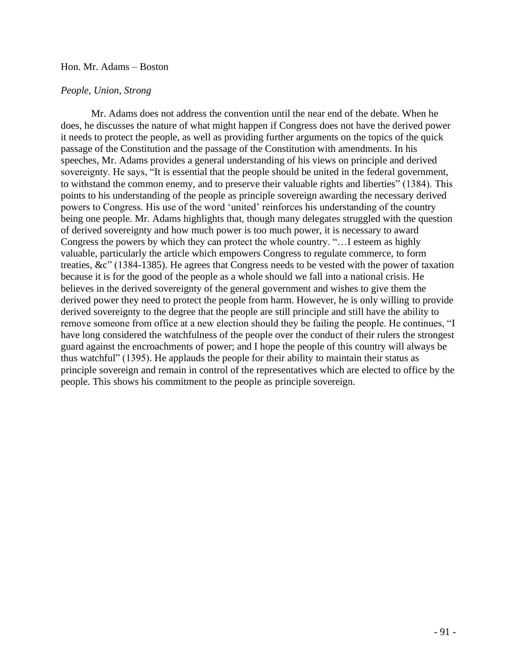#### Hon. Mr. Adams – Boston

### *People, Union, Strong*

Mr. Adams does not address the convention until the near end of the debate. When he does, he discusses the nature of what might happen if Congress does not have the derived power it needs to protect the people, as well as providing further arguments on the topics of the quick passage of the Constitution and the passage of the Constitution with amendments. In his speeches, Mr. Adams provides a general understanding of his views on principle and derived sovereignty. He says, "It is essential that the people should be united in the federal government, to withstand the common enemy, and to preserve their valuable rights and liberties" (1384). This points to his understanding of the people as principle sovereign awarding the necessary derived powers to Congress. His use of the word 'united' reinforces his understanding of the country being one people. Mr. Adams highlights that, though many delegates struggled with the question of derived sovereignty and how much power is too much power, it is necessary to award Congress the powers by which they can protect the whole country. "…I esteem as highly valuable, particularly the article which empowers Congress to regulate commerce, to form treaties, &c" (1384-1385). He agrees that Congress needs to be vested with the power of taxation because it is for the good of the people as a whole should we fall into a national crisis. He believes in the derived sovereignty of the general government and wishes to give them the derived power they need to protect the people from harm. However, he is only willing to provide derived sovereignty to the degree that the people are still principle and still have the ability to remove someone from office at a new election should they be failing the people. He continues, "I have long considered the watchfulness of the people over the conduct of their rulers the strongest guard against the encroachments of power; and I hope the people of this country will always be thus watchful" (1395). He applauds the people for their ability to maintain their status as principle sovereign and remain in control of the representatives which are elected to office by the people. This shows his commitment to the people as principle sovereign.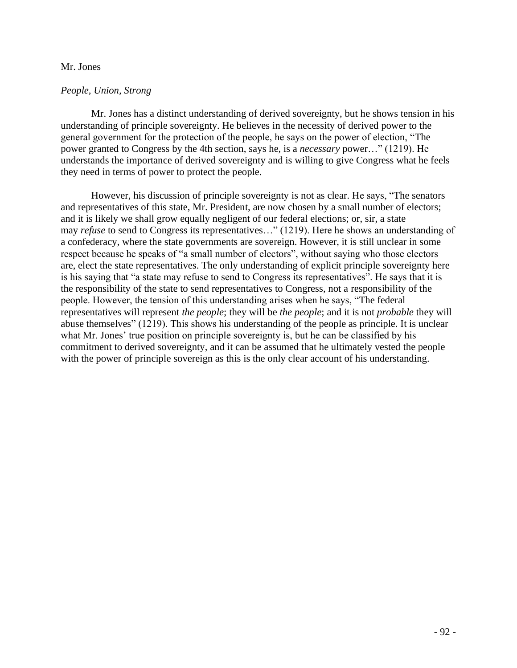## Mr. Jones

# *People, Union, Strong*

Mr. Jones has a distinct understanding of derived sovereignty, but he shows tension in his understanding of principle sovereignty. He believes in the necessity of derived power to the general government for the protection of the people, he says on the power of election, "The power granted to Congress by the 4th section, says he, is a *necessary* power…" (1219). He understands the importance of derived sovereignty and is willing to give Congress what he feels they need in terms of power to protect the people.

However, his discussion of principle sovereignty is not as clear. He says, "The senators and representatives of this state, Mr. President, are now chosen by a small number of electors; and it is likely we shall grow equally negligent of our federal elections; or, sir, a state may *refuse* to send to Congress its representatives…" (1219). Here he shows an understanding of a confederacy, where the state governments are sovereign. However, it is still unclear in some respect because he speaks of "a small number of electors", without saying who those electors are, elect the state representatives. The only understanding of explicit principle sovereignty here is his saying that "a state may refuse to send to Congress its representatives". He says that it is the responsibility of the state to send representatives to Congress, not a responsibility of the people. However, the tension of this understanding arises when he says, "The federal representatives will represent *the people*; they will be *the people*; and it is not *probable* they will abuse themselves" (1219). This shows his understanding of the people as principle. It is unclear what Mr. Jones' true position on principle sovereignty is, but he can be classified by his commitment to derived sovereignty, and it can be assumed that he ultimately vested the people with the power of principle sovereign as this is the only clear account of his understanding.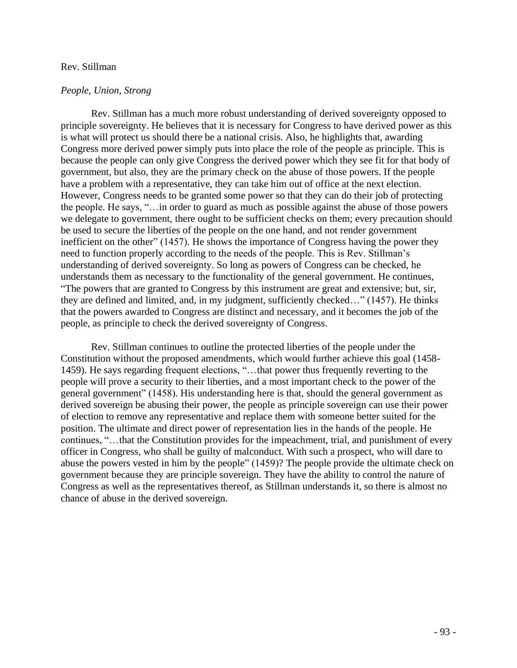#### Rev. Stillman

#### *People, Union, Strong*

Rev. Stillman has a much more robust understanding of derived sovereignty opposed to principle sovereignty. He believes that it is necessary for Congress to have derived power as this is what will protect us should there be a national crisis. Also, he highlights that, awarding Congress more derived power simply puts into place the role of the people as principle. This is because the people can only give Congress the derived power which they see fit for that body of government, but also, they are the primary check on the abuse of those powers. If the people have a problem with a representative, they can take him out of office at the next election. However, Congress needs to be granted some power so that they can do their job of protecting the people. He says, "…in order to guard as much as possible against the abuse of those powers we delegate to government, there ought to be sufficient checks on them; every precaution should be used to secure the liberties of the people on the one hand, and not render government inefficient on the other" (1457). He shows the importance of Congress having the power they need to function properly according to the needs of the people. This is Rev. Stillman's understanding of derived sovereignty. So long as powers of Congress can be checked, he understands them as necessary to the functionality of the general government. He continues, "The powers that are granted to Congress by this instrument are great and extensive; but, sir, they are defined and limited, and, in my judgment, sufficiently checked…" (1457). He thinks that the powers awarded to Congress are distinct and necessary, and it becomes the job of the people, as principle to check the derived sovereignty of Congress.

Rev. Stillman continues to outline the protected liberties of the people under the Constitution without the proposed amendments, which would further achieve this goal (1458- 1459). He says regarding frequent elections, "…that power thus frequently reverting to the people will prove a security to their liberties, and a most important check to the power of the general government" (1458). His understanding here is that, should the general government as derived sovereign be abusing their power, the people as principle sovereign can use their power of election to remove any representative and replace them with someone better suited for the position. The ultimate and direct power of representation lies in the hands of the people. He continues, "…that the Constitution provides for the impeachment, trial, and punishment of every officer in Congress, who shall be guilty of malconduct. With such a prospect, who will dare to abuse the powers vested in him by the people" (1459)? The people provide the ultimate check on government because they are principle sovereign. They have the ability to control the nature of Congress as well as the representatives thereof, as Stillman understands it, so there is almost no chance of abuse in the derived sovereign.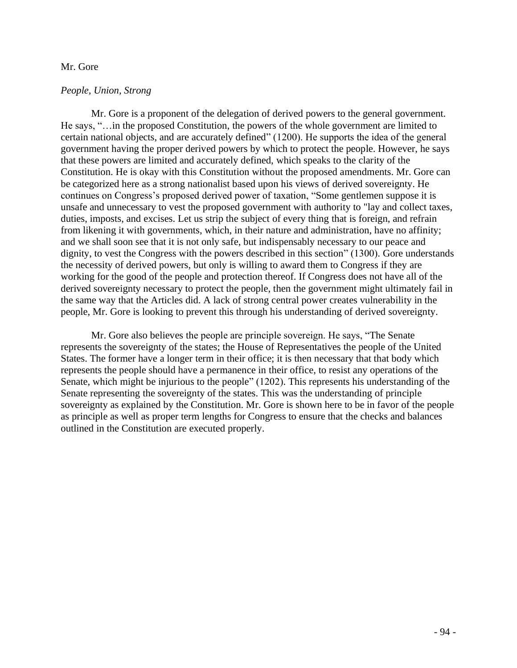## Mr. Gore

# *People, Union, Strong*

Mr. Gore is a proponent of the delegation of derived powers to the general government. He says, "…in the proposed Constitution, the powers of the whole government are limited to certain national objects, and are accurately defined" (1200). He supports the idea of the general government having the proper derived powers by which to protect the people. However, he says that these powers are limited and accurately defined, which speaks to the clarity of the Constitution. He is okay with this Constitution without the proposed amendments. Mr. Gore can be categorized here as a strong nationalist based upon his views of derived sovereignty. He continues on Congress's proposed derived power of taxation, "Some gentlemen suppose it is unsafe and unnecessary to vest the proposed government with authority to "lay and collect taxes, duties, imposts, and excises. Let us strip the subject of every thing that is foreign, and refrain from likening it with governments, which, in their nature and administration, have no affinity; and we shall soon see that it is not only safe, but indispensably necessary to our peace and dignity, to vest the Congress with the powers described in this section" (1300). Gore understands the necessity of derived powers, but only is willing to award them to Congress if they are working for the good of the people and protection thereof. If Congress does not have all of the derived sovereignty necessary to protect the people, then the government might ultimately fail in the same way that the Articles did. A lack of strong central power creates vulnerability in the people, Mr. Gore is looking to prevent this through his understanding of derived sovereignty.

Mr. Gore also believes the people are principle sovereign. He says, "The Senate represents the sovereignty of the states; the House of Representatives the people of the United States. The former have a longer term in their office; it is then necessary that that body which represents the people should have a permanence in their office, to resist any operations of the Senate, which might be injurious to the people" (1202). This represents his understanding of the Senate representing the sovereignty of the states. This was the understanding of principle sovereignty as explained by the Constitution. Mr. Gore is shown here to be in favor of the people as principle as well as proper term lengths for Congress to ensure that the checks and balances outlined in the Constitution are executed properly.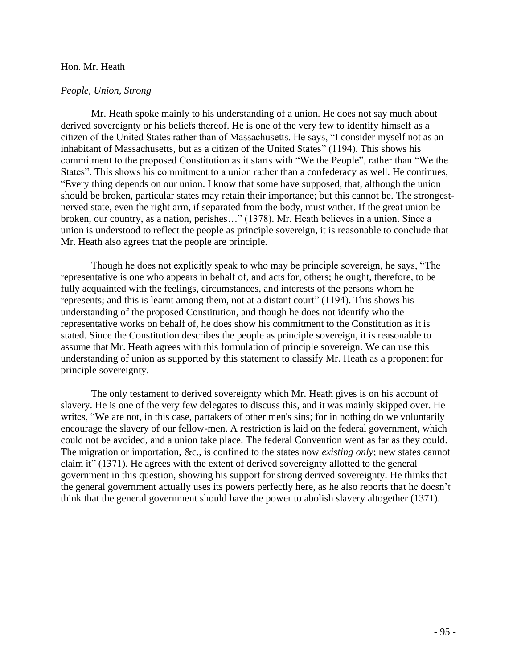#### Hon. Mr. Heath

#### *People, Union, Strong*

Mr. Heath spoke mainly to his understanding of a union. He does not say much about derived sovereignty or his beliefs thereof. He is one of the very few to identify himself as a citizen of the United States rather than of Massachusetts. He says, "I consider myself not as an inhabitant of Massachusetts, but as a citizen of the United States" (1194). This shows his commitment to the proposed Constitution as it starts with "We the People", rather than "We the States". This shows his commitment to a union rather than a confederacy as well. He continues, "Every thing depends on our union. I know that some have supposed, that, although the union should be broken, particular states may retain their importance; but this cannot be. The strongestnerved state, even the right arm, if separated from the body, must wither. If the great union be broken, our country, as a nation, perishes…" (1378). Mr. Heath believes in a union. Since a union is understood to reflect the people as principle sovereign, it is reasonable to conclude that Mr. Heath also agrees that the people are principle.

Though he does not explicitly speak to who may be principle sovereign, he says, "The representative is one who appears in behalf of, and acts for, others; he ought, therefore, to be fully acquainted with the feelings, circumstances, and interests of the persons whom he represents; and this is learnt among them, not at a distant court" (1194). This shows his understanding of the proposed Constitution, and though he does not identify who the representative works on behalf of, he does show his commitment to the Constitution as it is stated. Since the Constitution describes the people as principle sovereign, it is reasonable to assume that Mr. Heath agrees with this formulation of principle sovereign. We can use this understanding of union as supported by this statement to classify Mr. Heath as a proponent for principle sovereignty.

The only testament to derived sovereignty which Mr. Heath gives is on his account of slavery. He is one of the very few delegates to discuss this, and it was mainly skipped over. He writes, "We are not, in this case, partakers of other men's sins; for in nothing do we voluntarily encourage the slavery of our fellow-men. A restriction is laid on the federal government, which could not be avoided, and a union take place. The federal Convention went as far as they could. The migration or importation, &c., is confined to the states now *existing only*; new states cannot claim it" (1371). He agrees with the extent of derived sovereignty allotted to the general government in this question, showing his support for strong derived sovereignty. He thinks that the general government actually uses its powers perfectly here, as he also reports that he doesn't think that the general government should have the power to abolish slavery altogether (1371).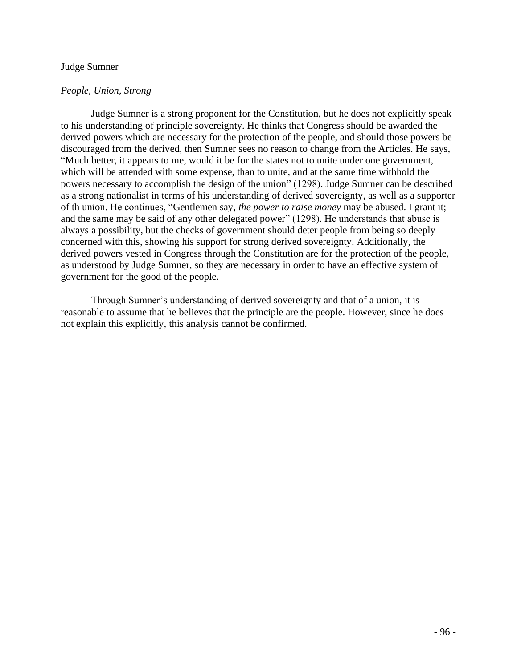## Judge Sumner

# *People, Union, Strong*

Judge Sumner is a strong proponent for the Constitution, but he does not explicitly speak to his understanding of principle sovereignty. He thinks that Congress should be awarded the derived powers which are necessary for the protection of the people, and should those powers be discouraged from the derived, then Sumner sees no reason to change from the Articles. He says, "Much better, it appears to me, would it be for the states not to unite under one government, which will be attended with some expense, than to unite, and at the same time withhold the powers necessary to accomplish the design of the union" (1298). Judge Sumner can be described as a strong nationalist in terms of his understanding of derived sovereignty, as well as a supporter of th union. He continues, "Gentlemen say, *the power to raise money* may be abused. I grant it; and the same may be said of any other delegated power" (1298). He understands that abuse is always a possibility, but the checks of government should deter people from being so deeply concerned with this, showing his support for strong derived sovereignty. Additionally, the derived powers vested in Congress through the Constitution are for the protection of the people, as understood by Judge Sumner, so they are necessary in order to have an effective system of government for the good of the people.

Through Sumner's understanding of derived sovereignty and that of a union, it is reasonable to assume that he believes that the principle are the people. However, since he does not explain this explicitly, this analysis cannot be confirmed.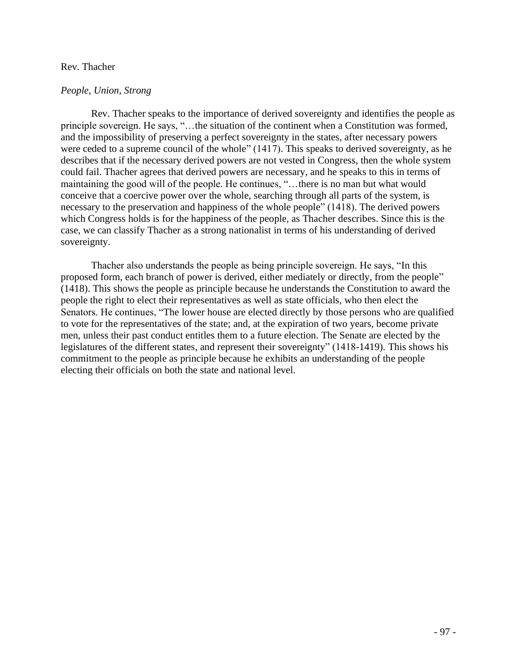## Rev. Thacher

# *People, Union, Strong*

Rev. Thacher speaks to the importance of derived sovereignty and identifies the people as principle sovereign. He says, "…the situation of the continent when a Constitution was formed, and the impossibility of preserving a perfect sovereignty in the states, after necessary powers were ceded to a supreme council of the whole" (1417). This speaks to derived sovereignty, as he describes that if the necessary derived powers are not vested in Congress, then the whole system could fail. Thacher agrees that derived powers are necessary, and he speaks to this in terms of maintaining the good will of the people. He continues, "…there is no man but what would conceive that a coercive power over the whole, searching through all parts of the system, is necessary to the preservation and happiness of the whole people" (1418). The derived powers which Congress holds is for the happiness of the people, as Thacher describes. Since this is the case, we can classify Thacher as a strong nationalist in terms of his understanding of derived sovereignty.

Thacher also understands the people as being principle sovereign. He says, "In this proposed form, each branch of power is derived, either mediately or directly, from the people" (1418). This shows the people as principle because he understands the Constitution to award the people the right to elect their representatives as well as state officials, who then elect the Senators. He continues, "The lower house are elected directly by those persons who are qualified to vote for the representatives of the state; and, at the expiration of two years, become private men, unless their past conduct entitles them to a future election. The Senate are elected by the legislatures of the different states, and represent their sovereignty" (1418-1419). This shows his commitment to the people as principle because he exhibits an understanding of the people electing their officials on both the state and national level.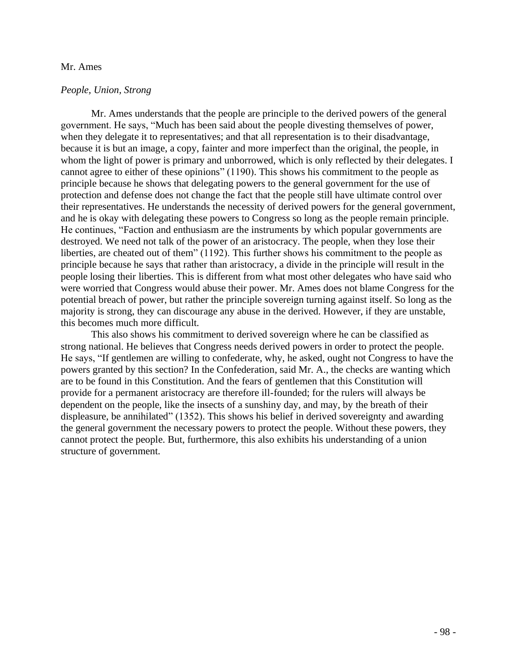#### Mr. Ames

#### *People, Union, Strong*

Mr. Ames understands that the people are principle to the derived powers of the general government. He says, "Much has been said about the people divesting themselves of power, when they delegate it to representatives; and that all representation is to their disadvantage, because it is but an image, a copy, fainter and more imperfect than the original, the people, in whom the light of power is primary and unborrowed, which is only reflected by their delegates. I cannot agree to either of these opinions" (1190). This shows his commitment to the people as principle because he shows that delegating powers to the general government for the use of protection and defense does not change the fact that the people still have ultimate control over their representatives. He understands the necessity of derived powers for the general government, and he is okay with delegating these powers to Congress so long as the people remain principle. He continues, "Faction and enthusiasm are the instruments by which popular governments are destroyed. We need not talk of the power of an aristocracy. The people, when they lose their liberties, are cheated out of them" (1192). This further shows his commitment to the people as principle because he says that rather than aristocracy, a divide in the principle will result in the people losing their liberties. This is different from what most other delegates who have said who were worried that Congress would abuse their power. Mr. Ames does not blame Congress for the potential breach of power, but rather the principle sovereign turning against itself. So long as the majority is strong, they can discourage any abuse in the derived. However, if they are unstable, this becomes much more difficult.

This also shows his commitment to derived sovereign where he can be classified as strong national. He believes that Congress needs derived powers in order to protect the people. He says, "If gentlemen are willing to confederate, why, he asked, ought not Congress to have the powers granted by this section? In the Confederation, said Mr. A., the checks are wanting which are to be found in this Constitution. And the fears of gentlemen that this Constitution will provide for a permanent aristocracy are therefore ill-founded; for the rulers will always be dependent on the people, like the insects of a sunshiny day, and may, by the breath of their displeasure, be annihilated" (1352). This shows his belief in derived sovereignty and awarding the general government the necessary powers to protect the people. Without these powers, they cannot protect the people. But, furthermore, this also exhibits his understanding of a union structure of government.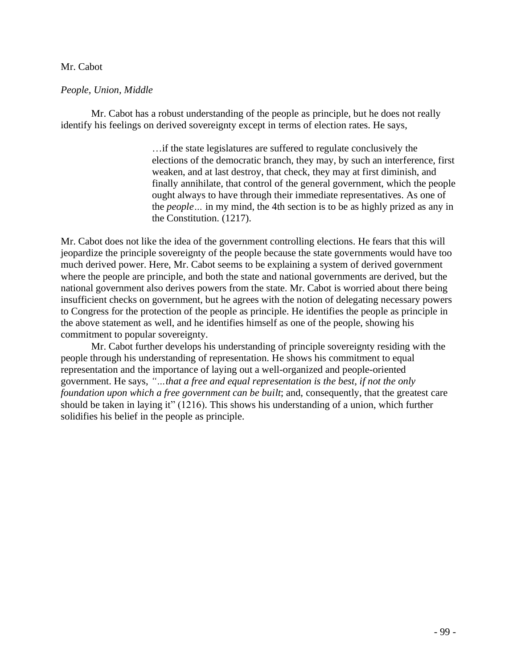# Mr. Cabot

# *People, Union, Middle*

Mr. Cabot has a robust understanding of the people as principle, but he does not really identify his feelings on derived sovereignty except in terms of election rates. He says,

> …if the state legislatures are suffered to regulate conclusively the elections of the democratic branch, they may, by such an interference, first weaken, and at last destroy, that check, they may at first diminish, and finally annihilate, that control of the general government, which the people ought always to have through their immediate representatives. As one of the *people…* in my mind, the 4th section is to be as highly prized as any in the Constitution. (1217).

Mr. Cabot does not like the idea of the government controlling elections. He fears that this will jeopardize the principle sovereignty of the people because the state governments would have too much derived power. Here, Mr. Cabot seems to be explaining a system of derived government where the people are principle, and both the state and national governments are derived, but the national government also derives powers from the state. Mr. Cabot is worried about there being insufficient checks on government, but he agrees with the notion of delegating necessary powers to Congress for the protection of the people as principle. He identifies the people as principle in the above statement as well, and he identifies himself as one of the people, showing his commitment to popular sovereignty.

Mr. Cabot further develops his understanding of principle sovereignty residing with the people through his understanding of representation. He shows his commitment to equal representation and the importance of laying out a well-organized and people-oriented government. He says, *"…that a free and equal representation is the best, if not the only foundation upon which a free government can be built*; and, consequently, that the greatest care should be taken in laying it" (1216). This shows his understanding of a union, which further solidifies his belief in the people as principle.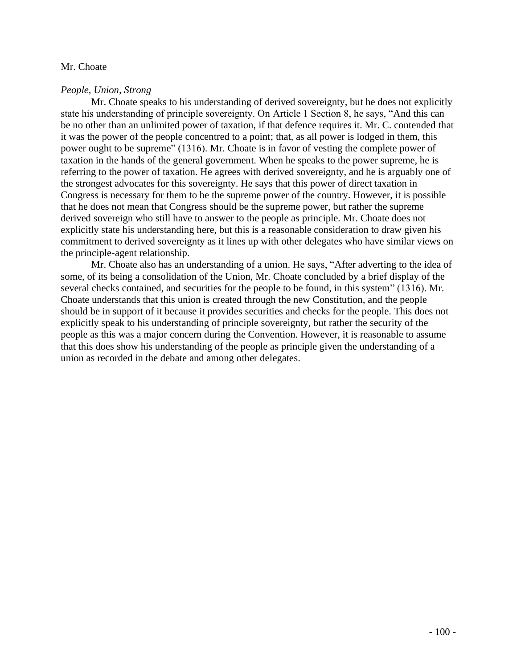# Mr. Choate

# *People, Union, Strong*

Mr. Choate speaks to his understanding of derived sovereignty, but he does not explicitly state his understanding of principle sovereignty. On Article 1 Section 8, he says, "And this can be no other than an unlimited power of taxation, if that defence requires it. Mr. C. contended that it was the power of the people concentred to a point; that, as all power is lodged in them, this power ought to be supreme" (1316). Mr. Choate is in favor of vesting the complete power of taxation in the hands of the general government. When he speaks to the power supreme, he is referring to the power of taxation. He agrees with derived sovereignty, and he is arguably one of the strongest advocates for this sovereignty. He says that this power of direct taxation in Congress is necessary for them to be the supreme power of the country. However, it is possible that he does not mean that Congress should be the supreme power, but rather the supreme derived sovereign who still have to answer to the people as principle. Mr. Choate does not explicitly state his understanding here, but this is a reasonable consideration to draw given his commitment to derived sovereignty as it lines up with other delegates who have similar views on the principle-agent relationship.

Mr. Choate also has an understanding of a union. He says, "After adverting to the idea of some, of its being a consolidation of the Union, Mr. Choate concluded by a brief display of the several checks contained, and securities for the people to be found, in this system" (1316). Mr. Choate understands that this union is created through the new Constitution, and the people should be in support of it because it provides securities and checks for the people. This does not explicitly speak to his understanding of principle sovereignty, but rather the security of the people as this was a major concern during the Convention. However, it is reasonable to assume that this does show his understanding of the people as principle given the understanding of a union as recorded in the debate and among other delegates.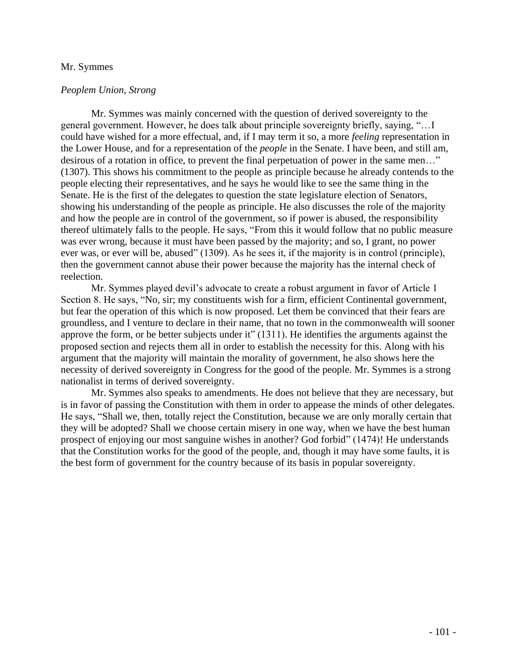#### Mr. Symmes

# *Peoplem Union, Strong*

Mr. Symmes was mainly concerned with the question of derived sovereignty to the general government. However, he does talk about principle sovereignty briefly, saying, "…I could have wished for a more effectual, and, if I may term it so, a more *feeling* representation in the Lower House, and for a representation of the *people* in the Senate. I have been, and still am, desirous of a rotation in office, to prevent the final perpetuation of power in the same men…" (1307). This shows his commitment to the people as principle because he already contends to the people electing their representatives, and he says he would like to see the same thing in the Senate. He is the first of the delegates to question the state legislature election of Senators, showing his understanding of the people as principle. He also discusses the role of the majority and how the people are in control of the government, so if power is abused, the responsibility thereof ultimately falls to the people. He says, "From this it would follow that no public measure was ever wrong, because it must have been passed by the majority; and so, I grant, no power ever was, or ever will be, abused" (1309). As he sees it, if the majority is in control (principle), then the government cannot abuse their power because the majority has the internal check of reelection.

Mr. Symmes played devil's advocate to create a robust argument in favor of Article 1 Section 8. He says, "No, sir; my constituents wish for a firm, efficient Continental government, but fear the operation of this which is now proposed. Let them be convinced that their fears are groundless, and I venture to declare in their name, that no town in the commonwealth will sooner approve the form, or be better subjects under it" (1311). He identifies the arguments against the proposed section and rejects them all in order to establish the necessity for this. Along with his argument that the majority will maintain the morality of government, he also shows here the necessity of derived sovereignty in Congress for the good of the people. Mr. Symmes is a strong nationalist in terms of derived sovereignty.

Mr. Symmes also speaks to amendments. He does not believe that they are necessary, but is in favor of passing the Constitution with them in order to appease the minds of other delegates. He says, "Shall we, then, totally reject the Constitution, because we are only morally certain that they will be adopted? Shall we choose certain misery in one way, when we have the best human prospect of enjoying our most sanguine wishes in another? God forbid" (1474)! He understands that the Constitution works for the good of the people, and, though it may have some faults, it is the best form of government for the country because of its basis in popular sovereignty.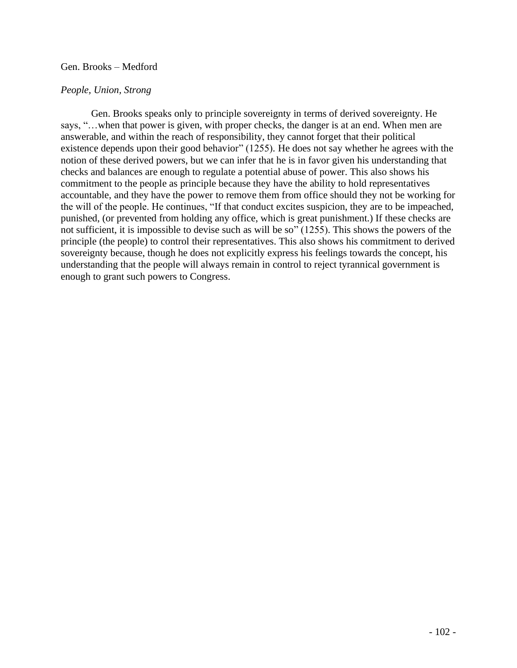# Gen. Brooks – Medford

# *People, Union, Strong*

Gen. Brooks speaks only to principle sovereignty in terms of derived sovereignty. He says, "…when that power is given, with proper checks, the danger is at an end. When men are answerable, and within the reach of responsibility, they cannot forget that their political existence depends upon their good behavior" (1255). He does not say whether he agrees with the notion of these derived powers, but we can infer that he is in favor given his understanding that checks and balances are enough to regulate a potential abuse of power. This also shows his commitment to the people as principle because they have the ability to hold representatives accountable, and they have the power to remove them from office should they not be working for the will of the people. He continues, "If that conduct excites suspicion, they are to be impeached, punished, (or prevented from holding any office, which is great punishment.) If these checks are not sufficient, it is impossible to devise such as will be so" (1255). This shows the powers of the principle (the people) to control their representatives. This also shows his commitment to derived sovereignty because, though he does not explicitly express his feelings towards the concept, his understanding that the people will always remain in control to reject tyrannical government is enough to grant such powers to Congress.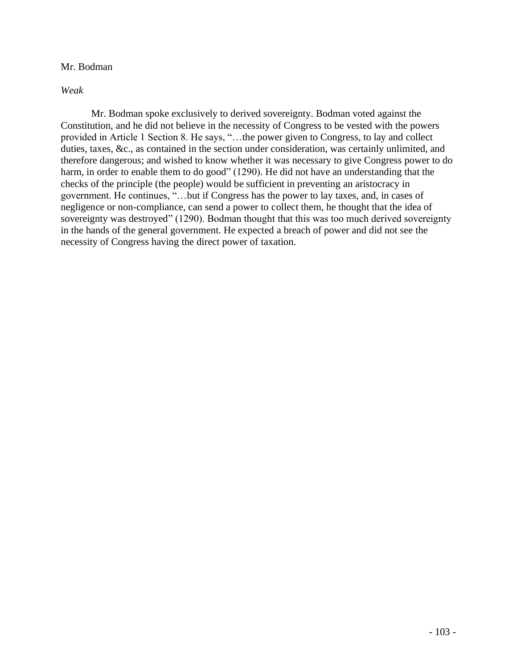# Mr. Bodman

*Weak*

Mr. Bodman spoke exclusively to derived sovereignty. Bodman voted against the Constitution, and he did not believe in the necessity of Congress to be vested with the powers provided in Article 1 Section 8. He says, "…the power given to Congress, to lay and collect duties, taxes, &c., as contained in the section under consideration, was certainly unlimited, and therefore dangerous; and wished to know whether it was necessary to give Congress power to do harm, in order to enable them to do good" (1290). He did not have an understanding that the checks of the principle (the people) would be sufficient in preventing an aristocracy in government. He continues, "…but if Congress has the power to lay taxes, and, in cases of negligence or non-compliance, can send a power to collect them, he thought that the idea of sovereignty was destroyed" (1290). Bodman thought that this was too much derived sovereignty in the hands of the general government. He expected a breach of power and did not see the necessity of Congress having the direct power of taxation.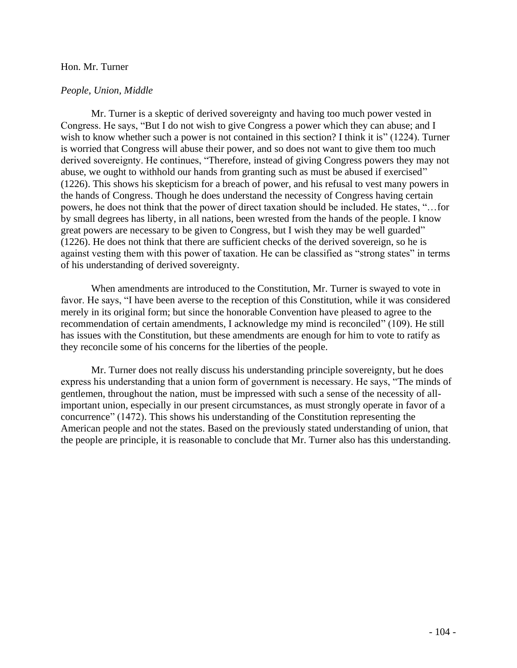### Hon. Mr. Turner

# *People, Union, Middle*

Mr. Turner is a skeptic of derived sovereignty and having too much power vested in Congress. He says, "But I do not wish to give Congress a power which they can abuse; and I wish to know whether such a power is not contained in this section? I think it is" (1224). Turner is worried that Congress will abuse their power, and so does not want to give them too much derived sovereignty. He continues, "Therefore, instead of giving Congress powers they may not abuse, we ought to withhold our hands from granting such as must be abused if exercised" (1226). This shows his skepticism for a breach of power, and his refusal to vest many powers in the hands of Congress. Though he does understand the necessity of Congress having certain powers, he does not think that the power of direct taxation should be included. He states, "…for by small degrees has liberty, in all nations, been wrested from the hands of the people. I know great powers are necessary to be given to Congress, but I wish they may be well guarded" (1226). He does not think that there are sufficient checks of the derived sovereign, so he is against vesting them with this power of taxation. He can be classified as "strong states" in terms of his understanding of derived sovereignty.

When amendments are introduced to the Constitution, Mr. Turner is swayed to vote in favor. He says, "I have been averse to the reception of this Constitution, while it was considered merely in its original form; but since the honorable Convention have pleased to agree to the recommendation of certain amendments, I acknowledge my mind is reconciled" (109). He still has issues with the Constitution, but these amendments are enough for him to vote to ratify as they reconcile some of his concerns for the liberties of the people.

Mr. Turner does not really discuss his understanding principle sovereignty, but he does express his understanding that a union form of government is necessary. He says, "The minds of gentlemen, throughout the nation, must be impressed with such a sense of the necessity of allimportant union, especially in our present circumstances, as must strongly operate in favor of a concurrence" (1472). This shows his understanding of the Constitution representing the American people and not the states. Based on the previously stated understanding of union, that the people are principle, it is reasonable to conclude that Mr. Turner also has this understanding.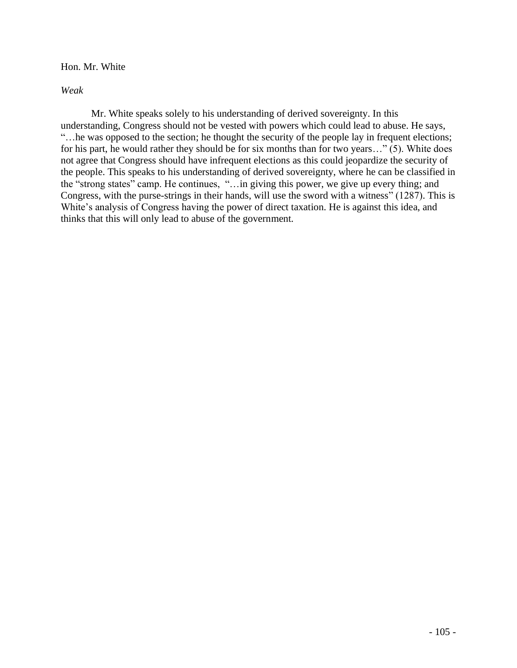Hon. Mr. White

*Weak*

Mr. White speaks solely to his understanding of derived sovereignty. In this understanding, Congress should not be vested with powers which could lead to abuse. He says, "…he was opposed to the section; he thought the security of the people lay in frequent elections; for his part, he would rather they should be for six months than for two years…" (5). White does not agree that Congress should have infrequent elections as this could jeopardize the security of the people. This speaks to his understanding of derived sovereignty, where he can be classified in the "strong states" camp. He continues, "…in giving this power, we give up every thing; and Congress, with the purse-strings in their hands, will use the sword with a witness" (1287). This is White's analysis of Congress having the power of direct taxation. He is against this idea, and thinks that this will only lead to abuse of the government.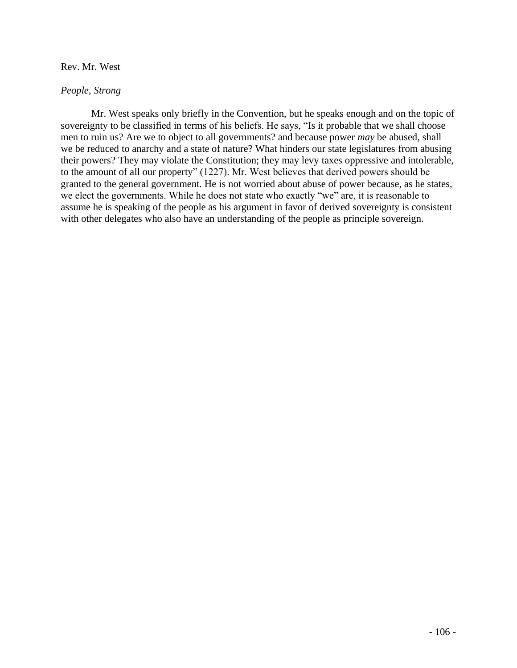# Rev. Mr. West

# *People, Strong*

Mr. West speaks only briefly in the Convention, but he speaks enough and on the topic of sovereignty to be classified in terms of his beliefs. He says, "Is it probable that we shall choose men to ruin us? Are we to object to all governments? and because power *may* be abused, shall we be reduced to anarchy and a state of nature? What hinders our state legislatures from abusing their powers? They may violate the Constitution; they may levy taxes oppressive and intolerable, to the amount of all our property" (1227). Mr. West believes that derived powers should be granted to the general government. He is not worried about abuse of power because, as he states, we elect the governments. While he does not state who exactly "we" are, it is reasonable to assume he is speaking of the people as his argument in favor of derived sovereignty is consistent with other delegates who also have an understanding of the people as principle sovereign.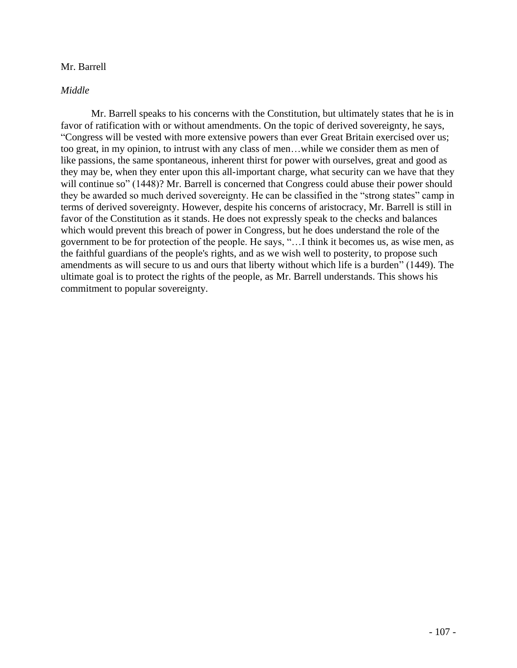# Mr. Barrell

# *Middle*

Mr. Barrell speaks to his concerns with the Constitution, but ultimately states that he is in favor of ratification with or without amendments. On the topic of derived sovereignty, he says, "Congress will be vested with more extensive powers than ever Great Britain exercised over us; too great, in my opinion, to intrust with any class of men…while we consider them as men of like passions, the same spontaneous, inherent thirst for power with ourselves, great and good as they may be, when they enter upon this all-important charge, what security can we have that they will continue so" (1448)? Mr. Barrell is concerned that Congress could abuse their power should they be awarded so much derived sovereignty. He can be classified in the "strong states" camp in terms of derived sovereignty. However, despite his concerns of aristocracy, Mr. Barrell is still in favor of the Constitution as it stands. He does not expressly speak to the checks and balances which would prevent this breach of power in Congress, but he does understand the role of the government to be for protection of the people. He says, "…I think it becomes us, as wise men, as the faithful guardians of the people's rights, and as we wish well to posterity, to propose such amendments as will secure to us and ours that liberty without which life is a burden" (1449). The ultimate goal is to protect the rights of the people, as Mr. Barrell understands. This shows his commitment to popular sovereignty.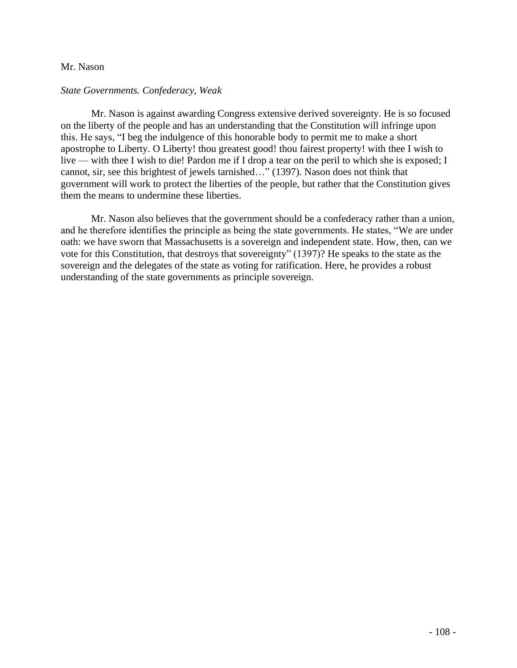### Mr. Nason

### *State Governments. Confederacy, Weak*

Mr. Nason is against awarding Congress extensive derived sovereignty. He is so focused on the liberty of the people and has an understanding that the Constitution will infringe upon this. He says, "I beg the indulgence of this honorable body to permit me to make a short apostrophe to Liberty. O Liberty! thou greatest good! thou fairest property! with thee I wish to live — with thee I wish to die! Pardon me if I drop a tear on the peril to which she is exposed; I cannot, sir, see this brightest of jewels tarnished…" (1397). Nason does not think that government will work to protect the liberties of the people, but rather that the Constitution gives them the means to undermine these liberties.

Mr. Nason also believes that the government should be a confederacy rather than a union, and he therefore identifies the principle as being the state governments. He states, "We are under oath: we have sworn that Massachusetts is a sovereign and independent state. How, then, can we vote for this Constitution, that destroys that sovereignty" (1397)? He speaks to the state as the sovereign and the delegates of the state as voting for ratification. Here, he provides a robust understanding of the state governments as principle sovereign.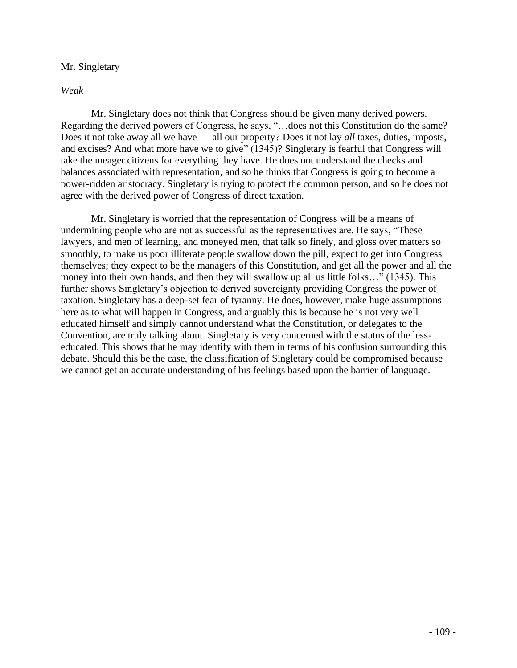# Mr. Singletary

# *Weak*

Mr. Singletary does not think that Congress should be given many derived powers. Regarding the derived powers of Congress, he says, "…does not this Constitution do the same? Does it not take away all we have — all our property? Does it not lay *all* taxes, duties, imposts, and excises? And what more have we to give" (1345)? Singletary is fearful that Congress will take the meager citizens for everything they have. He does not understand the checks and balances associated with representation, and so he thinks that Congress is going to become a power-ridden aristocracy. Singletary is trying to protect the common person, and so he does not agree with the derived power of Congress of direct taxation.

Mr. Singletary is worried that the representation of Congress will be a means of undermining people who are not as successful as the representatives are. He says, "These lawyers, and men of learning, and moneyed men, that talk so finely, and gloss over matters so smoothly, to make us poor illiterate people swallow down the pill, expect to get into Congress themselves; they expect to be the managers of this Constitution, and get all the power and all the money into their own hands, and then they will swallow up all us little folks…" (1345). This further shows Singletary's objection to derived sovereignty providing Congress the power of taxation. Singletary has a deep-set fear of tyranny. He does, however, make huge assumptions here as to what will happen in Congress, and arguably this is because he is not very well educated himself and simply cannot understand what the Constitution, or delegates to the Convention, are truly talking about. Singletary is very concerned with the status of the lesseducated. This shows that he may identify with them in terms of his confusion surrounding this debate. Should this be the case, the classification of Singletary could be compromised because we cannot get an accurate understanding of his feelings based upon the barrier of language.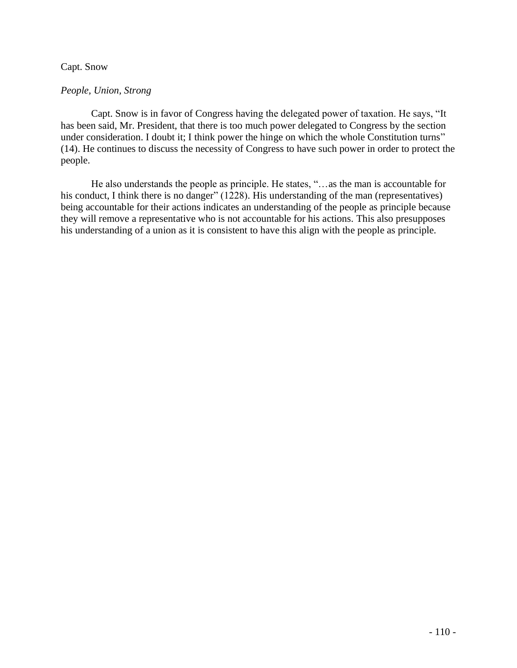# Capt. Snow

# *People, Union, Strong*

Capt. Snow is in favor of Congress having the delegated power of taxation. He says, "It has been said, Mr. President, that there is too much power delegated to Congress by the section under consideration. I doubt it; I think power the hinge on which the whole Constitution turns" (14). He continues to discuss the necessity of Congress to have such power in order to protect the people.

He also understands the people as principle. He states, "…as the man is accountable for his conduct, I think there is no danger" (1228). His understanding of the man (representatives) being accountable for their actions indicates an understanding of the people as principle because they will remove a representative who is not accountable for his actions. This also presupposes his understanding of a union as it is consistent to have this align with the people as principle.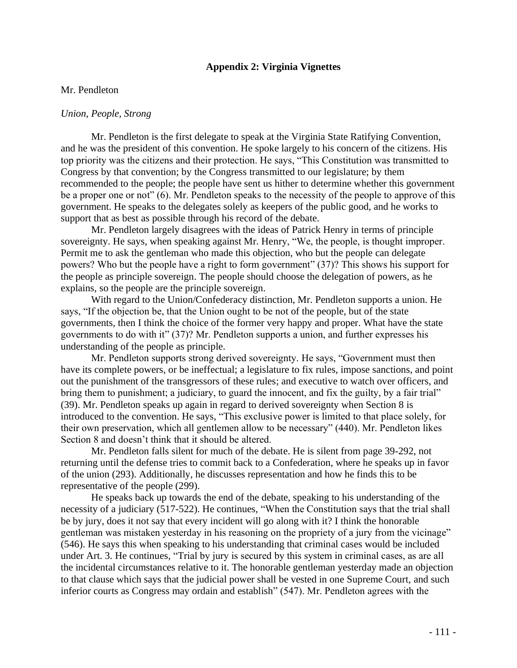# **Appendix 2: Virginia Vignettes**

### Mr. Pendleton

#### *Union, People, Strong*

Mr. Pendleton is the first delegate to speak at the Virginia State Ratifying Convention, and he was the president of this convention. He spoke largely to his concern of the citizens. His top priority was the citizens and their protection. He says, "This Constitution was transmitted to Congress by that convention; by the Congress transmitted to our legislature; by them recommended to the people; the people have sent us hither to determine whether this government be a proper one or not" (6). Mr. Pendleton speaks to the necessity of the people to approve of this government. He speaks to the delegates solely as keepers of the public good, and he works to support that as best as possible through his record of the debate.

Mr. Pendleton largely disagrees with the ideas of Patrick Henry in terms of principle sovereignty. He says, when speaking against Mr. Henry, "We, the people, is thought improper. Permit me to ask the gentleman who made this objection, who but the people can delegate powers? Who but the people have a right to form government" (37)? This shows his support for the people as principle sovereign. The people should choose the delegation of powers, as he explains, so the people are the principle sovereign.

With regard to the Union/Confederacy distinction, Mr. Pendleton supports a union. He says, "If the objection be, that the Union ought to be not of the people, but of the state governments, then I think the choice of the former very happy and proper. What have the state governments to do with it" (37)? Mr. Pendleton supports a union, and further expresses his understanding of the people as principle.

Mr. Pendleton supports strong derived sovereignty. He says, "Government must then have its complete powers, or be ineffectual; a legislature to fix rules, impose sanctions, and point out the punishment of the transgressors of these rules; and executive to watch over officers, and bring them to punishment; a judiciary, to guard the innocent, and fix the guilty, by a fair trial" (39). Mr. Pendleton speaks up again in regard to derived sovereignty when Section 8 is introduced to the convention. He says, "This exclusive power is limited to that place solely, for their own preservation, which all gentlemen allow to be necessary" (440). Mr. Pendleton likes Section 8 and doesn't think that it should be altered.

Mr. Pendleton falls silent for much of the debate. He is silent from page 39-292, not returning until the defense tries to commit back to a Confederation, where he speaks up in favor of the union (293). Additionally, he discusses representation and how he finds this to be representative of the people (299).

He speaks back up towards the end of the debate, speaking to his understanding of the necessity of a judiciary (517-522). He continues, "When the Constitution says that the trial shall be by jury, does it not say that every incident will go along with it? I think the honorable gentleman was mistaken yesterday in his reasoning on the propriety of a jury from the vicinage" (546). He says this when speaking to his understanding that criminal cases would be included under Art. 3. He continues, "Trial by jury is secured by this system in criminal cases, as are all the incidental circumstances relative to it. The honorable gentleman yesterday made an objection to that clause which says that the judicial power shall be vested in one Supreme Court, and such inferior courts as Congress may ordain and establish" (547). Mr. Pendleton agrees with the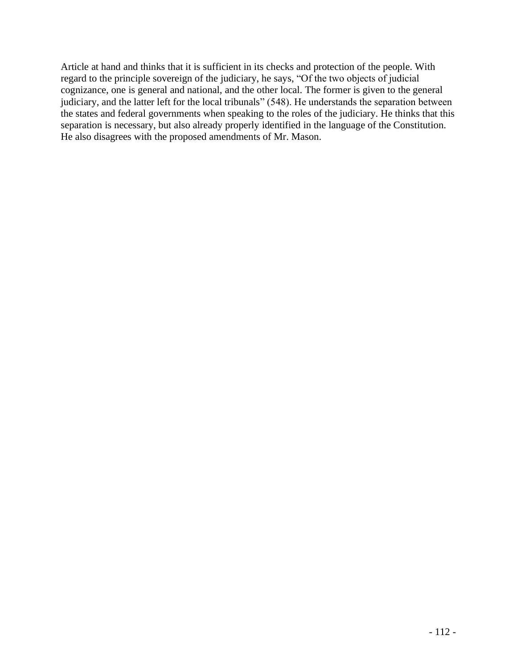Article at hand and thinks that it is sufficient in its checks and protection of the people. With regard to the principle sovereign of the judiciary, he says, "Of the two objects of judicial cognizance, one is general and national, and the other local. The former is given to the general judiciary, and the latter left for the local tribunals" (548). He understands the separation between the states and federal governments when speaking to the roles of the judiciary. He thinks that this separation is necessary, but also already properly identified in the language of the Constitution. He also disagrees with the proposed amendments of Mr. Mason.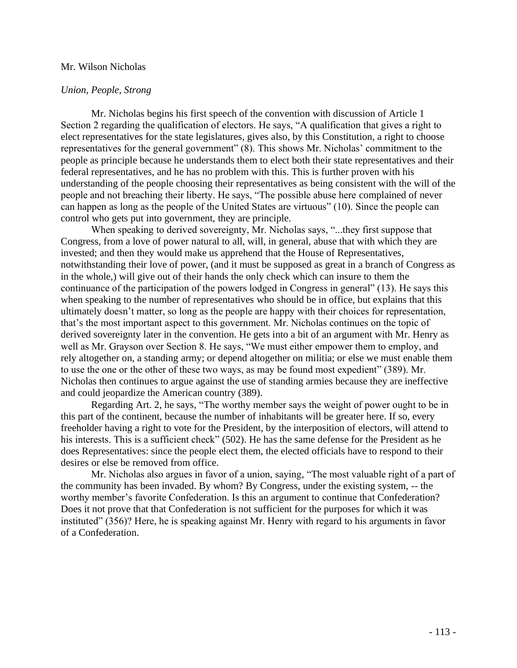#### Mr. Wilson Nicholas

# *Union, People, Strong*

Mr. Nicholas begins his first speech of the convention with discussion of Article 1 Section 2 regarding the qualification of electors. He says, "A qualification that gives a right to elect representatives for the state legislatures, gives also, by this Constitution, a right to choose representatives for the general government" (8). This shows Mr. Nicholas' commitment to the people as principle because he understands them to elect both their state representatives and their federal representatives, and he has no problem with this. This is further proven with his understanding of the people choosing their representatives as being consistent with the will of the people and not breaching their liberty. He says, "The possible abuse here complained of never can happen as long as the people of the United States are virtuous" (10). Since the people can control who gets put into government, they are principle.

When speaking to derived sovereignty, Mr. Nicholas says, "...they first suppose that Congress, from a love of power natural to all, will, in general, abuse that with which they are invested; and then they would make us apprehend that the House of Representatives, notwithstanding their love of power, (and it must be supposed as great in a branch of Congress as in the whole,) will give out of their hands the only check which can insure to them the continuance of the participation of the powers lodged in Congress in general" (13). He says this when speaking to the number of representatives who should be in office, but explains that this ultimately doesn't matter, so long as the people are happy with their choices for representation, that's the most important aspect to this government. Mr. Nicholas continues on the topic of derived sovereignty later in the convention. He gets into a bit of an argument with Mr. Henry as well as Mr. Grayson over Section 8. He says, "We must either empower them to employ, and rely altogether on, a standing army; or depend altogether on militia; or else we must enable them to use the one or the other of these two ways, as may be found most expedient" (389). Mr. Nicholas then continues to argue against the use of standing armies because they are ineffective and could jeopardize the American country (389).

Regarding Art. 2, he says, "The worthy member says the weight of power ought to be in this part of the continent, because the number of inhabitants will be greater here. If so, every freeholder having a right to vote for the President, by the interposition of electors, will attend to his interests. This is a sufficient check" (502). He has the same defense for the President as he does Representatives: since the people elect them, the elected officials have to respond to their desires or else be removed from office.

Mr. Nicholas also argues in favor of a union, saying, "The most valuable right of a part of the community has been invaded. By whom? By Congress, under the existing system, -- the worthy member's favorite Confederation. Is this an argument to continue that Confederation? Does it not prove that that Confederation is not sufficient for the purposes for which it was instituted" (356)? Here, he is speaking against Mr. Henry with regard to his arguments in favor of a Confederation.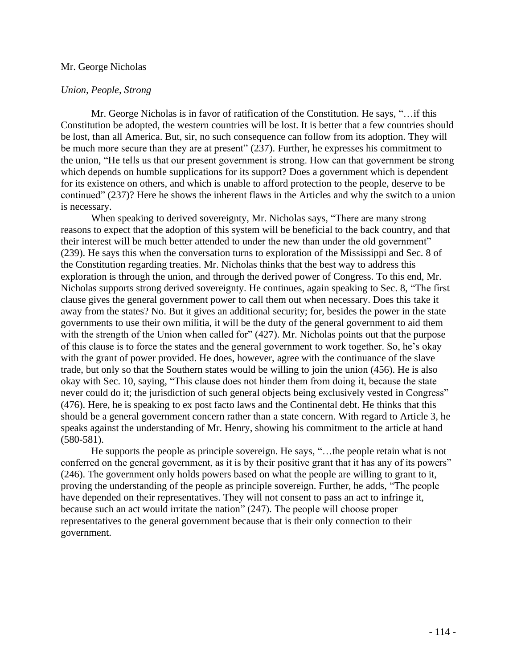### Mr. George Nicholas

## *Union, People, Strong*

Mr. George Nicholas is in favor of ratification of the Constitution. He says, "…if this Constitution be adopted, the western countries will be lost. It is better that a few countries should be lost, than all America. But, sir, no such consequence can follow from its adoption. They will be much more secure than they are at present" (237). Further, he expresses his commitment to the union, "He tells us that our present government is strong. How can that government be strong which depends on humble supplications for its support? Does a government which is dependent for its existence on others, and which is unable to afford protection to the people, deserve to be continued" (237)? Here he shows the inherent flaws in the Articles and why the switch to a union is necessary.

When speaking to derived sovereignty, Mr. Nicholas says, "There are many strong reasons to expect that the adoption of this system will be beneficial to the back country, and that their interest will be much better attended to under the new than under the old government" (239). He says this when the conversation turns to exploration of the Mississippi and Sec. 8 of the Constitution regarding treaties. Mr. Nicholas thinks that the best way to address this exploration is through the union, and through the derived power of Congress. To this end, Mr. Nicholas supports strong derived sovereignty. He continues, again speaking to Sec. 8, "The first clause gives the general government power to call them out when necessary. Does this take it away from the states? No. But it gives an additional security; for, besides the power in the state governments to use their own militia, it will be the duty of the general government to aid them with the strength of the Union when called for" (427). Mr. Nicholas points out that the purpose of this clause is to force the states and the general government to work together. So, he's okay with the grant of power provided. He does, however, agree with the continuance of the slave trade, but only so that the Southern states would be willing to join the union (456). He is also okay with Sec. 10, saying, "This clause does not hinder them from doing it, because the state never could do it; the jurisdiction of such general objects being exclusively vested in Congress" (476). Here, he is speaking to ex post facto laws and the Continental debt. He thinks that this should be a general government concern rather than a state concern. With regard to Article 3, he speaks against the understanding of Mr. Henry, showing his commitment to the article at hand (580-581).

He supports the people as principle sovereign. He says, "…the people retain what is not conferred on the general government, as it is by their positive grant that it has any of its powers" (246). The government only holds powers based on what the people are willing to grant to it, proving the understanding of the people as principle sovereign. Further, he adds, "The people have depended on their representatives. They will not consent to pass an act to infringe it, because such an act would irritate the nation" (247). The people will choose proper representatives to the general government because that is their only connection to their government.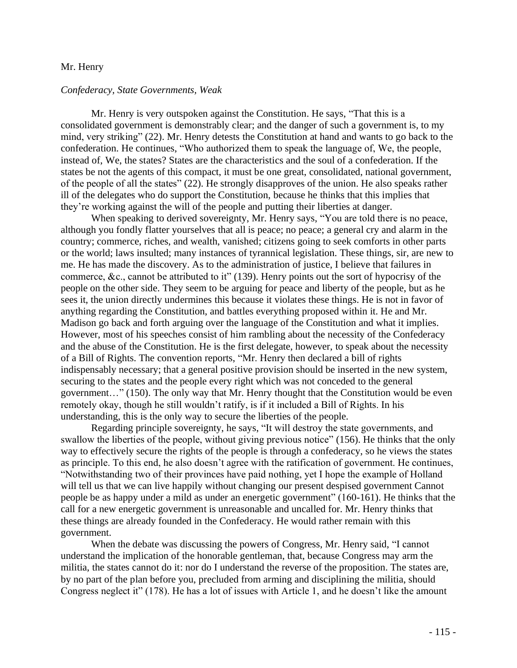#### Mr. Henry

#### *Confederacy, State Governments, Weak*

Mr. Henry is very outspoken against the Constitution. He says, "That this is a consolidated government is demonstrably clear; and the danger of such a government is, to my mind, very striking" (22). Mr. Henry detests the Constitution at hand and wants to go back to the confederation. He continues, "Who authorized them to speak the language of, We, the people, instead of, We, the states? States are the characteristics and the soul of a confederation. If the states be not the agents of this compact, it must be one great, consolidated, national government, of the people of all the states" (22). He strongly disapproves of the union. He also speaks rather ill of the delegates who do support the Constitution, because he thinks that this implies that they're working against the will of the people and putting their liberties at danger.

When speaking to derived sovereignty, Mr. Henry says, "You are told there is no peace, although you fondly flatter yourselves that all is peace; no peace; a general cry and alarm in the country; commerce, riches, and wealth, vanished; citizens going to seek comforts in other parts or the world; laws insulted; many instances of tyrannical legislation. These things, sir, are new to me. He has made the discovery. As to the administration of justice, I believe that failures in commerce, &c., cannot be attributed to it" (139). Henry points out the sort of hypocrisy of the people on the other side. They seem to be arguing for peace and liberty of the people, but as he sees it, the union directly undermines this because it violates these things. He is not in favor of anything regarding the Constitution, and battles everything proposed within it. He and Mr. Madison go back and forth arguing over the language of the Constitution and what it implies. However, most of his speeches consist of him rambling about the necessity of the Confederacy and the abuse of the Constitution. He is the first delegate, however, to speak about the necessity of a Bill of Rights. The convention reports, "Mr. Henry then declared a bill of rights indispensably necessary; that a general positive provision should be inserted in the new system, securing to the states and the people every right which was not conceded to the general government…" (150). The only way that Mr. Henry thought that the Constitution would be even remotely okay, though he still wouldn't ratify, is if it included a Bill of Rights. In his understanding, this is the only way to secure the liberties of the people.

Regarding principle sovereignty, he says, "It will destroy the state governments, and swallow the liberties of the people, without giving previous notice" (156). He thinks that the only way to effectively secure the rights of the people is through a confederacy, so he views the states as principle. To this end, he also doesn't agree with the ratification of government. He continues, "Notwithstanding two of their provinces have paid nothing, yet I hope the example of Holland will tell us that we can live happily without changing our present despised government Cannot people be as happy under a mild as under an energetic government" (160-161). He thinks that the call for a new energetic government is unreasonable and uncalled for. Mr. Henry thinks that these things are already founded in the Confederacy. He would rather remain with this government.

When the debate was discussing the powers of Congress, Mr. Henry said, "I cannot understand the implication of the honorable gentleman, that, because Congress may arm the militia, the states cannot do it: nor do I understand the reverse of the proposition. The states are, by no part of the plan before you, precluded from arming and disciplining the militia, should Congress neglect it" (178). He has a lot of issues with Article 1, and he doesn't like the amount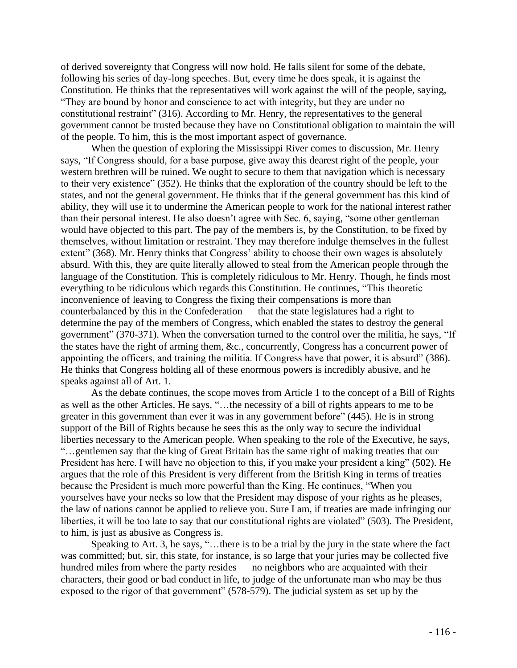of derived sovereignty that Congress will now hold. He falls silent for some of the debate, following his series of day-long speeches. But, every time he does speak, it is against the Constitution. He thinks that the representatives will work against the will of the people, saying, "They are bound by honor and conscience to act with integrity, but they are under no constitutional restraint" (316). According to Mr. Henry, the representatives to the general government cannot be trusted because they have no Constitutional obligation to maintain the will of the people. To him, this is the most important aspect of governance.

When the question of exploring the Mississippi River comes to discussion, Mr. Henry says, "If Congress should, for a base purpose, give away this dearest right of the people, your western brethren will be ruined. We ought to secure to them that navigation which is necessary to their very existence" (352). He thinks that the exploration of the country should be left to the states, and not the general government. He thinks that if the general government has this kind of ability, they will use it to undermine the American people to work for the national interest rather than their personal interest. He also doesn't agree with Sec. 6, saying, "some other gentleman would have objected to this part. The pay of the members is, by the Constitution, to be fixed by themselves, without limitation or restraint. They may therefore indulge themselves in the fullest extent" (368). Mr. Henry thinks that Congress' ability to choose their own wages is absolutely absurd. With this, they are quite literally allowed to steal from the American people through the language of the Constitution. This is completely ridiculous to Mr. Henry. Though, he finds most everything to be ridiculous which regards this Constitution. He continues, "This theoretic inconvenience of leaving to Congress the fixing their compensations is more than counterbalanced by this in the Confederation — that the state legislatures had a right to determine the pay of the members of Congress, which enabled the states to destroy the general government" (370-371). When the conversation turned to the control over the militia, he says, "If the states have the right of arming them, &c., concurrently, Congress has a concurrent power of appointing the officers, and training the militia. If Congress have that power, it is absurd" (386). He thinks that Congress holding all of these enormous powers is incredibly abusive, and he speaks against all of Art. 1.

As the debate continues, the scope moves from Article 1 to the concept of a Bill of Rights as well as the other Articles. He says, "…the necessity of a bill of rights appears to me to be greater in this government than ever it was in any government before" (445). He is in strong support of the Bill of Rights because he sees this as the only way to secure the individual liberties necessary to the American people. When speaking to the role of the Executive, he says, "…gentlemen say that the king of Great Britain has the same right of making treaties that our President has here. I will have no objection to this, if you make your president a king" (502). He argues that the role of this President is very different from the British King in terms of treaties because the President is much more powerful than the King. He continues, "When you yourselves have your necks so low that the President may dispose of your rights as he pleases, the law of nations cannot be applied to relieve you. Sure I am, if treaties are made infringing our liberties, it will be too late to say that our constitutional rights are violated" (503). The President, to him, is just as abusive as Congress is.

Speaking to Art. 3, he says, "…there is to be a trial by the jury in the state where the fact was committed; but, sir, this state, for instance, is so large that your juries may be collected five hundred miles from where the party resides — no neighbors who are acquainted with their characters, their good or bad conduct in life, to judge of the unfortunate man who may be thus exposed to the rigor of that government" (578-579). The judicial system as set up by the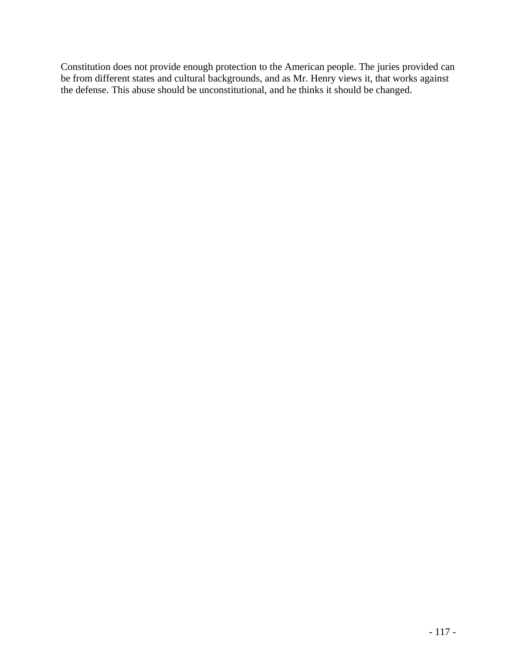Constitution does not provide enough protection to the American people. The juries provided can be from different states and cultural backgrounds, and as Mr. Henry views it, that works against the defense. This abuse should be unconstitutional, and he thinks it should be changed.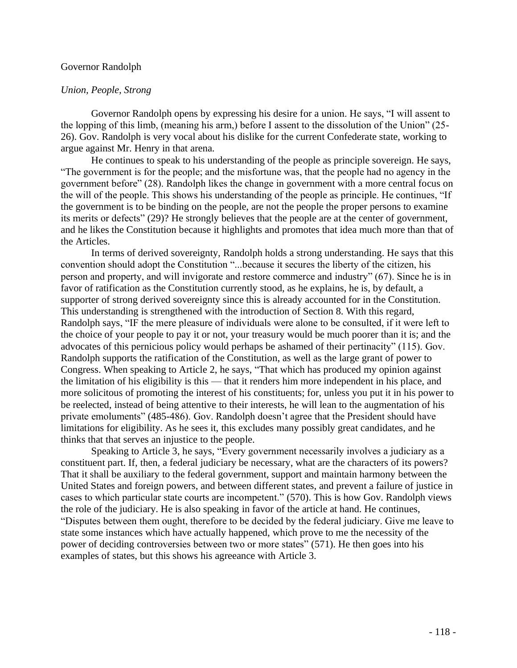#### Governor Randolph

### *Union, People, Strong*

Governor Randolph opens by expressing his desire for a union. He says, "I will assent to the lopping of this limb, (meaning his arm,) before I assent to the dissolution of the Union" (25- 26). Gov. Randolph is very vocal about his dislike for the current Confederate state, working to argue against Mr. Henry in that arena.

He continues to speak to his understanding of the people as principle sovereign. He says, "The government is for the people; and the misfortune was, that the people had no agency in the government before" (28). Randolph likes the change in government with a more central focus on the will of the people. This shows his understanding of the people as principle. He continues, "If the government is to be binding on the people, are not the people the proper persons to examine its merits or defects" (29)? He strongly believes that the people are at the center of government, and he likes the Constitution because it highlights and promotes that idea much more than that of the Articles.

In terms of derived sovereignty, Randolph holds a strong understanding. He says that this convention should adopt the Constitution "...because it secures the liberty of the citizen, his person and property, and will invigorate and restore commerce and industry" (67). Since he is in favor of ratification as the Constitution currently stood, as he explains, he is, by default, a supporter of strong derived sovereignty since this is already accounted for in the Constitution. This understanding is strengthened with the introduction of Section 8. With this regard, Randolph says, "IF the mere pleasure of individuals were alone to be consulted, if it were left to the choice of your people to pay it or not, your treasury would be much poorer than it is; and the advocates of this pernicious policy would perhaps be ashamed of their pertinacity" (115). Gov. Randolph supports the ratification of the Constitution, as well as the large grant of power to Congress. When speaking to Article 2, he says, "That which has produced my opinion against the limitation of his eligibility is this — that it renders him more independent in his place, and more solicitous of promoting the interest of his constituents; for, unless you put it in his power to be reelected, instead of being attentive to their interests, he will lean to the augmentation of his private emoluments" (485-486). Gov. Randolph doesn't agree that the President should have limitations for eligibility. As he sees it, this excludes many possibly great candidates, and he thinks that that serves an injustice to the people.

Speaking to Article 3, he says, "Every government necessarily involves a judiciary as a constituent part. If, then, a federal judiciary be necessary, what are the characters of its powers? That it shall be auxiliary to the federal government, support and maintain harmony between the United States and foreign powers, and between different states, and prevent a failure of justice in cases to which particular state courts are incompetent." (570). This is how Gov. Randolph views the role of the judiciary. He is also speaking in favor of the article at hand. He continues, "Disputes between them ought, therefore to be decided by the federal judiciary. Give me leave to state some instances which have actually happened, which prove to me the necessity of the power of deciding controversies between two or more states" (571). He then goes into his examples of states, but this shows his agreeance with Article 3.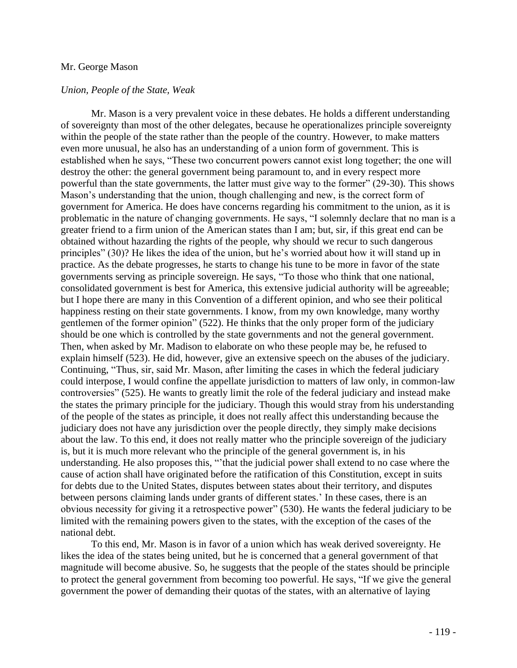## Mr. George Mason

### *Union, People of the State, Weak*

Mr. Mason is a very prevalent voice in these debates. He holds a different understanding of sovereignty than most of the other delegates, because he operationalizes principle sovereignty within the people of the state rather than the people of the country. However, to make matters even more unusual, he also has an understanding of a union form of government. This is established when he says, "These two concurrent powers cannot exist long together; the one will destroy the other: the general government being paramount to, and in every respect more powerful than the state governments, the latter must give way to the former" (29-30). This shows Mason's understanding that the union, though challenging and new, is the correct form of government for America. He does have concerns regarding his commitment to the union, as it is problematic in the nature of changing governments. He says, "I solemnly declare that no man is a greater friend to a firm union of the American states than I am; but, sir, if this great end can be obtained without hazarding the rights of the people, why should we recur to such dangerous principles" (30)? He likes the idea of the union, but he's worried about how it will stand up in practice. As the debate progresses, he starts to change his tune to be more in favor of the state governments serving as principle sovereign. He says, "To those who think that one national, consolidated government is best for America, this extensive judicial authority will be agreeable; but I hope there are many in this Convention of a different opinion, and who see their political happiness resting on their state governments. I know, from my own knowledge, many worthy gentlemen of the former opinion" (522). He thinks that the only proper form of the judiciary should be one which is controlled by the state governments and not the general government. Then, when asked by Mr. Madison to elaborate on who these people may be, he refused to explain himself (523). He did, however, give an extensive speech on the abuses of the judiciary. Continuing, "Thus, sir, said Mr. Mason, after limiting the cases in which the federal judiciary could interpose, I would confine the appellate jurisdiction to matters of law only, in common-law controversies" (525). He wants to greatly limit the role of the federal judiciary and instead make the states the primary principle for the judiciary. Though this would stray from his understanding of the people of the states as principle, it does not really affect this understanding because the judiciary does not have any jurisdiction over the people directly, they simply make decisions about the law. To this end, it does not really matter who the principle sovereign of the judiciary is, but it is much more relevant who the principle of the general government is, in his understanding. He also proposes this, "'that the judicial power shall extend to no case where the cause of action shall have originated before the ratification of this Constitution, except in suits for debts due to the United States, disputes between states about their territory, and disputes between persons claiming lands under grants of different states.' In these cases, there is an obvious necessity for giving it a retrospective power" (530). He wants the federal judiciary to be limited with the remaining powers given to the states, with the exception of the cases of the national debt.

To this end, Mr. Mason is in favor of a union which has weak derived sovereignty. He likes the idea of the states being united, but he is concerned that a general government of that magnitude will become abusive. So, he suggests that the people of the states should be principle to protect the general government from becoming too powerful. He says, "If we give the general government the power of demanding their quotas of the states, with an alternative of laying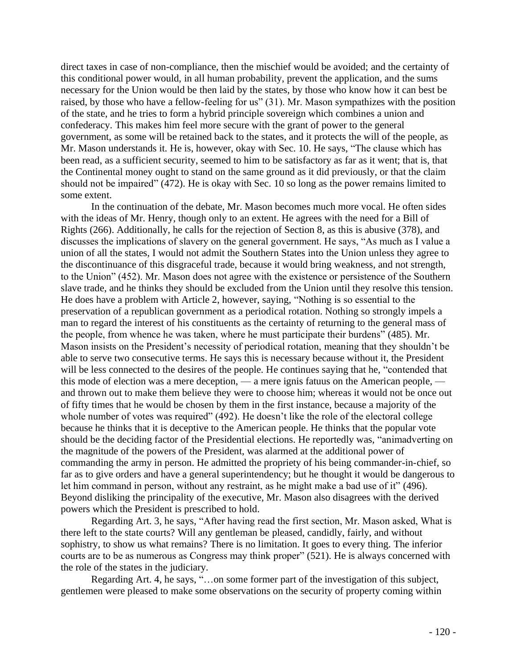direct taxes in case of non-compliance, then the mischief would be avoided; and the certainty of this conditional power would, in all human probability, prevent the application, and the sums necessary for the Union would be then laid by the states, by those who know how it can best be raised, by those who have a fellow-feeling for us" (31). Mr. Mason sympathizes with the position of the state, and he tries to form a hybrid principle sovereign which combines a union and confederacy. This makes him feel more secure with the grant of power to the general government, as some will be retained back to the states, and it protects the will of the people, as Mr. Mason understands it. He is, however, okay with Sec. 10. He says, "The clause which has been read, as a sufficient security, seemed to him to be satisfactory as far as it went; that is, that the Continental money ought to stand on the same ground as it did previously, or that the claim should not be impaired" (472). He is okay with Sec. 10 so long as the power remains limited to some extent.

In the continuation of the debate, Mr. Mason becomes much more vocal. He often sides with the ideas of Mr. Henry, though only to an extent. He agrees with the need for a Bill of Rights (266). Additionally, he calls for the rejection of Section 8, as this is abusive (378), and discusses the implications of slavery on the general government. He says, "As much as I value a union of all the states, I would not admit the Southern States into the Union unless they agree to the discontinuance of this disgraceful trade, because it would bring weakness, and not strength, to the Union" (452). Mr. Mason does not agree with the existence or persistence of the Southern slave trade, and he thinks they should be excluded from the Union until they resolve this tension. He does have a problem with Article 2, however, saying, "Nothing is so essential to the preservation of a republican government as a periodical rotation. Nothing so strongly impels a man to regard the interest of his constituents as the certainty of returning to the general mass of the people, from whence he was taken, where he must participate their burdens" (485). Mr. Mason insists on the President's necessity of periodical rotation, meaning that they shouldn't be able to serve two consecutive terms. He says this is necessary because without it, the President will be less connected to the desires of the people. He continues saying that he, "contended that this mode of election was a mere deception, — a mere ignis fatuus on the American people, and thrown out to make them believe they were to choose him; whereas it would not be once out of fifty times that he would be chosen by them in the first instance, because a majority of the whole number of votes was required" (492). He doesn't like the role of the electoral college because he thinks that it is deceptive to the American people. He thinks that the popular vote should be the deciding factor of the Presidential elections. He reportedly was, "animadverting on the magnitude of the powers of the President, was alarmed at the additional power of commanding the army in person. He admitted the propriety of his being commander-in-chief, so far as to give orders and have a general superintendency; but he thought it would be dangerous to let him command in person, without any restraint, as he might make a bad use of it" (496). Beyond disliking the principality of the executive, Mr. Mason also disagrees with the derived powers which the President is prescribed to hold.

Regarding Art. 3, he says, "After having read the first section, Mr. Mason asked, What is there left to the state courts? Will any gentleman be pleased, candidly, fairly, and without sophistry, to show us what remains? There is no limitation. It goes to every thing. The inferior courts are to be as numerous as Congress may think proper" (521). He is always concerned with the role of the states in the judiciary.

Regarding Art. 4, he says, "…on some former part of the investigation of this subject, gentlemen were pleased to make some observations on the security of property coming within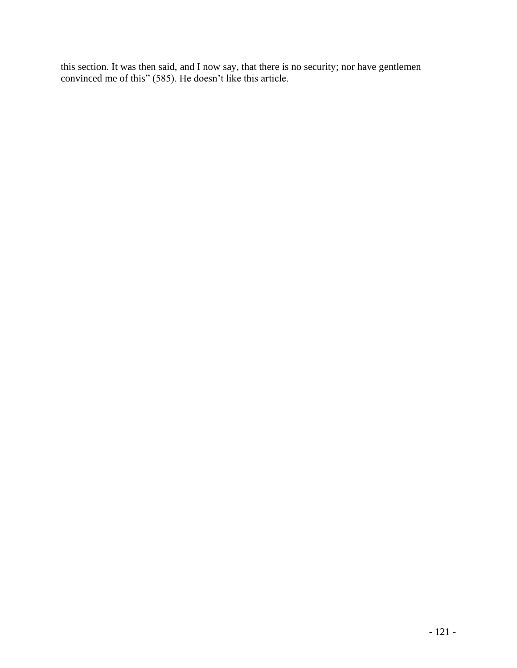this section. It was then said, and I now say, that there is no security; nor have gentlemen convinced me of this" (585). He doesn't like this article.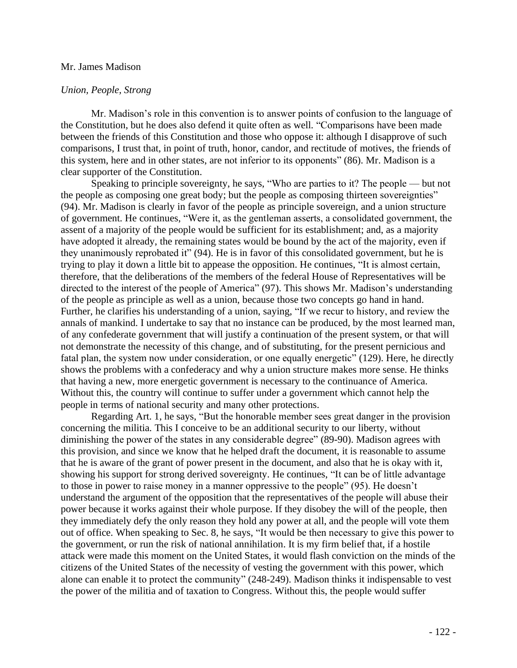### Mr. James Madison

# *Union, People, Strong*

Mr. Madison's role in this convention is to answer points of confusion to the language of the Constitution, but he does also defend it quite often as well. "Comparisons have been made between the friends of this Constitution and those who oppose it: although I disapprove of such comparisons, I trust that, in point of truth, honor, candor, and rectitude of motives, the friends of this system, here and in other states, are not inferior to its opponents" (86). Mr. Madison is a clear supporter of the Constitution.

Speaking to principle sovereignty, he says, "Who are parties to it? The people — but not the people as composing one great body; but the people as composing thirteen sovereignties" (94). Mr. Madison is clearly in favor of the people as principle sovereign, and a union structure of government. He continues, "Were it, as the gentleman asserts, a consolidated government, the assent of a majority of the people would be sufficient for its establishment; and, as a majority have adopted it already, the remaining states would be bound by the act of the majority, even if they unanimously reprobated it" (94). He is in favor of this consolidated government, but he is trying to play it down a little bit to appease the opposition. He continues, "It is almost certain, therefore, that the deliberations of the members of the federal House of Representatives will be directed to the interest of the people of America" (97). This shows Mr. Madison's understanding of the people as principle as well as a union, because those two concepts go hand in hand. Further, he clarifies his understanding of a union, saying, "If we recur to history, and review the annals of mankind. I undertake to say that no instance can be produced, by the most learned man, of any confederate government that will justify a continuation of the present system, or that will not demonstrate the necessity of this change, and of substituting, for the present pernicious and fatal plan, the system now under consideration, or one equally energetic" (129). Here, he directly shows the problems with a confederacy and why a union structure makes more sense. He thinks that having a new, more energetic government is necessary to the continuance of America. Without this, the country will continue to suffer under a government which cannot help the people in terms of national security and many other protections.

Regarding Art. 1, he says, "But the honorable member sees great danger in the provision concerning the militia. This I conceive to be an additional security to our liberty, without diminishing the power of the states in any considerable degree" (89-90). Madison agrees with this provision, and since we know that he helped draft the document, it is reasonable to assume that he is aware of the grant of power present in the document, and also that he is okay with it, showing his support for strong derived sovereignty. He continues, "It can be of little advantage to those in power to raise money in a manner oppressive to the people" (95). He doesn't understand the argument of the opposition that the representatives of the people will abuse their power because it works against their whole purpose. If they disobey the will of the people, then they immediately defy the only reason they hold any power at all, and the people will vote them out of office. When speaking to Sec. 8, he says, "It would be then necessary to give this power to the government, or run the risk of national annihilation. It is my firm belief that, if a hostile attack were made this moment on the United States, it would flash conviction on the minds of the citizens of the United States of the necessity of vesting the government with this power, which alone can enable it to protect the community" (248-249). Madison thinks it indispensable to vest the power of the militia and of taxation to Congress. Without this, the people would suffer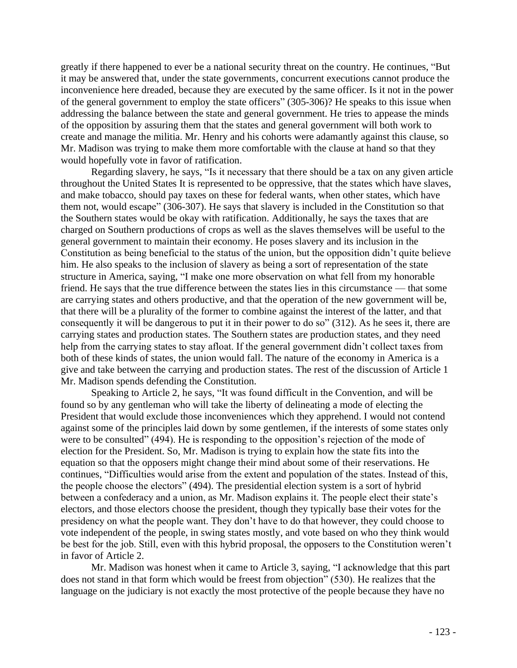greatly if there happened to ever be a national security threat on the country. He continues, "But it may be answered that, under the state governments, concurrent executions cannot produce the inconvenience here dreaded, because they are executed by the same officer. Is it not in the power of the general government to employ the state officers" (305-306)? He speaks to this issue when addressing the balance between the state and general government. He tries to appease the minds of the opposition by assuring them that the states and general government will both work to create and manage the militia. Mr. Henry and his cohorts were adamantly against this clause, so Mr. Madison was trying to make them more comfortable with the clause at hand so that they would hopefully vote in favor of ratification.

Regarding slavery, he says, "Is it necessary that there should be a tax on any given article throughout the United States It is represented to be oppressive, that the states which have slaves, and make tobacco, should pay taxes on these for federal wants, when other states, which have them not, would escape" (306-307). He says that slavery is included in the Constitution so that the Southern states would be okay with ratification. Additionally, he says the taxes that are charged on Southern productions of crops as well as the slaves themselves will be useful to the general government to maintain their economy. He poses slavery and its inclusion in the Constitution as being beneficial to the status of the union, but the opposition didn't quite believe him. He also speaks to the inclusion of slavery as being a sort of representation of the state structure in America, saying, "I make one more observation on what fell from my honorable friend. He says that the true difference between the states lies in this circumstance — that some are carrying states and others productive, and that the operation of the new government will be, that there will be a plurality of the former to combine against the interest of the latter, and that consequently it will be dangerous to put it in their power to do so" (312). As he sees it, there are carrying states and production states. The Southern states are production states, and they need help from the carrying states to stay afloat. If the general government didn't collect taxes from both of these kinds of states, the union would fall. The nature of the economy in America is a give and take between the carrying and production states. The rest of the discussion of Article 1 Mr. Madison spends defending the Constitution.

Speaking to Article 2, he says, "It was found difficult in the Convention, and will be found so by any gentleman who will take the liberty of delineating a mode of electing the President that would exclude those inconveniences which they apprehend. I would not contend against some of the principles laid down by some gentlemen, if the interests of some states only were to be consulted" (494). He is responding to the opposition's rejection of the mode of election for the President. So, Mr. Madison is trying to explain how the state fits into the equation so that the opposers might change their mind about some of their reservations. He continues, "Difficulties would arise from the extent and population of the states. Instead of this, the people choose the electors" (494). The presidential election system is a sort of hybrid between a confederacy and a union, as Mr. Madison explains it. The people elect their state's electors, and those electors choose the president, though they typically base their votes for the presidency on what the people want. They don't have to do that however, they could choose to vote independent of the people, in swing states mostly, and vote based on who they think would be best for the job. Still, even with this hybrid proposal, the opposers to the Constitution weren't in favor of Article 2.

Mr. Madison was honest when it came to Article 3, saying, "I acknowledge that this part does not stand in that form which would be freest from objection" (530). He realizes that the language on the judiciary is not exactly the most protective of the people because they have no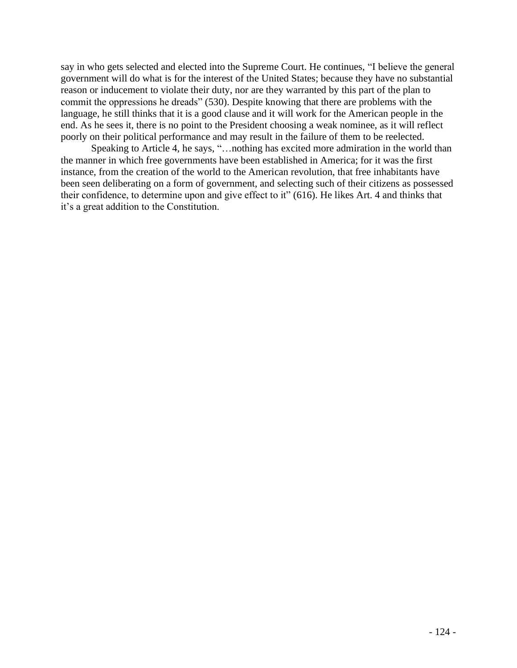say in who gets selected and elected into the Supreme Court. He continues, "I believe the general government will do what is for the interest of the United States; because they have no substantial reason or inducement to violate their duty, nor are they warranted by this part of the plan to commit the oppressions he dreads" (530). Despite knowing that there are problems with the language, he still thinks that it is a good clause and it will work for the American people in the end. As he sees it, there is no point to the President choosing a weak nominee, as it will reflect poorly on their political performance and may result in the failure of them to be reelected.

Speaking to Article 4, he says, "…nothing has excited more admiration in the world than the manner in which free governments have been established in America; for it was the first instance, from the creation of the world to the American revolution, that free inhabitants have been seen deliberating on a form of government, and selecting such of their citizens as possessed their confidence, to determine upon and give effect to it" (616). He likes Art. 4 and thinks that it's a great addition to the Constitution.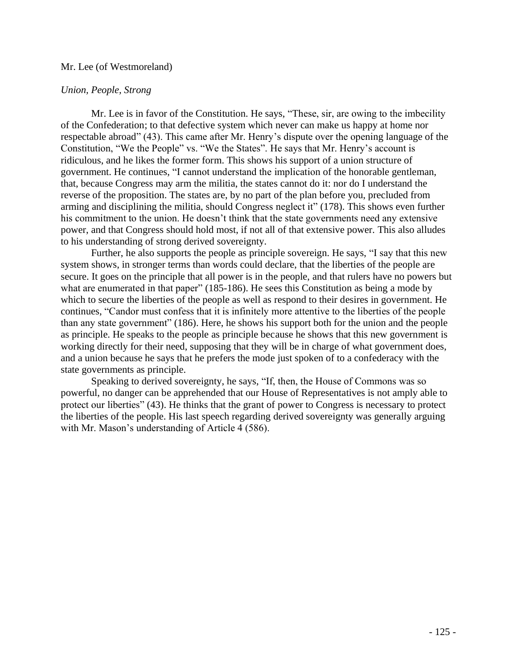# Mr. Lee (of Westmoreland)

# *Union, People, Strong*

Mr. Lee is in favor of the Constitution. He says, "These, sir, are owing to the imbecility of the Confederation; to that defective system which never can make us happy at home nor respectable abroad" (43). This came after Mr. Henry's dispute over the opening language of the Constitution, "We the People" vs. "We the States". He says that Mr. Henry's account is ridiculous, and he likes the former form. This shows his support of a union structure of government. He continues, "I cannot understand the implication of the honorable gentleman, that, because Congress may arm the militia, the states cannot do it: nor do I understand the reverse of the proposition. The states are, by no part of the plan before you, precluded from arming and disciplining the militia, should Congress neglect it" (178). This shows even further his commitment to the union. He doesn't think that the state governments need any extensive power, and that Congress should hold most, if not all of that extensive power. This also alludes to his understanding of strong derived sovereignty.

Further, he also supports the people as principle sovereign. He says, "I say that this new system shows, in stronger terms than words could declare, that the liberties of the people are secure. It goes on the principle that all power is in the people, and that rulers have no powers but what are enumerated in that paper" (185-186). He sees this Constitution as being a mode by which to secure the liberties of the people as well as respond to their desires in government. He continues, "Candor must confess that it is infinitely more attentive to the liberties of the people than any state government" (186). Here, he shows his support both for the union and the people as principle. He speaks to the people as principle because he shows that this new government is working directly for their need, supposing that they will be in charge of what government does, and a union because he says that he prefers the mode just spoken of to a confederacy with the state governments as principle.

Speaking to derived sovereignty, he says, "If, then, the House of Commons was so powerful, no danger can be apprehended that our House of Representatives is not amply able to protect our liberties" (43). He thinks that the grant of power to Congress is necessary to protect the liberties of the people. His last speech regarding derived sovereignty was generally arguing with Mr. Mason's understanding of Article 4 (586).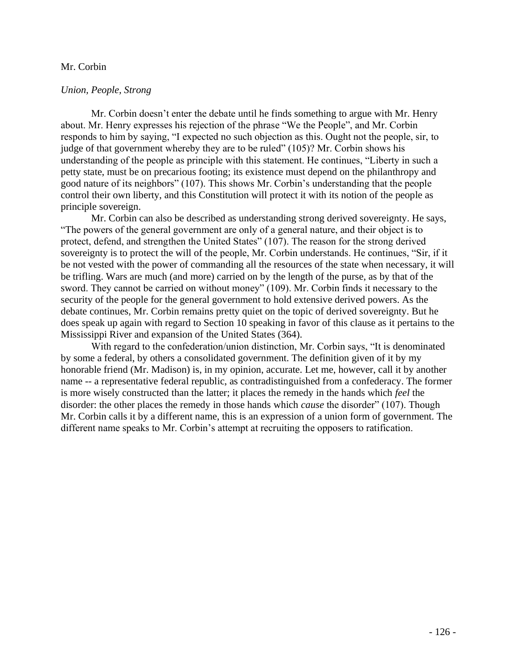## Mr. Corbin

# *Union, People, Strong*

Mr. Corbin doesn't enter the debate until he finds something to argue with Mr. Henry about. Mr. Henry expresses his rejection of the phrase "We the People", and Mr. Corbin responds to him by saying, "I expected no such objection as this. Ought not the people, sir, to judge of that government whereby they are to be ruled" (105)? Mr. Corbin shows his understanding of the people as principle with this statement. He continues, "Liberty in such a petty state, must be on precarious footing; its existence must depend on the philanthropy and good nature of its neighbors" (107). This shows Mr. Corbin's understanding that the people control their own liberty, and this Constitution will protect it with its notion of the people as principle sovereign.

Mr. Corbin can also be described as understanding strong derived sovereignty. He says, "The powers of the general government are only of a general nature, and their object is to protect, defend, and strengthen the United States" (107). The reason for the strong derived sovereignty is to protect the will of the people, Mr. Corbin understands. He continues, "Sir, if it be not vested with the power of commanding all the resources of the state when necessary, it will be trifling. Wars are much (and more) carried on by the length of the purse, as by that of the sword. They cannot be carried on without money" (109). Mr. Corbin finds it necessary to the security of the people for the general government to hold extensive derived powers. As the debate continues, Mr. Corbin remains pretty quiet on the topic of derived sovereignty. But he does speak up again with regard to Section 10 speaking in favor of this clause as it pertains to the Mississippi River and expansion of the United States (364).

With regard to the confederation/union distinction, Mr. Corbin says, "It is denominated by some a federal, by others a consolidated government. The definition given of it by my honorable friend (Mr. Madison) is, in my opinion, accurate. Let me, however, call it by another name -- a representative federal republic, as contradistinguished from a confederacy. The former is more wisely constructed than the latter; it places the remedy in the hands which *feel* the disorder: the other places the remedy in those hands which *cause* the disorder" (107). Though Mr. Corbin calls it by a different name, this is an expression of a union form of government. The different name speaks to Mr. Corbin's attempt at recruiting the opposers to ratification.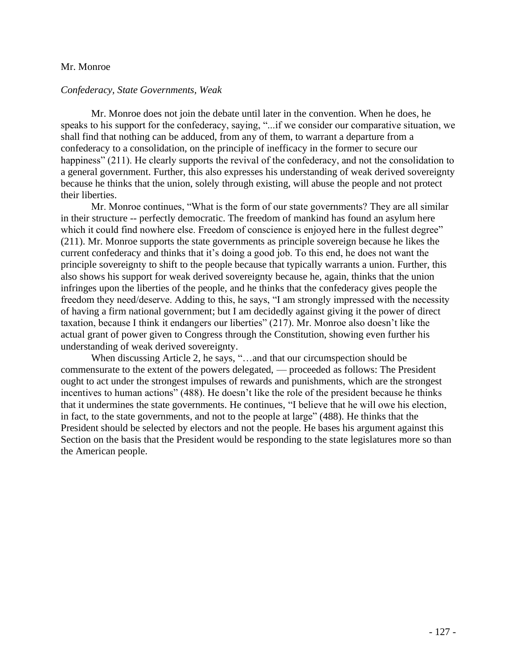### Mr. Monroe

#### *Confederacy, State Governments, Weak*

Mr. Monroe does not join the debate until later in the convention. When he does, he speaks to his support for the confederacy, saying, "...if we consider our comparative situation, we shall find that nothing can be adduced, from any of them, to warrant a departure from a confederacy to a consolidation, on the principle of inefficacy in the former to secure our happiness" (211). He clearly supports the revival of the confederacy, and not the consolidation to a general government. Further, this also expresses his understanding of weak derived sovereignty because he thinks that the union, solely through existing, will abuse the people and not protect their liberties.

Mr. Monroe continues, "What is the form of our state governments? They are all similar in their structure -- perfectly democratic. The freedom of mankind has found an asylum here which it could find nowhere else. Freedom of conscience is enjoyed here in the fullest degree" (211). Mr. Monroe supports the state governments as principle sovereign because he likes the current confederacy and thinks that it's doing a good job. To this end, he does not want the principle sovereignty to shift to the people because that typically warrants a union. Further, this also shows his support for weak derived sovereignty because he, again, thinks that the union infringes upon the liberties of the people, and he thinks that the confederacy gives people the freedom they need/deserve. Adding to this, he says, "I am strongly impressed with the necessity of having a firm national government; but I am decidedly against giving it the power of direct taxation, because I think it endangers our liberties" (217). Mr. Monroe also doesn't like the actual grant of power given to Congress through the Constitution, showing even further his understanding of weak derived sovereignty.

When discussing Article 2, he says, "...and that our circumspection should be commensurate to the extent of the powers delegated, — proceeded as follows: The President ought to act under the strongest impulses of rewards and punishments, which are the strongest incentives to human actions" (488). He doesn't like the role of the president because he thinks that it undermines the state governments. He continues, "I believe that he will owe his election, in fact, to the state governments, and not to the people at large" (488). He thinks that the President should be selected by electors and not the people. He bases his argument against this Section on the basis that the President would be responding to the state legislatures more so than the American people.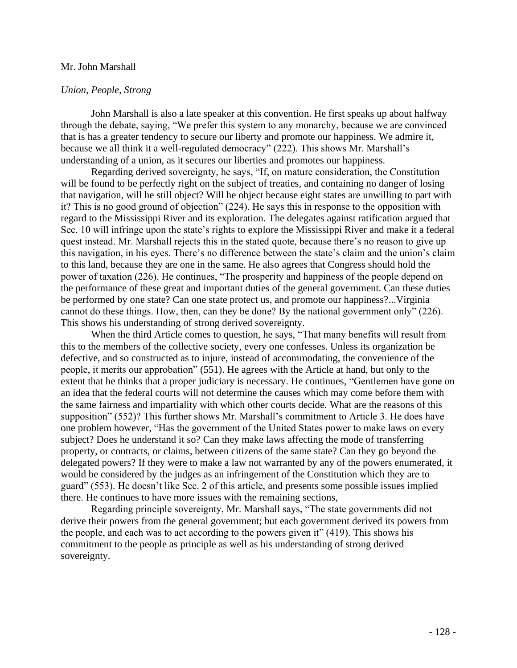#### Mr. John Marshall

# *Union, People, Strong*

John Marshall is also a late speaker at this convention. He first speaks up about halfway through the debate, saying, "We prefer this system to any monarchy, because we are convinced that is has a greater tendency to secure our liberty and promote our happiness. We admire it, because we all think it a well-regulated democracy" (222). This shows Mr. Marshall's understanding of a union, as it secures our liberties and promotes our happiness.

Regarding derived sovereignty, he says, "If, on mature consideration, the Constitution will be found to be perfectly right on the subject of treaties, and containing no danger of losing that navigation, will he still object? Will he object because eight states are unwilling to part with it? This is no good ground of objection" (224). He says this in response to the opposition with regard to the Mississippi River and its exploration. The delegates against ratification argued that Sec. 10 will infringe upon the state's rights to explore the Mississippi River and make it a federal quest instead. Mr. Marshall rejects this in the stated quote, because there's no reason to give up this navigation, in his eyes. There's no difference between the state's claim and the union's claim to this land, because they are one in the same. He also agrees that Congress should hold the power of taxation (226). He continues, "The prosperity and happiness of the people depend on the performance of these great and important duties of the general government. Can these duties be performed by one state? Can one state protect us, and promote our happiness?...Virginia cannot do these things. How, then, can they be done? By the national government only" (226). This shows his understanding of strong derived sovereignty.

When the third Article comes to question, he says, "That many benefits will result from this to the members of the collective society, every one confesses. Unless its organization be defective, and so constructed as to injure, instead of accommodating, the convenience of the people, it merits our approbation" (551). He agrees with the Article at hand, but only to the extent that he thinks that a proper judiciary is necessary. He continues, "Gentlemen have gone on an idea that the federal courts will not determine the causes which may come before them with the same fairness and impartiality with which other courts decide. What are the reasons of this supposition" (552)? This further shows Mr. Marshall's commitment to Article 3. He does have one problem however, "Has the government of the United States power to make laws on every subject? Does he understand it so? Can they make laws affecting the mode of transferring property, or contracts, or claims, between citizens of the same state? Can they go beyond the delegated powers? If they were to make a law not warranted by any of the powers enumerated, it would be considered by the judges as an infringement of the Constitution which they are to guard" (553). He doesn't like Sec. 2 of this article, and presents some possible issues implied there. He continues to have more issues with the remaining sections,

Regarding principle sovereignty, Mr. Marshall says, "The state governments did not derive their powers from the general government; but each government derived its powers from the people, and each was to act according to the powers given it" (419). This shows his commitment to the people as principle as well as his understanding of strong derived sovereignty.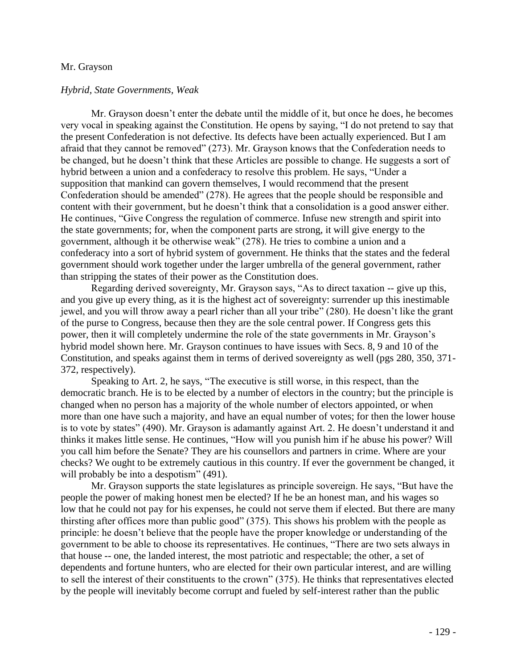#### Mr. Grayson

#### *Hybrid, State Governments, Weak*

Mr. Grayson doesn't enter the debate until the middle of it, but once he does, he becomes very vocal in speaking against the Constitution. He opens by saying, "I do not pretend to say that the present Confederation is not defective. Its defects have been actually experienced. But I am afraid that they cannot be removed" (273). Mr. Grayson knows that the Confederation needs to be changed, but he doesn't think that these Articles are possible to change. He suggests a sort of hybrid between a union and a confederacy to resolve this problem. He says, "Under a supposition that mankind can govern themselves, I would recommend that the present Confederation should be amended" (278). He agrees that the people should be responsible and content with their government, but he doesn't think that a consolidation is a good answer either. He continues, "Give Congress the regulation of commerce. Infuse new strength and spirit into the state governments; for, when the component parts are strong, it will give energy to the government, although it be otherwise weak" (278). He tries to combine a union and a confederacy into a sort of hybrid system of government. He thinks that the states and the federal government should work together under the larger umbrella of the general government, rather than stripping the states of their power as the Constitution does.

Regarding derived sovereignty, Mr. Grayson says, "As to direct taxation -- give up this, and you give up every thing, as it is the highest act of sovereignty: surrender up this inestimable jewel, and you will throw away a pearl richer than all your tribe" (280). He doesn't like the grant of the purse to Congress, because then they are the sole central power. If Congress gets this power, then it will completely undermine the role of the state governments in Mr. Grayson's hybrid model shown here. Mr. Grayson continues to have issues with Secs. 8, 9 and 10 of the Constitution, and speaks against them in terms of derived sovereignty as well (pgs 280, 350, 371- 372, respectively).

Speaking to Art. 2, he says, "The executive is still worse, in this respect, than the democratic branch. He is to be elected by a number of electors in the country; but the principle is changed when no person has a majority of the whole number of electors appointed, or when more than one have such a majority, and have an equal number of votes; for then the lower house is to vote by states" (490). Mr. Grayson is adamantly against Art. 2. He doesn't understand it and thinks it makes little sense. He continues, "How will you punish him if he abuse his power? Will you call him before the Senate? They are his counsellors and partners in crime. Where are your checks? We ought to be extremely cautious in this country. If ever the government be changed, it will probably be into a despotism" (491).

Mr. Grayson supports the state legislatures as principle sovereign. He says, "But have the people the power of making honest men be elected? If he be an honest man, and his wages so low that he could not pay for his expenses, he could not serve them if elected. But there are many thirsting after offices more than public good" (375). This shows his problem with the people as principle: he doesn't believe that the people have the proper knowledge or understanding of the government to be able to choose its representatives. He continues, "There are two sets always in that house -- one, the landed interest, the most patriotic and respectable; the other, a set of dependents and fortune hunters, who are elected for their own particular interest, and are willing to sell the interest of their constituents to the crown" (375). He thinks that representatives elected by the people will inevitably become corrupt and fueled by self-interest rather than the public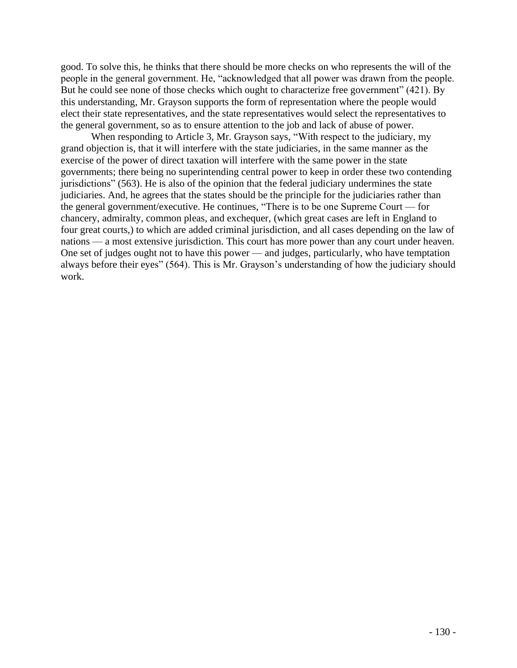good. To solve this, he thinks that there should be more checks on who represents the will of the people in the general government. He, "acknowledged that all power was drawn from the people. But he could see none of those checks which ought to characterize free government" (421). By this understanding, Mr. Grayson supports the form of representation where the people would elect their state representatives, and the state representatives would select the representatives to the general government, so as to ensure attention to the job and lack of abuse of power.

When responding to Article 3, Mr. Grayson says, "With respect to the judiciary, my grand objection is, that it will interfere with the state judiciaries, in the same manner as the exercise of the power of direct taxation will interfere with the same power in the state governments; there being no superintending central power to keep in order these two contending jurisdictions" (563). He is also of the opinion that the federal judiciary undermines the state judiciaries. And, he agrees that the states should be the principle for the judiciaries rather than the general government/executive. He continues, "There is to be one Supreme Court — for chancery, admiralty, common pleas, and exchequer, (which great cases are left in England to four great courts,) to which are added criminal jurisdiction, and all cases depending on the law of nations — a most extensive jurisdiction. This court has more power than any court under heaven. One set of judges ought not to have this power — and judges, particularly, who have temptation always before their eyes" (564). This is Mr. Grayson's understanding of how the judiciary should work.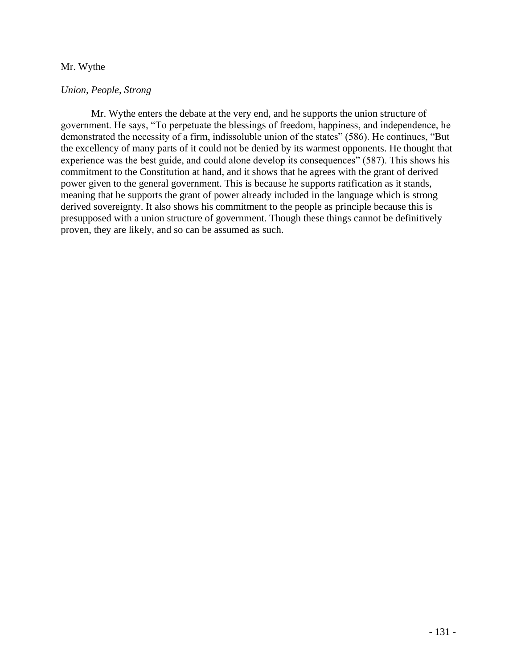# Mr. Wythe

# *Union, People, Strong*

Mr. Wythe enters the debate at the very end, and he supports the union structure of government. He says, "To perpetuate the blessings of freedom, happiness, and independence, he demonstrated the necessity of a firm, indissoluble union of the states" (586). He continues, "But the excellency of many parts of it could not be denied by its warmest opponents. He thought that experience was the best guide, and could alone develop its consequences" (587). This shows his commitment to the Constitution at hand, and it shows that he agrees with the grant of derived power given to the general government. This is because he supports ratification as it stands, meaning that he supports the grant of power already included in the language which is strong derived sovereignty. It also shows his commitment to the people as principle because this is presupposed with a union structure of government. Though these things cannot be definitively proven, they are likely, and so can be assumed as such.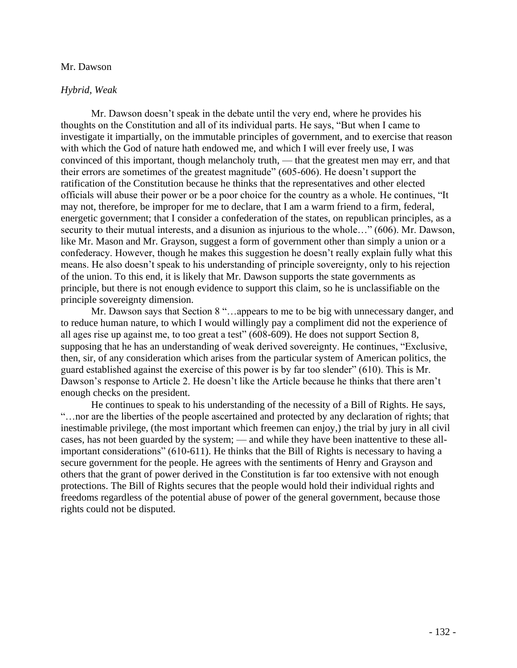### Mr. Dawson

#### *Hybrid, Weak*

Mr. Dawson doesn't speak in the debate until the very end, where he provides his thoughts on the Constitution and all of its individual parts. He says, "But when I came to investigate it impartially, on the immutable principles of government, and to exercise that reason with which the God of nature hath endowed me, and which I will ever freely use, I was convinced of this important, though melancholy truth, — that the greatest men may err, and that their errors are sometimes of the greatest magnitude" (605-606). He doesn't support the ratification of the Constitution because he thinks that the representatives and other elected officials will abuse their power or be a poor choice for the country as a whole. He continues, "It may not, therefore, be improper for me to declare, that I am a warm friend to a firm, federal, energetic government; that I consider a confederation of the states, on republican principles, as a security to their mutual interests, and a disunion as injurious to the whole…" (606). Mr. Dawson, like Mr. Mason and Mr. Grayson, suggest a form of government other than simply a union or a confederacy. However, though he makes this suggestion he doesn't really explain fully what this means. He also doesn't speak to his understanding of principle sovereignty, only to his rejection of the union. To this end, it is likely that Mr. Dawson supports the state governments as principle, but there is not enough evidence to support this claim, so he is unclassifiable on the principle sovereignty dimension.

Mr. Dawson says that Section 8 "…appears to me to be big with unnecessary danger, and to reduce human nature, to which I would willingly pay a compliment did not the experience of all ages rise up against me, to too great a test" (608-609). He does not support Section 8, supposing that he has an understanding of weak derived sovereignty. He continues, "Exclusive, then, sir, of any consideration which arises from the particular system of American politics, the guard established against the exercise of this power is by far too slender" (610). This is Mr. Dawson's response to Article 2. He doesn't like the Article because he thinks that there aren't enough checks on the president.

He continues to speak to his understanding of the necessity of a Bill of Rights. He says, "…nor are the liberties of the people ascertained and protected by any declaration of rights; that inestimable privilege, (the most important which freemen can enjoy,) the trial by jury in all civil cases, has not been guarded by the system; — and while they have been inattentive to these allimportant considerations" (610-611). He thinks that the Bill of Rights is necessary to having a secure government for the people. He agrees with the sentiments of Henry and Grayson and others that the grant of power derived in the Constitution is far too extensive with not enough protections. The Bill of Rights secures that the people would hold their individual rights and freedoms regardless of the potential abuse of power of the general government, because those rights could not be disputed.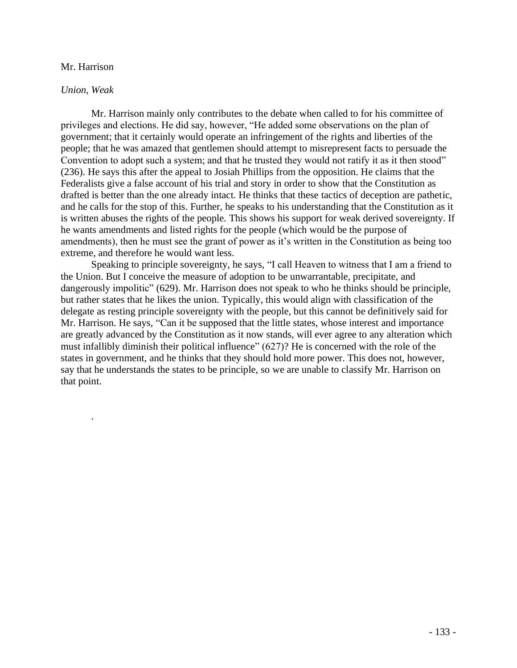# Mr. Harrison

# *Union, Weak*

.

Mr. Harrison mainly only contributes to the debate when called to for his committee of privileges and elections. He did say, however, "He added some observations on the plan of government; that it certainly would operate an infringement of the rights and liberties of the people; that he was amazed that gentlemen should attempt to misrepresent facts to persuade the Convention to adopt such a system; and that he trusted they would not ratify it as it then stood" (236). He says this after the appeal to Josiah Phillips from the opposition. He claims that the Federalists give a false account of his trial and story in order to show that the Constitution as drafted is better than the one already intact. He thinks that these tactics of deception are pathetic, and he calls for the stop of this. Further, he speaks to his understanding that the Constitution as it is written abuses the rights of the people. This shows his support for weak derived sovereignty. If he wants amendments and listed rights for the people (which would be the purpose of amendments), then he must see the grant of power as it's written in the Constitution as being too extreme, and therefore he would want less.

Speaking to principle sovereignty, he says, "I call Heaven to witness that I am a friend to the Union. But I conceive the measure of adoption to be unwarrantable, precipitate, and dangerously impolitic" (629). Mr. Harrison does not speak to who he thinks should be principle, but rather states that he likes the union. Typically, this would align with classification of the delegate as resting principle sovereignty with the people, but this cannot be definitively said for Mr. Harrison. He says, "Can it be supposed that the little states, whose interest and importance are greatly advanced by the Constitution as it now stands, will ever agree to any alteration which must infallibly diminish their political influence" (627)? He is concerned with the role of the states in government, and he thinks that they should hold more power. This does not, however, say that he understands the states to be principle, so we are unable to classify Mr. Harrison on that point.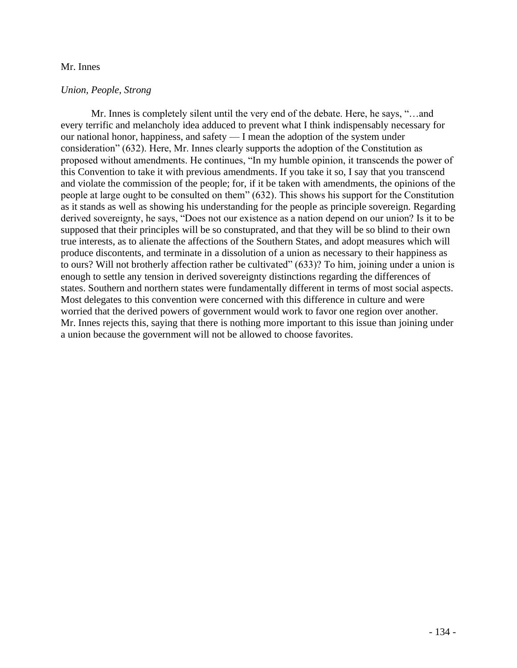## Mr. Innes

# *Union, People, Strong*

Mr. Innes is completely silent until the very end of the debate. Here, he says, "…and every terrific and melancholy idea adduced to prevent what I think indispensably necessary for our national honor, happiness, and safety — I mean the adoption of the system under consideration" (632). Here, Mr. Innes clearly supports the adoption of the Constitution as proposed without amendments. He continues, "In my humble opinion, it transcends the power of this Convention to take it with previous amendments. If you take it so, I say that you transcend and violate the commission of the people; for, if it be taken with amendments, the opinions of the people at large ought to be consulted on them" (632). This shows his support for the Constitution as it stands as well as showing his understanding for the people as principle sovereign. Regarding derived sovereignty, he says, "Does not our existence as a nation depend on our union? Is it to be supposed that their principles will be so constuprated, and that they will be so blind to their own true interests, as to alienate the affections of the Southern States, and adopt measures which will produce discontents, and terminate in a dissolution of a union as necessary to their happiness as to ours? Will not brotherly affection rather be cultivated" (633)? To him, joining under a union is enough to settle any tension in derived sovereignty distinctions regarding the differences of states. Southern and northern states were fundamentally different in terms of most social aspects. Most delegates to this convention were concerned with this difference in culture and were worried that the derived powers of government would work to favor one region over another. Mr. Innes rejects this, saying that there is nothing more important to this issue than joining under a union because the government will not be allowed to choose favorites.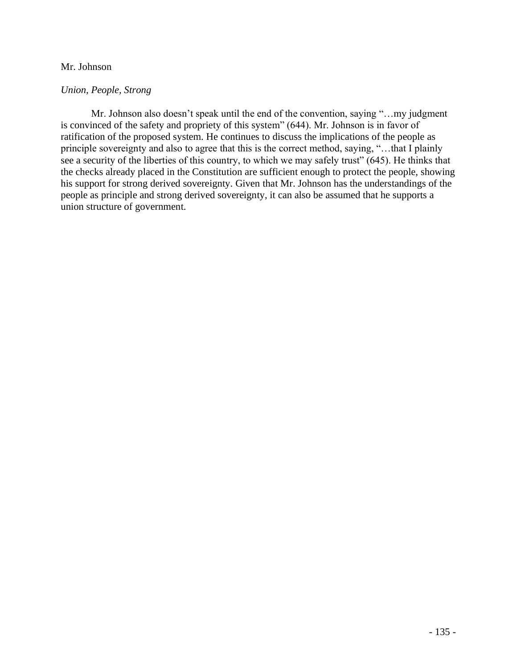# Mr. Johnson

# *Union, People, Strong*

Mr. Johnson also doesn't speak until the end of the convention, saying "…my judgment is convinced of the safety and propriety of this system" (644). Mr. Johnson is in favor of ratification of the proposed system. He continues to discuss the implications of the people as principle sovereignty and also to agree that this is the correct method, saying, "…that I plainly see a security of the liberties of this country, to which we may safely trust" (645). He thinks that the checks already placed in the Constitution are sufficient enough to protect the people, showing his support for strong derived sovereignty. Given that Mr. Johnson has the understandings of the people as principle and strong derived sovereignty, it can also be assumed that he supports a union structure of government.